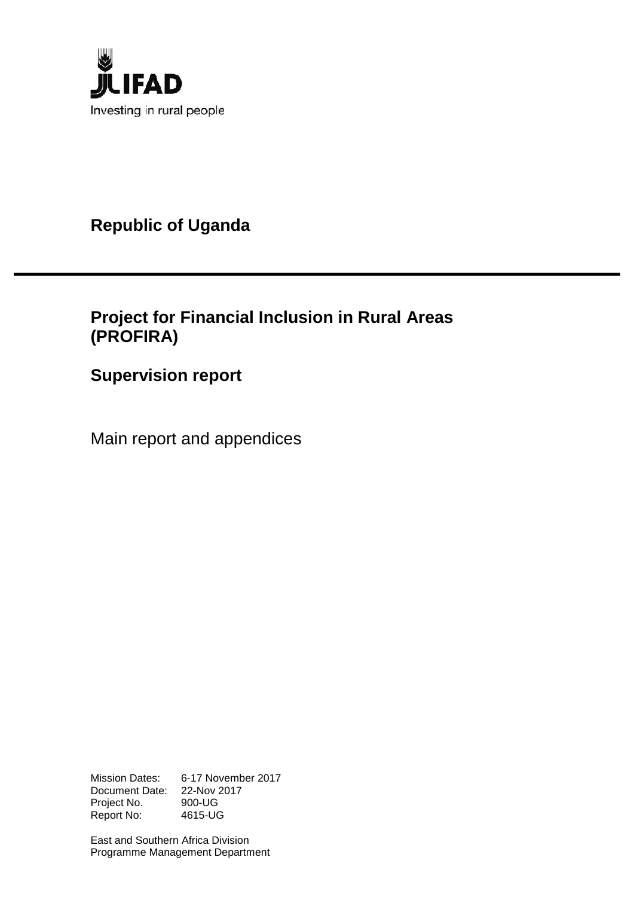

**Republic of Uganda**

# **Project for Financial Inclusion in Rural Areas (PROFIRA)**

# **Supervision report**

Main report and appendices

Mission Dates: 6-17 November 2017 Document Date: 22-Nov 2017 Project No. 900-UG Report No: 4615-UG

East and Southern Africa Division Programme Management Department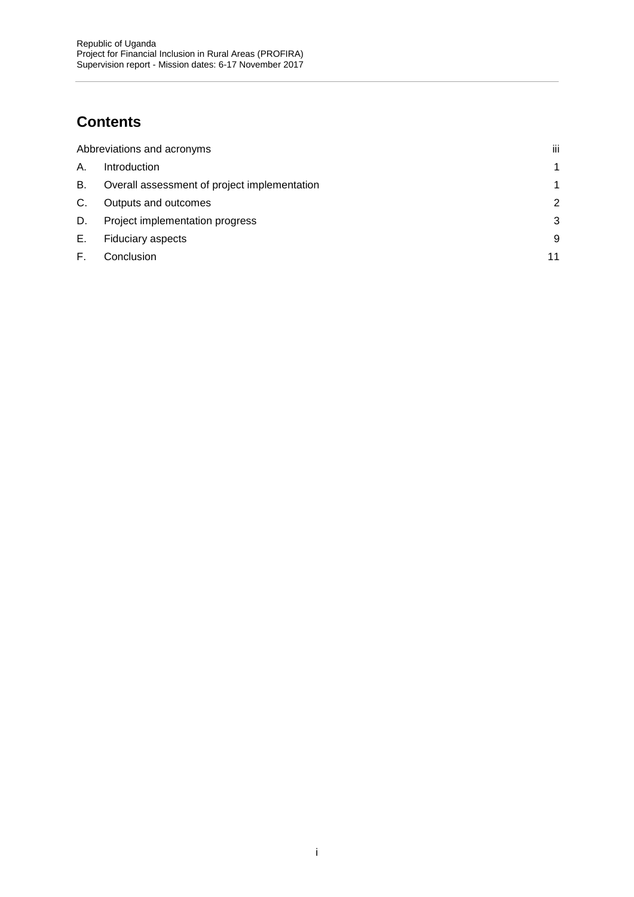# **Contents**

|    | Abbreviations and acronyms                   | iii |
|----|----------------------------------------------|-----|
| А. | Introduction                                 |     |
| В. | Overall assessment of project implementation |     |
| C. | Outputs and outcomes                         |     |
| D. | Project implementation progress              | 3   |
| Е. | <b>Fiduciary aspects</b>                     | 9   |
|    | Conclusion                                   | 11  |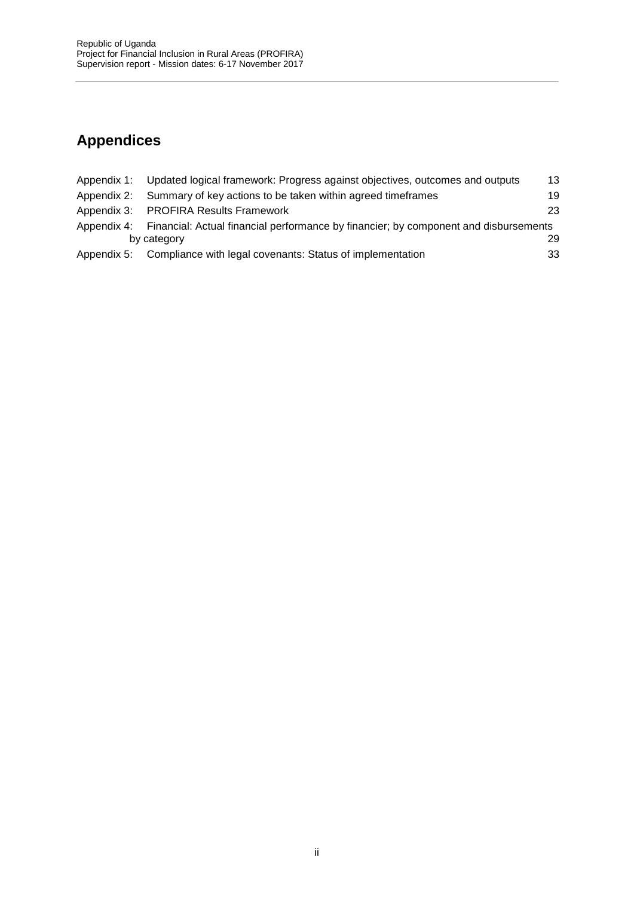# **Appendices**

| Appendix 1: Updated logical framework: Progress against objectives, outcomes and outputs         | 13 |
|--------------------------------------------------------------------------------------------------|----|
| Appendix 2: Summary of key actions to be taken within agreed timeframes                          | 19 |
| Appendix 3: PROFIRA Results Framework                                                            | 23 |
| Appendix 4: Financial: Actual financial performance by financier; by component and disbursements |    |
| by category                                                                                      | 29 |
| Appendix 5: Compliance with legal covenants: Status of implementation                            | 33 |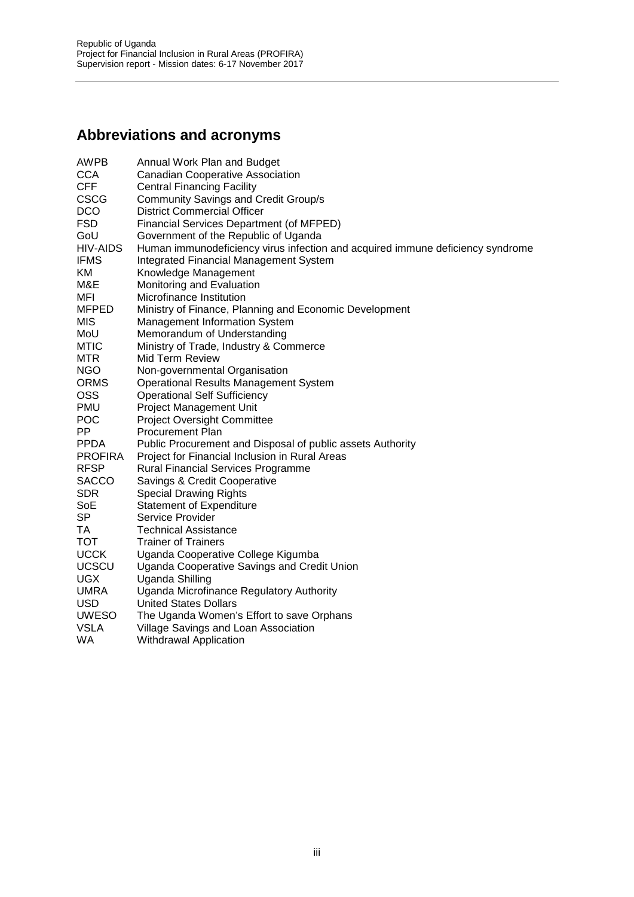# **Abbreviations and acronyms**

| <b>AWPB</b>     | Annual Work Plan and Budget                                                    |
|-----------------|--------------------------------------------------------------------------------|
| <b>CCA</b>      | <b>Canadian Cooperative Association</b>                                        |
| <b>CFF</b>      | <b>Central Financing Facility</b>                                              |
| <b>CSCG</b>     | <b>Community Savings and Credit Group/s</b>                                    |
| <b>DCO</b>      | <b>District Commercial Officer</b>                                             |
| <b>FSD</b>      | Financial Services Department (of MFPED)                                       |
| GoU             | Government of the Republic of Uganda                                           |
| <b>HIV-AIDS</b> | Human immunodeficiency virus infection and acquired immune deficiency syndrome |
| <b>IFMS</b>     | <b>Integrated Financial Management System</b>                                  |
| KM              | Knowledge Management                                                           |
| M&E             | Monitoring and Evaluation                                                      |
| MFI             | Microfinance Institution                                                       |
| <b>MFPED</b>    | Ministry of Finance, Planning and Economic Development                         |
| MIS             | <b>Management Information System</b>                                           |
| MoU             | Memorandum of Understanding                                                    |
| <b>MTIC</b>     | Ministry of Trade, Industry & Commerce                                         |
| <b>MTR</b>      | Mid Term Review                                                                |
| <b>NGO</b>      | Non-governmental Organisation                                                  |
| <b>ORMS</b>     | <b>Operational Results Management System</b>                                   |
| <b>OSS</b>      | <b>Operational Self Sufficiency</b>                                            |
| <b>PMU</b>      | <b>Project Management Unit</b>                                                 |
| <b>POC</b>      | <b>Project Oversight Committee</b>                                             |
| PP              | <b>Procurement Plan</b>                                                        |
| <b>PPDA</b>     | Public Procurement and Disposal of public assets Authority                     |
| <b>PROFIRA</b>  | Project for Financial Inclusion in Rural Areas                                 |
| <b>RFSP</b>     | <b>Rural Financial Services Programme</b>                                      |
| <b>SACCO</b>    | Savings & Credit Cooperative                                                   |
| SDR.            | <b>Special Drawing Rights</b>                                                  |
| SoE             | <b>Statement of Expenditure</b>                                                |
| <b>SP</b>       | Service Provider                                                               |
| TA              | <b>Technical Assistance</b>                                                    |
| <b>TOT</b>      | <b>Trainer of Trainers</b>                                                     |
| <b>UCCK</b>     | Uganda Cooperative College Kigumba                                             |
| <b>UCSCU</b>    | Uganda Cooperative Savings and Credit Union                                    |
| <b>UGX</b>      | Uganda Shilling                                                                |
| <b>UMRA</b>     | Uganda Microfinance Regulatory Authority                                       |
| <b>USD</b>      | <b>United States Dollars</b>                                                   |
| <b>UWESO</b>    | The Uganda Women's Effort to save Orphans                                      |
| <b>VSLA</b>     | Village Savings and Loan Association                                           |
| <b>WA</b>       | <b>Withdrawal Application</b>                                                  |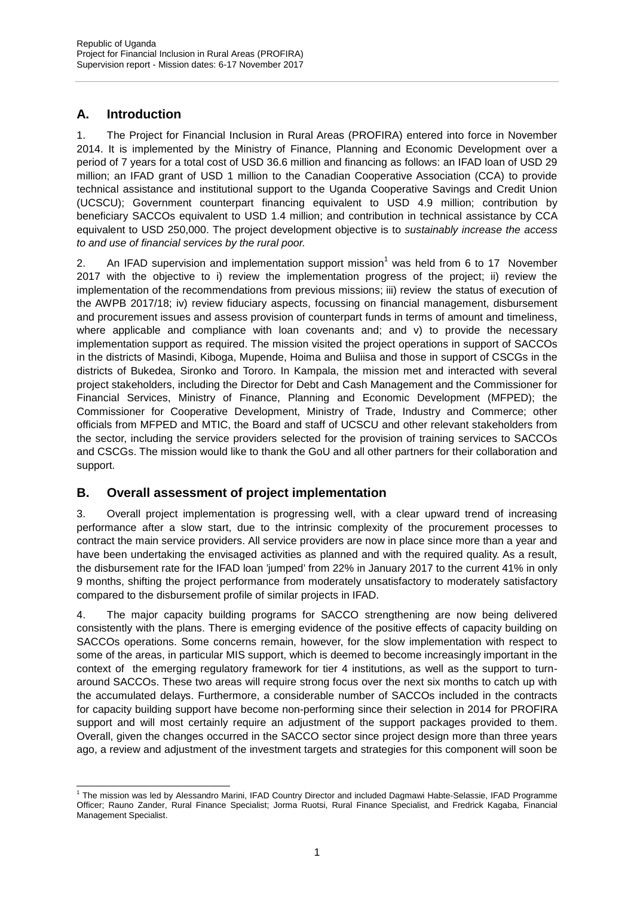### **A. Introduction**

1. The Project for Financial Inclusion in Rural Areas (PROFIRA) entered into force in November 2014. It is implemented by the Ministry of Finance, Planning and Economic Development over a period of 7 years for a total cost of USD 36.6 million and financing as follows: an IFAD loan of USD 29 million; an IFAD grant of USD 1 million to the Canadian Cooperative Association (CCA) to provide technical assistance and institutional support to the Uganda Cooperative Savings and Credit Union (UCSCU); Government counterpart financing equivalent to USD 4.9 million; contribution by beneficiary SACCOs equivalent to USD 1.4 million; and contribution in technical assistance by CCA equivalent to USD 250,000. The project development objective is to *sustainably increase the access to and use of financial services by the rural poor.*

2. An IFAD supervision and implementation support mission<sup>1</sup> was held from 6 to 17 November 2017 with the objective to i) review the implementation progress of the project; ii) review the implementation of the recommendations from previous missions; iii) review the status of execution of the AWPB 2017/18; iv) review fiduciary aspects, focussing on financial management, disbursement and procurement issues and assess provision of counterpart funds in terms of amount and timeliness, where applicable and compliance with loan covenants and; and v) to provide the necessary implementation support as required. The mission visited the project operations in support of SACCOs in the districts of Masindi, Kiboga, Mupende, Hoima and Buliisa and those in support of CSCGs in the districts of Bukedea, Sironko and Tororo. In Kampala, the mission met and interacted with several project stakeholders, including the Director for Debt and Cash Management and the Commissioner for Financial Services, Ministry of Finance, Planning and Economic Development (MFPED); the Commissioner for Cooperative Development, Ministry of Trade, Industry and Commerce; other officials from MFPED and MTIC, the Board and staff of UCSCU and other relevant stakeholders from the sector, including the service providers selected for the provision of training services to SACCOs and CSCGs. The mission would like to thank the GoU and all other partners for their collaboration and support.

### **B. Overall assessment of project implementation**

3. Overall project implementation is progressing well, with a clear upward trend of increasing performance after a slow start, due to the intrinsic complexity of the procurement processes to contract the main service providers. All service providers are now in place since more than a year and have been undertaking the envisaged activities as planned and with the required quality. As a result, the disbursement rate for the IFAD loan 'jumped' from 22% in January 2017 to the current 41% in only 9 months, shifting the project performance from moderately unsatisfactory to moderately satisfactory compared to the disbursement profile of similar projects in IFAD.

4. The major capacity building programs for SACCO strengthening are now being delivered consistently with the plans. There is emerging evidence of the positive effects of capacity building on SACCOs operations. Some concerns remain, however, for the slow implementation with respect to some of the areas, in particular MIS support, which is deemed to become increasingly important in the context of the emerging regulatory framework for tier 4 institutions, as well as the support to turn around SACCOs. These two areas will require strong focus over the next six months to catch up with the accumulated delays. Furthermore, a considerable number of SACCOs included in the contracts for capacity building support have become non-performing since their selection in 2014 for PROFIRA support and will most certainly require an adjustment of the support packages provided to them. Overall, given the changes occurred in the SACCO sector since project design more than three years ago, a review and adjustment of the investment targets and strategies for this component will soon be

<sup>&</sup>lt;sup>1</sup> The mission was led by Alessandro Marini, IFAD Country Director and included Dagmawi Habte-Selassie, IFAD Programme Officer; Rauno Zander, Rural Finance Specialist; Jorma Ruotsi, Rural Finance Specialist, and Fredrick Kagaba, Financial Management Specialist.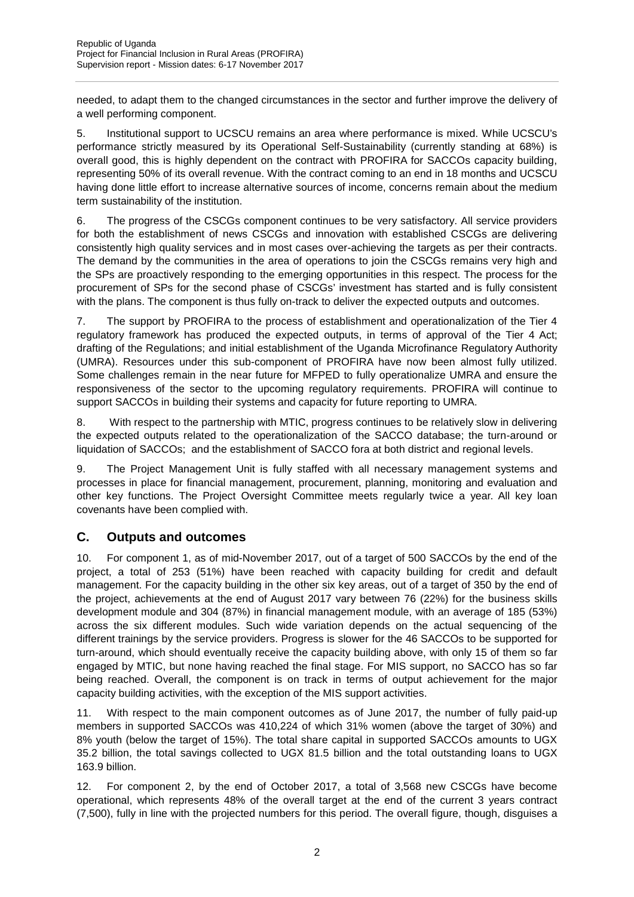needed, to adapt them to the changed circumstances in the sector and further improve the delivery of a well performing component.

5. Institutional support to UCSCU remains an area where performance is mixed. While UCSCU's performance strictly measured by its Operational Self-Sustainability (currently standing at 68%) is overall good, this is highly dependent on the contract with PROFIRA for SACCOs capacity building, representing 50% of its overall revenue. With the contract coming to an end in 18 months and UCSCU having done little effort to increase alternative sources of income, concerns remain about the medium term sustainability of the institution.

6. The progress of the CSCGs component continues to be very satisfactory. All service providers for both the establishment of news CSCGs and innovation with established CSCGs are delivering consistently high quality services and in most cases over-achieving the targets as per their contracts. The demand by the communities in the area of operations to join the CSCGs remains very high and the SPs are proactively responding to the emerging opportunities in this respect. The process for the procurement of SPs for the second phase of CSCGs' investment has started and is fully consistent with the plans. The component is thus fully on-track to deliver the expected outputs and outcomes.

7. The support by PROFIRA to the process of establishment and operationalization of the Tier 4 regulatory framework has produced the expected outputs, in terms of approval of the Tier 4 Act; drafting of the Regulations; and initial establishment of the Uganda Microfinance Regulatory Authority (UMRA). Resources under this sub-component of PROFIRA have now been almost fully utilized. Some challenges remain in the near future for MFPED to fully operationalize UMRA and ensure the responsiveness of the sector to the upcoming regulatory requirements. PROFIRA will continue to support SACCOs in building their systems and capacity for future reporting to UMRA.

8. With respect to the partnership with MTIC, progress continues to be relatively slow in delivering the expected outputs related to the operationalization of the SACCO database; the turn-around or liquidation of SACCOs; and the establishment of SACCO fora at both district and regional levels.

9. The Project Management Unit is fully staffed with all necessary management systems and processes in place for financial management, procurement, planning, monitoring and evaluation and other key functions. The Project Oversight Committee meets regularly twice a year. All key loan covenants have been complied with.

### **C. Outputs and outcomes**

10. For component 1, as of mid-November 2017, out of a target of 500 SACCOs by the end of the project, a total of 253 (51%) have been reached with capacity building for credit and default management. For the capacity building in the other six key areas, out of a target of 350 by the end of the project, achievements at the end of August 2017 vary between 76 (22%) for the business skills development module and 304 (87%) in financial management module, with an average of 185 (53%) across the six different modules. Such wide variation depends on the actual sequencing of the different trainings by the service providers. Progress is slower for the 46 SACCOs to be supported for turn-around, which should eventually receive the capacity building above, with only 15 of them so far engaged by MTIC, but none having reached the final stage. For MIS support, no SACCO has so far being reached. Overall, the component is on track in terms of output achievement for the major capacity building activities, with the exception of the MIS support activities.

11. With respect to the main component outcomes as of June 2017, the number of fully paid-up members in supported SACCOs was 410,224 of which 31% women (above the target of 30%) and 8% youth (below the target of 15%). The total share capital in supported SACCOs amounts to UGX 35.2 billion, the total savings collected to UGX 81.5 billion and the total outstanding loans to UGX 163.9 billion.

12. For component 2, by the end of October 2017, a total of 3,568 new CSCGs have become operational, which represents 48% of the overall target at the end of the current 3 years contract (7,500), fully in line with the projected numbers for this period. The overall figure, though, disguises a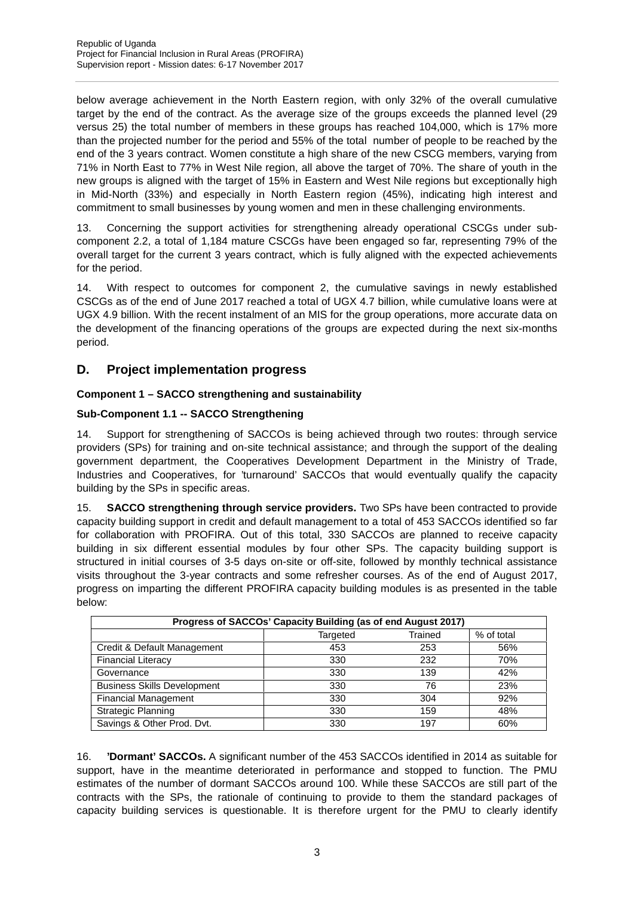below average achievement in the North Eastern region, with only 32% of the overall cumulative target by the end of the contract. As the average size of the groups exceeds the planned level (29 versus 25) the total number of members in these groups has reached 104,000, which is 17% more than the projected number for the period and 55% of the total number of people to be reached by the end of the 3 years contract. Women constitute a high share of the new CSCG members, varying from 71% in North East to 77% in West Nile region, all above the target of 70%. The share of youth in the new groups is aligned with the target of 15% in Eastern and West Nile regions but exceptionally high in Mid-North (33%) and especially in North Eastern region (45%), indicating high interest and commitment to small businesses by young women and men in these challenging environments.

13. Concerning the support activities for strengthening already operational CSCGs under sub component 2.2, a total of 1,184 mature CSCGs have been engaged so far, representing 79% of the overall target for the current 3 years contract, which is fully aligned with the expected achievements for the period.

14. With respect to outcomes for component 2, the cumulative savings in newly established CSCGs as of the end of June 2017 reached a total of UGX 4.7 billion, while cumulative loans were at UGX 4.9 billion. With the recent instalment of an MIS for the group operations, more accurate data on the development of the financing operations of the groups are expected during the next six-months period.

### **D. Project implementation progress**

### **Component 1 – SACCO strengthening and sustainability**

### **Sub-Component 1.1 -- SACCO Strengthening**

14. Support for strengthening of SACCOs is being achieved through two routes: through service providers (SPs) for training and on-site technical assistance; and through the support of the dealing government department, the Cooperatives Development Department in the Ministry of Trade, Industries and Cooperatives, for 'turnaround' SACCOs that would eventually qualify the capacity building by the SPs in specific areas.

15. **SACCO strengthening through service providers.** Two SPs have been contracted to provide capacity building support in credit and default management to a total of 453 SACCOs identified so far for collaboration with PROFIRA. Out of this total, 330 SACCOs are planned to receive capacity building in six different essential modules by four other SPs. The capacity building support is structured in initial courses of 3-5 days on-site or off-site, followed by monthly technical assistance visits throughout the 3-year contracts and some refresher courses. As of the end of August 2017, progress on imparting the different PROFIRA capacity building modules is as presented in the table below:

| Progress of SACCOs' Capacity Building (as of end August 2017) |     |     |     |  |  |  |  |  |  |
|---------------------------------------------------------------|-----|-----|-----|--|--|--|--|--|--|
| Trained<br>% of total<br>Targeted                             |     |     |     |  |  |  |  |  |  |
| Credit & Default Management                                   | 453 | 253 | 56% |  |  |  |  |  |  |
| <b>Financial Literacy</b>                                     | 330 | 232 | 70% |  |  |  |  |  |  |
| Governance                                                    | 330 | 139 | 42% |  |  |  |  |  |  |
| <b>Business Skills Development</b>                            | 330 | 76  | 23% |  |  |  |  |  |  |
| <b>Financial Management</b>                                   | 330 | 304 | 92% |  |  |  |  |  |  |
| <b>Strategic Planning</b>                                     | 330 | 159 | 48% |  |  |  |  |  |  |
| Savings & Other Prod. Dvt.                                    | 330 | 197 | 60% |  |  |  |  |  |  |

16. **'Dormant' SACCOs.** A significant number of the 453 SACCOs identified in 2014 as suitable for support, have in the meantime deteriorated in performance and stopped to function. The PMU estimates of the number of dormant SACCOs around 100. While these SACCOs are still part of the contracts with the SPs, the rationale of continuing to provide to them the standard packages of capacity building services is questionable. It is therefore urgent for the PMU to clearly identify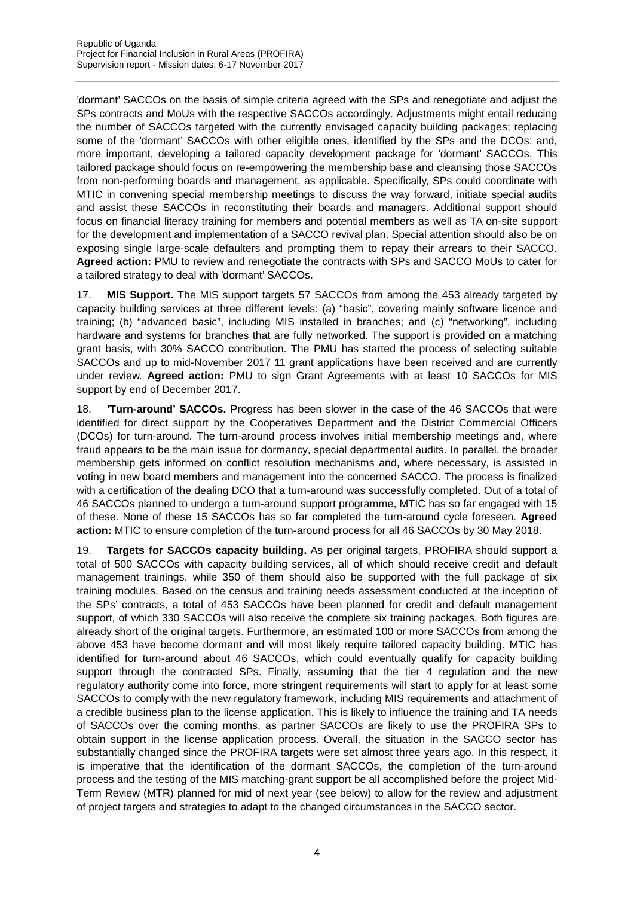'dormant' SACCOs on the basis of simple criteria agreed with the SPs and renegotiate and adjust the SPs contracts and MoUs with the respective SACCOs accordingly. Adjustments might entail reducing the number of SACCOs targeted with the currently envisaged capacity building packages; replacing some of the 'dormant' SACCOs with other eligible ones, identified by the SPs and the DCOs; and, more important, developing a tailored capacity development package for 'dormant' SACCOs. This tailored package should focus on re-empowering the membership base and cleansing those SACCOs from non-performing boards and management, as applicable. Specifically, SPs could coordinate with MTIC in convening special membership meetings to discuss the way forward, initiate special audits and assist these SACCOs in reconstituting their boards and managers. Additional support should focus on financial literacy training for members and potential members as well as TA on-site support for the development and implementation of a SACCO revival plan. Special attention should also be on exposing single large-scale defaulters and prompting them to repay their arrears to their SACCO. **Agreed action:** PMU to review and renegotiate the contracts with SPs and SACCO MoUs to cater for a tailored strategy to deal with 'dormant' SACCOs.

17. **MIS Support.** The MIS support targets 57 SACCOs from among the 453 already targeted by capacity building services at three different levels: (a) "basic", covering mainly software licence and training; (b) "advanced basic", including MIS installed in branches; and (c) "networking", including hardware and systems for branches that are fully networked. The support is provided on a matching grant basis, with 30% SACCO contribution. The PMU has started the process of selecting suitable SACCOs and up to mid-November 2017 11 grant applications have been received and are currently under review. **Agreed action:** PMU to sign Grant Agreements with at least 10 SACCOs for MIS support by end of December 2017.

18. **'Turn-around' SACCOs.** Progress has been slower in the case of the 46 SACCOs that were identified for direct support by the Cooperatives Department and the District Commercial Officers (DCOs) for turn-around. The turn-around process involves initial membership meetings and, where fraud appears to be the main issue for dormancy, special departmental audits. In parallel, the broader membership gets informed on conflict resolution mechanisms and, where necessary, is assisted in voting in new board members and management into the concerned SACCO. The process is finalized with a certification of the dealing DCO that a turn-around was successfully completed. Out of a total of 46 SACCOs planned to undergo a turn-around support programme, MTIC has so far engaged with 15 of these. None of these 15 SACCOs has so far completed the turn-around cycle foreseen. **Agreed action:** MTIC to ensure completion of the turn-around process for all 46 SACCOs by 30 May 2018.

19. **Targets for SACCOs capacity building.** As per original targets, PROFIRA should support a total of 500 SACCOs with capacity building services, all of which should receive credit and default management trainings, while 350 of them should also be supported with the full package of six training modules. Based on the census and training needs assessment conducted at the inception of the SPs' contracts, a total of 453 SACCOs have been planned for credit and default management support, of which 330 SACCOs will also receive the complete six training packages. Both figures are already short of the original targets. Furthermore, an estimated 100 or more SACCOs from among the above 453 have become dormant and will most likely require tailored capacity building. MTIC has identified for turn-around about 46 SACCOs, which could eventually qualify for capacity building support through the contracted SPs. Finally, assuming that the tier 4 regulation and the new regulatory authority come into force, more stringent requirements will start to apply for at least some SACCOs to comply with the new regulatory framework, including MIS requirements and attachment of a credible business plan to the license application. This is likely to influence the training and TA needs of SACCOs over the coming months, as partner SACCOs are likely to use the PROFIRA SPs to obtain support in the license application process. Overall, the situation in the SACCO sector has substantially changed since the PROFIRA targets were set almost three years ago. In this respect, it is imperative that the identification of the dormant SACCOs, the completion of the turn-around process and the testing of the MIS matching-grant support be all accomplished before the project Mid- Term Review (MTR) planned for mid of next year (see below) to allow for the review and adjustment of project targets and strategies to adapt to the changed circumstances in the SACCO sector.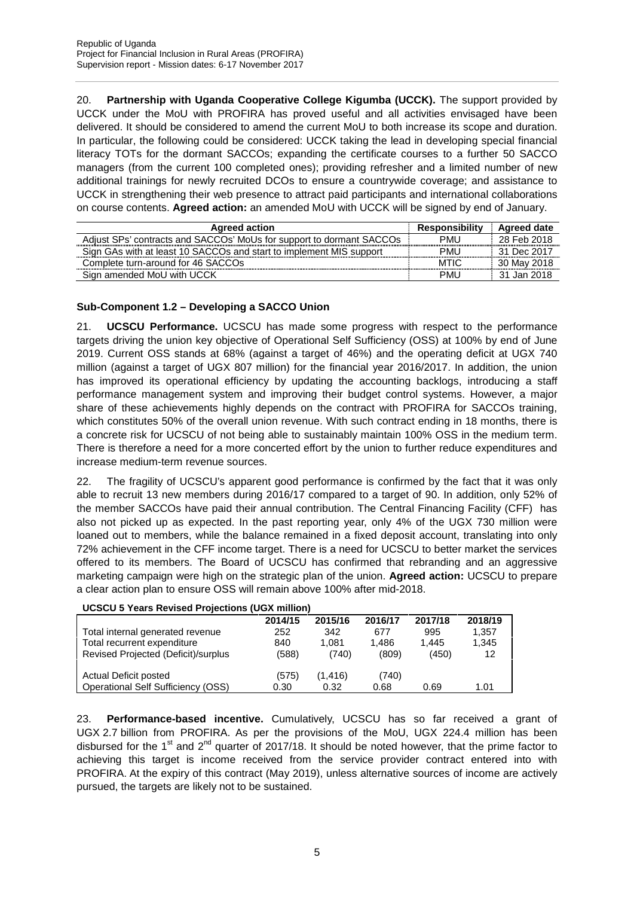20. **Partnership with Uganda Cooperative College Kigumba (UCCK).** The support provided by UCCK under the MoU with PROFIRA has proved useful and all activities envisaged have been delivered. It should be considered to amend the current MoU to both increase its scope and duration. In particular, the following could be considered: UCCK taking the lead in developing special financial literacy TOTs for the dormant SACCOs; expanding the certificate courses to a further 50 SACCO managers (from the current 100 completed ones); providing refresher and a limited number of new additional trainings for newly recruited DCOs to ensure a countrywide coverage; and assistance to UCCK in strengthening their web presence to attract paid participants and international collaborations on course contents. **Agreed action:** an amended MoU with UCCK will be signed by end of January.

| <b>Agreed action</b>                                                 | <b>Responsibility</b> | Agreed date |
|----------------------------------------------------------------------|-----------------------|-------------|
| Adjust SPs' contracts and SACCOs' MoUs for support to dormant SACCOs | PMU                   | 28 Feb 2018 |
| Sign GAs with at least 10 SACCOs and start to implement MIS support  | PMU                   | 31 Dec 2017 |
| Complete turn-around for 46 SACCOs                                   | <b>MTIC</b>           | 30 May 2018 |
| Sign amended MoU with UCCK                                           | PML                   | 31 Jan 2018 |

### **Sub-Component 1.2 – Developing a SACCO Union**

21. **UCSCU Performance.** UCSCU has made some progress with respect to the performance targets driving the union key objective of Operational Self Sufficiency (OSS) at 100% by end of June 2019. Current OSS stands at 68% (against a target of 46%) and the operating deficit at UGX 740 million (against a target of UGX 807 million) for the financial year 2016/2017. In addition, the union has improved its operational efficiency by updating the accounting backlogs, introducing a staff performance management system and improving their budget control systems. However, a major share of these achievements highly depends on the contract with PROFIRA for SACCOs training, which constitutes 50% of the overall union revenue. With such contract ending in 18 months, there is a concrete risk for UCSCU of not being able to sustainably maintain 100% OSS in the medium term. There is therefore a need for a more concerted effort by the union to further reduce expenditures and increase medium-term revenue sources.

22. The fragility of UCSCU's apparent good performance is confirmed by the fact that it was only able to recruit 13 new members during 2016/17 compared to a target of 90. In addition, only 52% of the member SACCOs have paid their annual contribution. The Central Financing Facility (CFF) has also not picked up as expected. In the past reporting year, only 4% of the UGX 730 million were loaned out to members, while the balance remained in a fixed deposit account, translating into only 72% achievement in the CFF income target. There is a need for UCSCU to better market the services offered to its members. The Board of UCSCU has confirmed that rebranding and an aggressive marketing campaign were high on the strategic plan of the union. **Agreed action:** UCSCU to prepare a clear action plan to ensure OSS will remain above 100% after mid-2018.

| <b>UCSCU 5 Years Revised Projections (UGX million)</b> |       |       |       |       |       |  |  |  |  |
|--------------------------------------------------------|-------|-------|-------|-------|-------|--|--|--|--|
| 2018/19<br>2014/15<br>2015/16<br>2016/17<br>2017/18    |       |       |       |       |       |  |  |  |  |
| Total internal generated revenue                       | 252   | 342   | 677   | 995   | 1,357 |  |  |  |  |
| Total recurrent expenditure                            | 840   | 1.081 | 1.486 | 1.445 | 1,345 |  |  |  |  |
| Revised Projected (Deficit)/surplus                    | (588) | (740) | (809) | (450) | 12    |  |  |  |  |
| Actual Deficit posted<br>(575)<br>(1, 416)<br>(740)    |       |       |       |       |       |  |  |  |  |
|                                                        |       |       |       |       |       |  |  |  |  |
| Operational Self Sufficiency (OSS)                     | 0.30  | 0.32  | 0.68  | 0.69  | 1.01  |  |  |  |  |

23. **Performance-based incentive.** Cumulatively, UCSCU has so far received a grant of UGX 2.7 billion from PROFIRA. As per the provisions of the MoU, UGX 224.4 million has been disbursed for the 1<sup>st</sup> and 2<sup>nd</sup> quarter of 2017/18. It should be noted however, that the prime factor to achieving this target is income received from the service provider contract entered into with PROFIRA. At the expiry of this contract (May 2019), unless alternative sources of income are actively pursued, the targets are likely not to be sustained.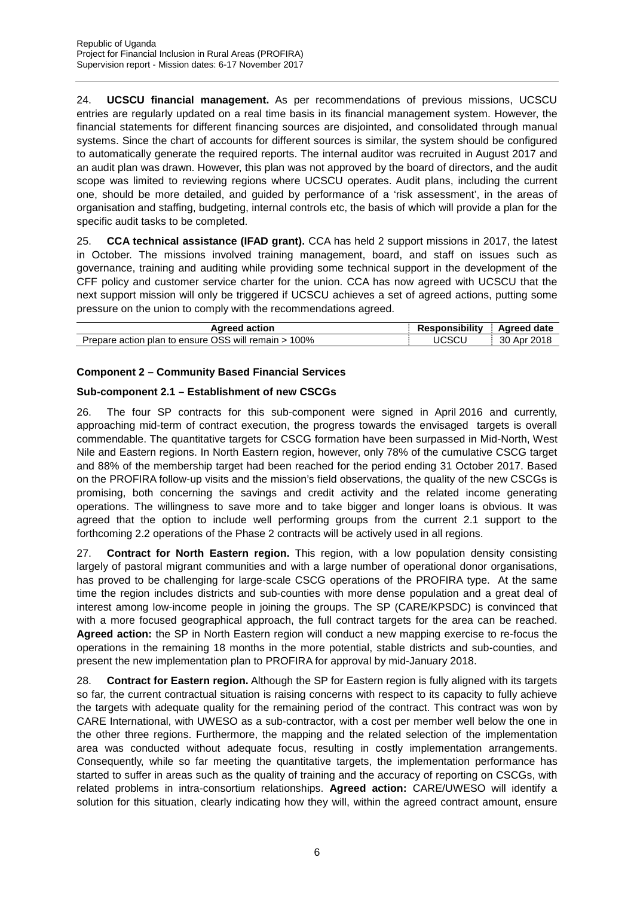24. **UCSCU financial management.** As per recommendations of previous missions, UCSCU entries are regularly updated on a real time basis in its financial management system. However, the financial statements for different financing sources are disjointed, and consolidated through manual systems. Since the chart of accounts for different sources is similar, the system should be configured to automatically generate the required reports. The internal auditor was recruited in August 2017 and an audit plan was drawn. However, this plan was not approved by the board of directors, and the audit scope was limited to reviewing regions where UCSCU operates. Audit plans, including the current one, should be more detailed, and guided by performance of a 'risk assessment', in the areas of organisation and staffing, budgeting, internal controls etc, the basis of which will provide a plan for the specific audit tasks to be completed.

25. **CCA technical assistance (IFAD grant).** CCA has held 2 support missions in 2017, the latest in October. The missions involved training management, board, and staff on issues such as governance, training and auditing while providing some technical support in the development of the CFF policy and customer service charter for the union. CCA has now agreed with UCSCU that the next support mission will only be triggered if UCSCU achieves a set of agreed actions, putting some pressure on the union to comply with the recommendations agreed.

| action<br>Aareed                                                        | <br>sponsibilitv<br>. | Agreed date       |
|-------------------------------------------------------------------------|-----------------------|-------------------|
| J OSS will remain<br>100%<br><b>plan to ensure</b><br>action<br>Prepare | TICSCL                | 2018<br>30<br>Apr |

### **Component 2 – Community Based Financial Services**

### **Sub-component 2.1 – Establishment of new CSCGs**

26. The four SP contracts for this sub-component were signed in April 2016 and currently, approaching mid-term of contract execution, the progress towards the envisaged targets is overall commendable. The quantitative targets for CSCG formation have been surpassed in Mid-North, West Nile and Eastern regions. In North Eastern region, however, only 78% of the cumulative CSCG target and 88% of the membership target had been reached for the period ending 31 October 2017. Based on the PROFIRA follow-up visits and the mission's field observations, the quality of the new CSCGs is promising, both concerning the savings and credit activity and the related income generating operations. The willingness to save more and to take bigger and longer loans is obvious. It was agreed that the option to include well performing groups from the current 2.1 support to the forthcoming 2.2 operations of the Phase 2 contracts will be actively used in all regions.

27. **Contract for North Eastern region.** This region, with a low population density consisting largely of pastoral migrant communities and with a large number of operational donor organisations, has proved to be challenging for large-scale CSCG operations of the PROFIRA type. At the same time the region includes districts and sub-counties with more dense population and a great deal of interest among low-income people in joining the groups. The SP (CARE/KPSDC) is convinced that with a more focused geographical approach, the full contract targets for the area can be reached. **Agreed action:** the SP in North Eastern region will conduct a new mapping exercise to re-focus the operations in the remaining 18 months in the more potential, stable districts and sub-counties, and present the new implementation plan to PROFIRA for approval by mid-January 2018.

28. **Contract for Eastern region.** Although the SP for Eastern region is fully aligned with its targets so far, the current contractual situation is raising concerns with respect to its capacity to fully achieve the targets with adequate quality for the remaining period of the contract. This contract was won by CARE International, with UWESO as a sub-contractor, with a cost per member well below the one in the other three regions. Furthermore, the mapping and the related selection of the implementation area was conducted without adequate focus, resulting in costly implementation arrangements. Consequently, while so far meeting the quantitative targets, the implementation performance has started to suffer in areas such as the quality of training and the accuracy of reporting on CSCGs, with related problems in intra-consortium relationships. **Agreed action:** CARE/UWESO will identify a solution for this situation, clearly indicating how they will, within the agreed contract amount, ensure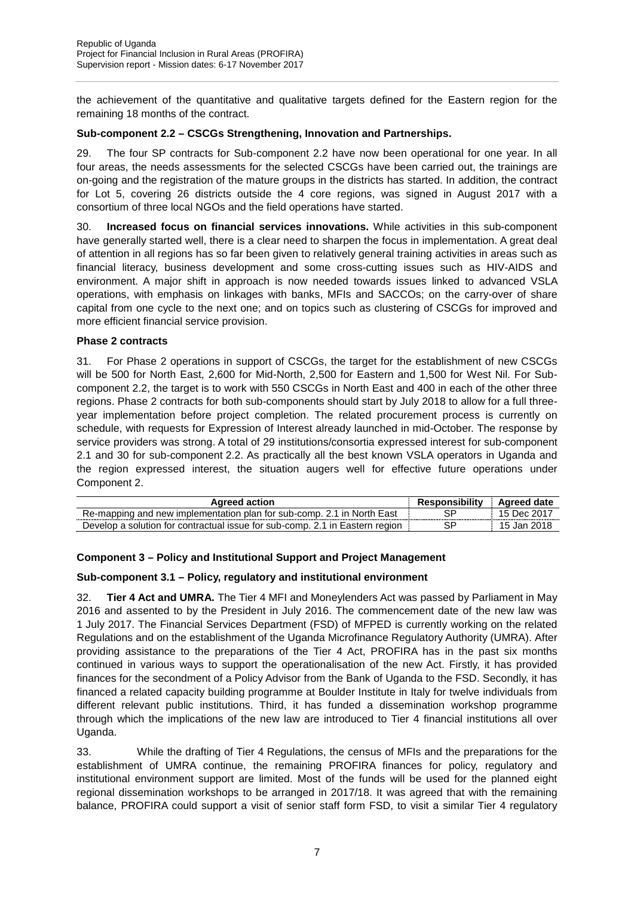the achievement of the quantitative and qualitative targets defined for the Eastern region for the remaining 18 months of the contract.

### **Sub-component 2.2 – CSCGs Strengthening, Innovation and Partnerships.**

29. The four SP contracts for Sub-component 2.2 have now been operational for one year. In all four areas, the needs assessments for the selected CSCGs have been carried out, the trainings are on-going and the registration of the mature groups in the districts has started. In addition, the contract for Lot 5, covering 26 districts outside the 4 core regions, was signed in August 2017 with a consortium of three local NGOs and the field operations have started.

30. **Increased focus on financial services innovations.** While activities in this sub-component have generally started well, there is a clear need to sharpen the focus in implementation. A great deal of attention in all regions has so far been given to relatively general training activities in areas such as financial literacy, business development and some cross-cutting issues such as HIV-AIDS and environment. A major shift in approach is now needed towards issues linked to advanced VSLA operations, with emphasis on linkages with banks, MFIs and SACCOs; on the carry-over of share capital from one cycle to the next one; and on topics such as clustering of CSCGs for improved and more efficient financial service provision.

### **Phase 2 contracts**

31. For Phase 2 operations in support of CSCGs, the target for the establishment of new CSCGs will be 500 for North East, 2,600 for Mid-North, 2,500 for Eastern and 1,500 for West Nil. For Sub component 2.2, the target is to work with 550 CSCGs in North East and 400 in each of the other three regions. Phase 2 contracts for both sub-components should start by July 2018 to allow for a full three year implementation before project completion. The related procurement process is currently on schedule, with requests for Expression of Interest already launched in mid-October. The response by service providers was strong. A total of 29 institutions/consortia expressed interest for sub-component 2.1 and 30 for sub-component 2.2. As practically all the best known VSLA operators in Uganda and the region expressed interest, the situation augers well for effective future operations under Component 2.

| <b>Agreed action</b>                                                         | <b>Responsibility</b> | Agreed date     |
|------------------------------------------------------------------------------|-----------------------|-----------------|
| Re-mapping and new implementation plan for sub-comp. 2.1 in North East       |                       | 15 Dec 2017     |
| Develop a solution for contractual issue for sub-comp. 2.1 in Eastern region |                       | Jan 2018<br>15. |

### **Component 3 – Policy and Institutional Support and Project Management**

### **Sub-component 3.1 – Policy, regulatory and institutional environment**

32. **Tier 4 Act and UMRA.** The Tier 4 MFI and Moneylenders Act was passed by Parliament in May 2016 and assented to by the President in July 2016. The commencement date of the new law was 1 July 2017. The Financial Services Department (FSD) of MFPED is currently working on the related Regulations and on the establishment of the Uganda Microfinance Regulatory Authority (UMRA). After providing assistance to the preparations of the Tier 4 Act, PROFIRA has in the past six months continued in various ways to support the operationalisation of the new Act. Firstly, it has provided finances for the secondment of a Policy Advisor from the Bank of Uganda to the FSD. Secondly, it has financed a related capacity building programme at Boulder Institute in Italy for twelve individuals from different relevant public institutions. Third, it has funded a dissemination workshop programme through which the implications of the new law are introduced to Tier 4 financial institutions all over Uganda.

33. While the drafting of Tier 4 Regulations, the census of MFIs and the preparations for the establishment of UMRA continue, the remaining PROFIRA finances for policy, regulatory and institutional environment support are limited. Most of the funds will be used for the planned eight regional dissemination workshops to be arranged in 2017/18. It was agreed that with the remaining balance, PROFIRA could support a visit of senior staff form FSD, to visit a similar Tier 4 regulatory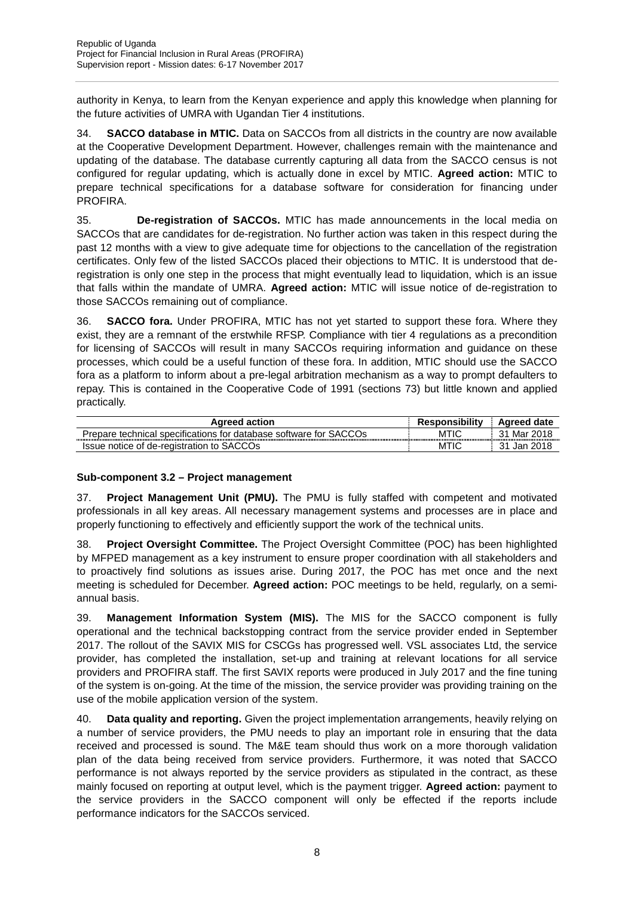authority in Kenya, to learn from the Kenyan experience and apply this knowledge when planning for the future activities of UMRA with Ugandan Tier 4 institutions.

34. **SACCO database in MTIC.** Data on SACCOs from all districts in the country are now available at the Cooperative Development Department. However, challenges remain with the maintenance and updating of the database. The database currently capturing all data from the SACCO census is not configured for regular updating, which is actually done in excel by MTIC. **Agreed action:** MTIC to prepare technical specifications for a database software for consideration for financing under PROFIRA.

35. **De-registration of SACCOs.** MTIC has made announcements in the local media on SACCOs that are candidates for de-registration. No further action was taken in this respect during the past 12 months with a view to give adequate time for objections to the cancellation of the registration certificates. Only few of the listed SACCOs placed their objections to MTIC. It is understood that deregistration is only one step in the process that might eventually lead to liquidation, which is an issue that falls within the mandate of UMRA. **Agreed action:** MTIC will issue notice of de-registration to those SACCOs remaining out of compliance.

36. **SACCO fora.** Under PROFIRA, MTIC has not yet started to support these fora. Where they exist, they are a remnant of the erstwhile RFSP. Compliance with tier 4 regulations as a precondition for licensing of SACCOs will result in many SACCOs requiring information and guidance on these processes, which could be a useful function of these fora. In addition, MTIC should use the SACCO fora as a platform to inform about a pre-legal arbitration mechanism as a way to prompt defaulters to repay. This is contained in the Cooperative Code of 1991 (sections 73) but little known and applied practically.

| <b>Agreed action</b>                                              | <b>Responsibility</b> | Agreed date       |
|-------------------------------------------------------------------|-----------------------|-------------------|
| Prepare technical specifications for database software for SACCOs | MTIC                  | Mar 2018<br>21    |
| Issue notice of de-registration to SACCOs                         | MTIC                  | 2018<br>っィ<br>Jan |

### **Sub-component 3.2 – Project management**

37. **Project Management Unit (PMU).** The PMU is fully staffed with competent and motivated professionals in all key areas. All necessary management systems and processes are in place and properly functioning to effectively and efficiently support the work of the technical units.

38. **Project Oversight Committee.** The Project Oversight Committee (POC) has been highlighted by MFPED management as a key instrument to ensure proper coordination with all stakeholders and to proactively find solutions as issues arise. During 2017, the POC has met once and the next meeting is scheduled for December. **Agreed action:** POC meetings to be held, regularly, on a semi annual basis.

39. **Management Information System (MIS).** The MIS for the SACCO component is fully operational and the technical backstopping contract from the service provider ended in September 2017. The rollout of the SAVIX MIS for CSCGs has progressed well. VSL associates Ltd, the service provider, has completed the installation, set-up and training at relevant locations for all service providers and PROFIRA staff. The first SAVIX reports were produced in July 2017 and the fine tuning of the system is on-going. At the time of the mission, the service provider was providing training on the use of the mobile application version of the system.

40. **Data quality and reporting.** Given the project implementation arrangements, heavily relying on a number of service providers, the PMU needs to play an important role in ensuring that the data received and processed is sound. The M&E team should thus work on a more thorough validation plan of the data being received from service providers. Furthermore, it was noted that SACCO performance is not always reported by the service providers as stipulated in the contract, as these mainly focused on reporting at output level, which is the payment trigger. **Agreed action:** payment to the service providers in the SACCO component will only be effected if the reports include performance indicators for the SACCOs serviced.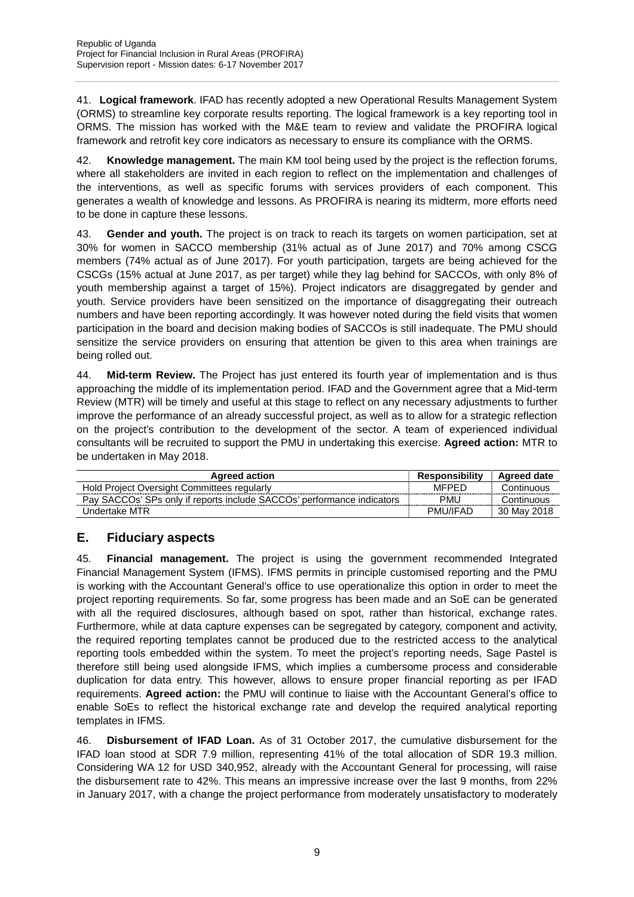41. **Logical framework**. IFAD has recently adopted a new Operational Results Management System (ORMS) to streamline key corporate results reporting. The logical framework is a key reporting tool in ORMS. The mission has worked with the M&E team to review and validate the PROFIRA logical framework and retrofit key core indicators as necessary to ensure its compliance with the ORMS.

42. **Knowledge management.** The main KM tool being used by the project is the reflection forums, where all stakeholders are invited in each region to reflect on the implementation and challenges of the interventions, as well as specific forums with services providers of each component. This generates a wealth of knowledge and lessons. As PROFIRA is nearing its midterm, more efforts need to be done in capture these lessons.

43. **Gender and youth.** The project is on track to reach its targets on women participation, set at 30% for women in SACCO membership (31% actual as of June 2017) and 70% among CSCG members (74% actual as of June 2017). For youth participation, targets are being achieved for the CSCGs (15% actual at June 2017, as per target) while they lag behind for SACCOs, with only 8% of youth membership against a target of 15%). Project indicators are disaggregated by gender and youth. Service providers have been sensitized on the importance of disaggregating their outreach numbers and have been reporting accordingly. It was however noted during the field visits that women participation in the board and decision making bodies of SACCOs is still inadequate. The PMU should sensitize the service providers on ensuring that attention be given to this area when trainings are being rolled out.

44. **Mid-term Review.** The Project has just entered its fourth year of implementation and is thus approaching the middle of its implementation period. IFAD and the Government agree that a Mid-term Review (MTR) will be timely and useful at this stage to reflect on any necessary adjustments to further improve the performance of an already successful project, as well as to allow for a strategic reflection on the project's contribution to the development of the sector. A team of experienced individual consultants will be recruited to support the PMU in undertaking this exercise. **Agreed action:** MTR to be undertaken in May 2018.

| <b>Agreed action</b>                                                   | Responsibility  | <b>Agreed date</b> |
|------------------------------------------------------------------------|-----------------|--------------------|
| Hold Project Oversight Committees regularly                            | MFPFD           | Continuous         |
| Pay SACCOs' SPs only if reports include SACCOs' performance indicators | PML             | Continuous         |
| Undertake MTR                                                          | <b>PMU/IFAD</b> | 30 May 2018        |

### **E. Fiduciary aspects**

45. **Financial management.** The project is using the government recommended Integrated Financial Management System (IFMS). IFMS permits in principle customised reporting and the PMU is working with the Accountant General's office to use operationalize this option in order to meet the project reporting requirements. So far, some progress has been made and an SoE can be generated with all the required disclosures, although based on spot, rather than historical, exchange rates. Furthermore, while at data capture expenses can be segregated by category, component and activity, the required reporting templates cannot be produced due to the restricted access to the analytical reporting tools embedded within the system. To meet the project's reporting needs, Sage Pastel is therefore still being used alongside IFMS, which implies a cumbersome process and considerable duplication for data entry. This however, allows to ensure proper financial reporting as per IFAD requirements. **Agreed action:** the PMU will continue to liaise with the Accountant General's office to enable SoEs to reflect the historical exchange rate and develop the required analytical reporting templates in IFMS.

46. **Disbursement of IFAD Loan.** As of 31 October 2017, the cumulative disbursement for the IFAD loan stood at SDR 7.9 million, representing 41% of the total allocation of SDR 19.3 million. Considering WA 12 for USD 340,952, already with the Accountant General for processing, will raise the disbursement rate to 42%. This means an impressive increase over the last 9 months, from 22% in January 2017, with a change the project performance from moderately unsatisfactory to moderately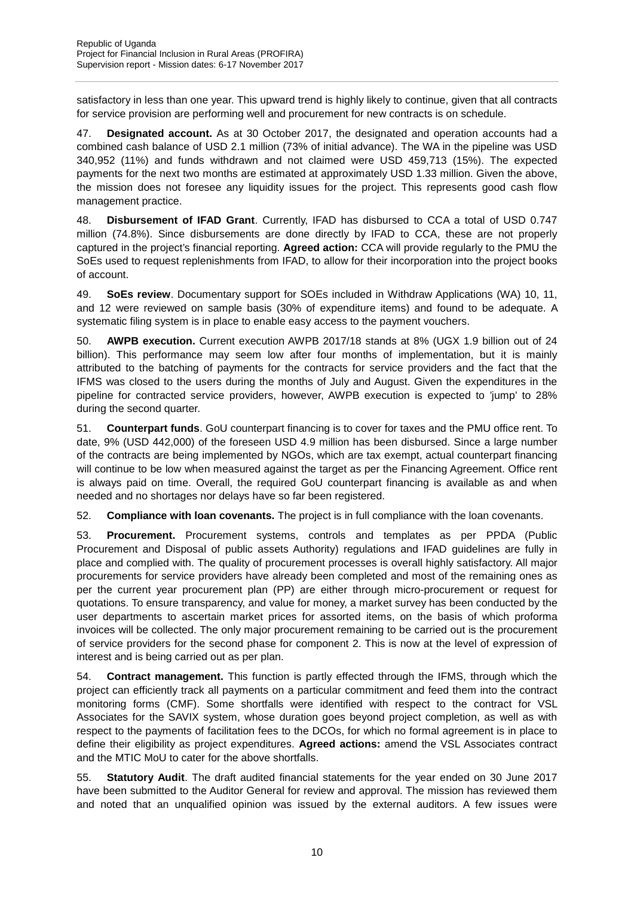satisfactory in less than one year. This upward trend is highly likely to continue, given that all contracts for service provision are performing well and procurement for new contracts is on schedule.

47. **Designated account.** As at 30 October 2017, the designated and operation accounts had a combined cash balance of USD 2.1 million (73% of initial advance). The WA in the pipeline was USD 340,952 (11%) and funds withdrawn and not claimed were USD 459,713 (15%). The expected payments for the next two months are estimated at approximately USD 1.33 million. Given the above, the mission does not foresee any liquidity issues for the project. This represents good cash flow management practice.

48. **Disbursement of IFAD Grant**. Currently, IFAD has disbursed to CCA a total of USD 0.747 million (74.8%). Since disbursements are done directly by IFAD to CCA, these are not properly captured in the project's financial reporting. **Agreed action:** CCA will provide regularly to the PMU the SoEs used to request replenishments from IFAD, to allow for their incorporation into the project books of account.

49. **SoEs review**. Documentary support for SOEs included in Withdraw Applications (WA) 10, 11, and 12 were reviewed on sample basis (30% of expenditure items) and found to be adequate. A systematic filing system is in place to enable easy access to the payment vouchers.

50. **AWPB execution.** Current execution AWPB 2017/18 stands at 8% (UGX 1.9 billion out of 24 billion). This performance may seem low after four months of implementation, but it is mainly attributed to the batching of payments for the contracts for service providers and the fact that the IFMS was closed to the users during the months of July and August. Given the expenditures in the pipeline for contracted service providers, however, AWPB execution is expected to 'jump' to 28% during the second quarter.

51. **Counterpart funds**. GoU counterpart financing is to cover for taxes and the PMU office rent. To date, 9% (USD 442,000) of the foreseen USD 4.9 million has been disbursed. Since a large number of the contracts are being implemented by NGOs, which are tax exempt, actual counterpart financing will continue to be low when measured against the target as per the Financing Agreement. Office rent is always paid on time. Overall, the required GoU counterpart financing is available as and when needed and no shortages nor delays have so far been registered.

52. **Compliance with loan covenants.** The project is in full compliance with the loan covenants.

53. **Procurement.** Procurement systems, controls and templates as per PPDA (Public Procurement and Disposal of public assets Authority) regulations and IFAD guidelines are fully in place and complied with. The quality of procurement processes is overall highly satisfactory. All major procurements for service providers have already been completed and most of the remaining ones as per the current year procurement plan (PP) are either through micro-procurement or request for quotations. To ensure transparency, and value for money, a market survey has been conducted by the user departments to ascertain market prices for assorted items, on the basis of which proforma invoices will be collected. The only major procurement remaining to be carried out is the procurement of service providers for the second phase for component 2. This is now at the level of expression of interest and is being carried out as per plan.

54. **Contract management.** This function is partly effected through the IFMS, through which the project can efficiently track all payments on a particular commitment and feed them into the contract monitoring forms (CMF). Some shortfalls were identified with respect to the contract for VSL Associates for the SAVIX system, whose duration goes beyond project completion, as well as with respect to the payments of facilitation fees to the DCOs, for which no formal agreement is in place to define their eligibility as project expenditures. **Agreed actions:** amend the VSL Associates contract and the MTIC MoU to cater for the above shortfalls.

55. **Statutory Audit**. The draft audited financial statements for the year ended on 30 June 2017 have been submitted to the Auditor General for review and approval. The mission has reviewed them and noted that an unqualified opinion was issued by the external auditors. A few issues were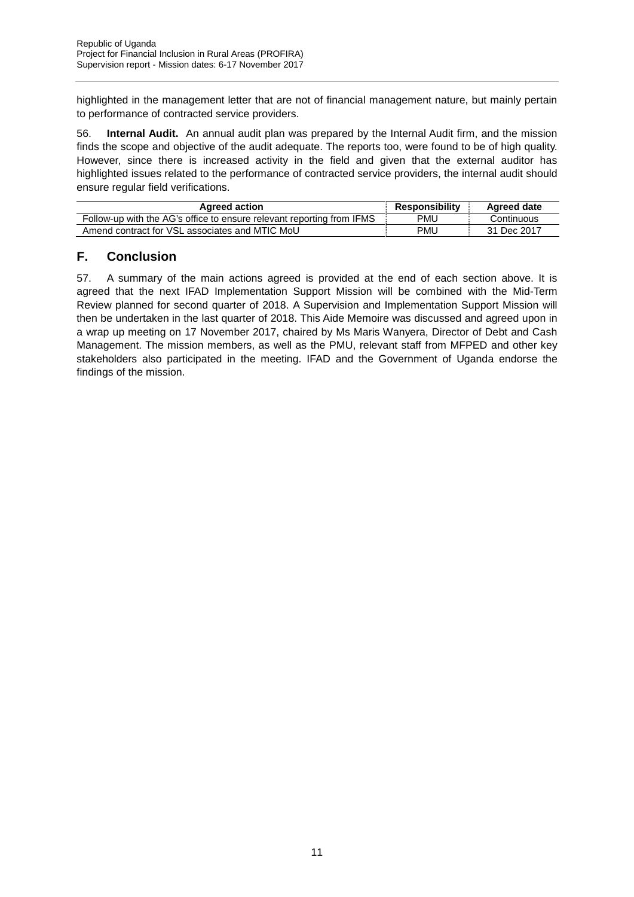highlighted in the management letter that are not of financial management nature, but mainly pertain to performance of contracted service providers.

56. **Internal Audit.** An annual audit plan was prepared by the Internal Audit firm, and the mission finds the scope and objective of the audit adequate. The reports too, were found to be of high quality. However, since there is increased activity in the field and given that the external auditor has highlighted issues related to the performance of contracted service providers, the internal audit should ensure regular field verifications.

| <b>Agreed action</b>                                                  | Responsibility | Agreed date |
|-----------------------------------------------------------------------|----------------|-------------|
| Follow-up with the AG's office to ensure relevant reporting from IFMS | PMU            | Continuous  |
| Amend contract for VSL associates and MTIC MoU                        | PMU            | 31 Dec 2017 |

### **F. Conclusion**

57. A summary of the main actions agreed is provided at the end of each section above. It is agreed that the next IFAD Implementation Support Mission will be combined with the Mid-Term Review planned for second quarter of 2018. A Supervision and Implementation Support Mission will then be undertaken in the last quarter of 2018. This Aide Memoire was discussed and agreed upon in a wrap up meeting on 17 November 2017, chaired by Ms Maris Wanyera, Director of Debt and Cash Management. The mission members, as well as the PMU, relevant staff from MFPED and other key stakeholders also participated in the meeting. IFAD and the Government of Uganda endorse the findings of the mission.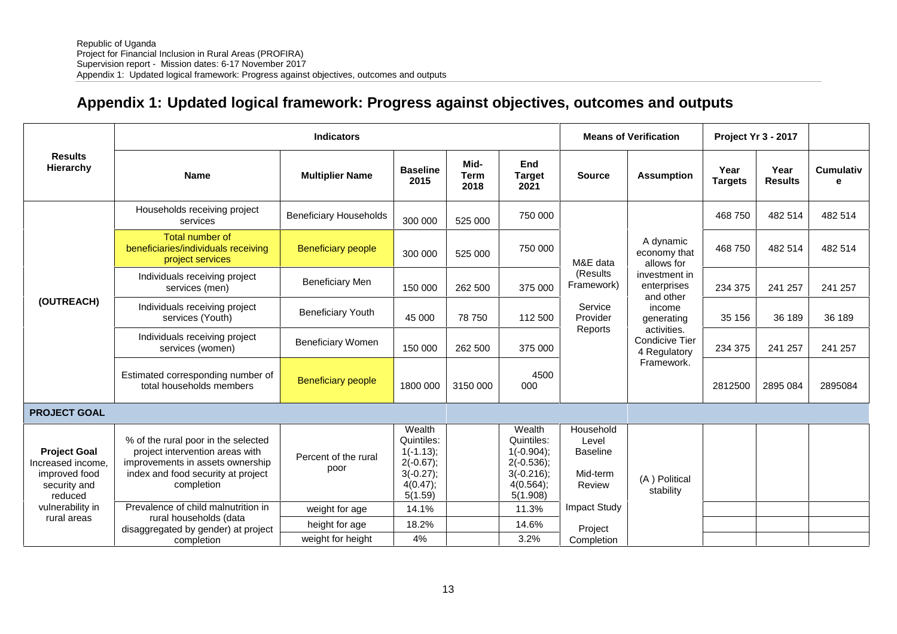# **Appendix 1: Updated logical framework: Progress against objectives, outcomes and outputs**

|                                                                                      | <b>Indicators</b>                                                                                                                                              |                               |                                                                                           |                             |                                                                                               | <b>Means of Verification</b>                                |                                                                                      | Project Yr 3 - 2017    |                        |                       |         |
|--------------------------------------------------------------------------------------|----------------------------------------------------------------------------------------------------------------------------------------------------------------|-------------------------------|-------------------------------------------------------------------------------------------|-----------------------------|-----------------------------------------------------------------------------------------------|-------------------------------------------------------------|--------------------------------------------------------------------------------------|------------------------|------------------------|-----------------------|---------|
| <b>Results</b><br>Hierarchy                                                          | <b>Name</b>                                                                                                                                                    | <b>Multiplier Name</b>        | <b>Baseline</b><br>2015                                                                   | Mid-<br><b>Term</b><br>2018 | End<br><b>Target</b><br>2021                                                                  | <b>Source</b>                                               | <b>Assumption</b>                                                                    | Year<br><b>Targets</b> | Year<br><b>Results</b> | <b>Cumulativ</b><br>е |         |
|                                                                                      | Households receiving project<br>services                                                                                                                       | <b>Beneficiary Households</b> | 300 000                                                                                   | 525 000                     | 750 000                                                                                       |                                                             | A dynamic<br>economy that<br>allows for<br>investment in<br>enterprises<br>and other |                        | 468 750                | 482 514               | 482 514 |
|                                                                                      | Total number of<br>beneficiaries/individuals receiving<br>project services                                                                                     | <b>Beneficiary people</b>     | 300 000                                                                                   | 525 000                     | 750 000                                                                                       | M&E data                                                    |                                                                                      | 468 750                | 482 514                | 482 514               |         |
|                                                                                      | Individuals receiving project<br>services (men)                                                                                                                | <b>Beneficiary Men</b>        | 150 000                                                                                   | 262 500                     | 375 000                                                                                       | (Results)<br>Framework)                                     |                                                                                      | 234 375                | 241 257                | 241 257               |         |
| (OUTREACH)                                                                           | Individuals receiving project<br>services (Youth)                                                                                                              | <b>Beneficiary Youth</b>      | 45 000                                                                                    | 78 750                      | 112 500                                                                                       | Service<br>Provider                                         | income<br>generating                                                                 | 35 156                 | 36 189                 | 36 189                |         |
|                                                                                      | Individuals receiving project<br>services (women)                                                                                                              | <b>Beneficiary Women</b>      | 150 000                                                                                   | 262 500                     | 375 000                                                                                       |                                                             | Reports<br>activities.<br>Condicive Tier<br>4 Regulatory<br>Framework.               | 234 375                | 241 257                | 241 257               |         |
|                                                                                      | Estimated corresponding number of<br>total households members                                                                                                  | <b>Beneficiary people</b>     | 1800 000                                                                                  | 3150 000                    | 4500<br>000                                                                                   |                                                             |                                                                                      | 2812500                | 2895 084               | 2895084               |         |
| <b>PROJECT GOAL</b>                                                                  |                                                                                                                                                                |                               |                                                                                           |                             |                                                                                               |                                                             |                                                                                      |                        |                        |                       |         |
| <b>Project Goal</b><br>Increased income.<br>improved food<br>security and<br>reduced | % of the rural poor in the selected<br>project intervention areas with<br>improvements in assets ownership<br>index and food security at project<br>completion | Percent of the rural<br>poor  | Wealth<br>Quintiles:<br>$1(-1.13);$<br>$2(-0.67)$ ;<br>$3(-0.27);$<br>4(0.47);<br>5(1.59) |                             | Wealth<br>Quintiles:<br>$1(-0.904);$<br>$2(-0.536);$<br>$3(-0.216);$<br>4(0.564);<br>5(1.908) | Household<br>Level<br><b>Baseline</b><br>Mid-term<br>Review | (A) Political<br>stability                                                           |                        |                        |                       |         |
| vulnerability in                                                                     | Prevalence of child malnutrition in                                                                                                                            | weight for age                | 14.1%                                                                                     |                             | 11.3%                                                                                         | Impact Study                                                |                                                                                      |                        |                        |                       |         |
| rural areas                                                                          | rural households (data<br>disaggregated by gender) at project                                                                                                  | height for age                | 18.2%                                                                                     |                             | 14.6%                                                                                         | Project                                                     |                                                                                      |                        |                        |                       |         |
|                                                                                      | completion                                                                                                                                                     | weight for height             | 4%                                                                                        |                             | 3.2%                                                                                          | Completion                                                  |                                                                                      |                        |                        |                       |         |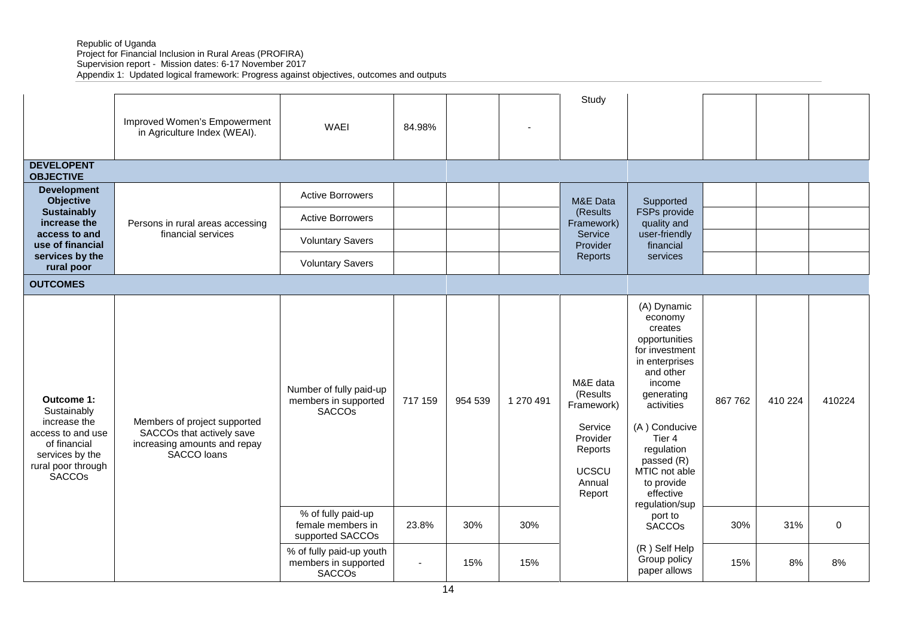Republic of Uganda Project for Financial Inclusion in Rural Areas (PROFIRA)

Supervision report - Mission dates: 6-17 November 2017

Appendix 1: Updated logical framework: Progress against objectives, outcomes and outputs

|                                                                                                                                          | Improved Women's Empowerment<br>in Agriculture Index (WEAI).                                             | <b>WAEI</b>                                                       | 84.98%  |         |           | Study                                                                                                    |                                                                                                                                                                                                                                                                |         |         |             |
|------------------------------------------------------------------------------------------------------------------------------------------|----------------------------------------------------------------------------------------------------------|-------------------------------------------------------------------|---------|---------|-----------|----------------------------------------------------------------------------------------------------------|----------------------------------------------------------------------------------------------------------------------------------------------------------------------------------------------------------------------------------------------------------------|---------|---------|-------------|
| <b>DEVELOPENT</b><br><b>OBJECTIVE</b>                                                                                                    |                                                                                                          |                                                                   |         |         |           |                                                                                                          |                                                                                                                                                                                                                                                                |         |         |             |
| <b>Development</b><br><b>Objective</b>                                                                                                   |                                                                                                          | <b>Active Borrowers</b>                                           |         |         |           | M&E Data                                                                                                 | Supported                                                                                                                                                                                                                                                      |         |         |             |
| <b>Sustainably</b><br>increase the                                                                                                       | Persons in rural areas accessing                                                                         | <b>Active Borrowers</b>                                           |         |         |           | (Results)<br>Framework)                                                                                  | FSPs provide<br>quality and                                                                                                                                                                                                                                    |         |         |             |
| access to and<br>use of financial                                                                                                        | financial services                                                                                       | <b>Voluntary Savers</b>                                           |         |         |           | Service<br>Provider                                                                                      | user-friendly<br>financial                                                                                                                                                                                                                                     |         |         |             |
| services by the<br>rural poor                                                                                                            |                                                                                                          | <b>Voluntary Savers</b>                                           |         |         |           | Reports                                                                                                  | services                                                                                                                                                                                                                                                       |         |         |             |
| <b>OUTCOMES</b>                                                                                                                          |                                                                                                          |                                                                   |         |         |           |                                                                                                          |                                                                                                                                                                                                                                                                |         |         |             |
| Outcome 1:<br>Sustainably<br>increase the<br>access to and use<br>of financial<br>services by the<br>rural poor through<br><b>SACCOS</b> | Members of project supported<br>SACCOs that actively save<br>increasing amounts and repay<br>SACCO loans | Number of fully paid-up<br>members in supported<br><b>SACCOS</b>  | 717 159 | 954 539 | 1 270 491 | M&E data<br>(Results<br>Framework)<br>Service<br>Provider<br>Reports<br><b>UCSCU</b><br>Annual<br>Report | (A) Dynamic<br>economy<br>creates<br>opportunities<br>for investment<br>in enterprises<br>and other<br>income<br>generating<br>activities<br>(A) Conducive<br>Tier 4<br>regulation<br>passed (R)<br>MTIC not able<br>to provide<br>effective<br>regulation/sup | 867 762 | 410 224 | 410224      |
|                                                                                                                                          |                                                                                                          | % of fully paid-up<br>female members in<br>supported SACCOs       | 23.8%   | 30%     | 30%       |                                                                                                          | port to<br><b>SACCOs</b>                                                                                                                                                                                                                                       | 30%     | 31%     | $\mathbf 0$ |
|                                                                                                                                          |                                                                                                          | % of fully paid-up youth<br>members in supported<br><b>SACCOs</b> | $\sim$  | 15%     | 15%       |                                                                                                          | (R) Self Help<br>Group policy<br>paper allows                                                                                                                                                                                                                  | 15%     | 8%      | 8%          |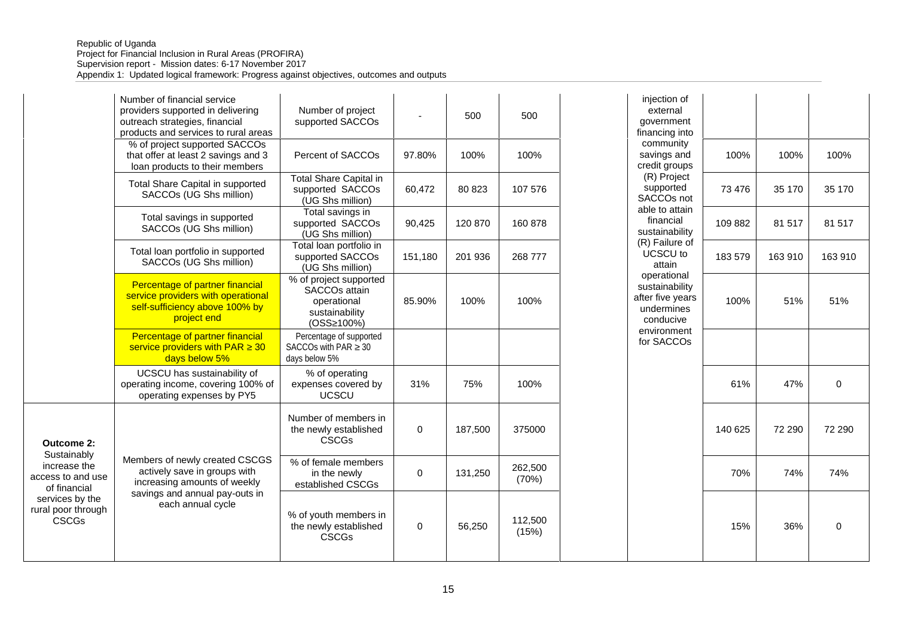|                                                                                                                           | Number of financial service<br>providers supported in delivering<br>outreach strategies, financial<br>products and services to rural areas            | Number of project<br>supported SACCOs                                                              |         | 500     | 500              | injection of<br>external<br>government<br>financing into                     |         |         |             |
|---------------------------------------------------------------------------------------------------------------------------|-------------------------------------------------------------------------------------------------------------------------------------------------------|----------------------------------------------------------------------------------------------------|---------|---------|------------------|------------------------------------------------------------------------------|---------|---------|-------------|
|                                                                                                                           | % of project supported SACCOs<br>that offer at least 2 savings and 3<br>loan products to their members                                                | Percent of SACCOs                                                                                  | 97.80%  | 100%    | 100%             | community<br>savings and<br>credit groups                                    | 100%    | 100%    | 100%        |
|                                                                                                                           | Total Share Capital in supported<br>SACCOs (UG Shs million)                                                                                           | <b>Total Share Capital in</b><br>supported SACCOs<br>(UG Shs million)                              | 60,472  | 80 823  | 107 576          | (R) Project<br>supported<br>SACCOs not                                       | 73 476  | 35 170  | 35 170      |
|                                                                                                                           | Total savings in supported<br>SACCOs (UG Shs million)                                                                                                 | Total savings in<br>supported SACCOs<br>(UG Shs million)                                           | 90,425  | 120 870 | 160 878          | able to attain<br>financial<br>sustainability                                | 109 882 | 81 517  | 81 517      |
|                                                                                                                           | Total loan portfolio in supported<br>SACCOs (UG Shs million)                                                                                          | Total loan portfolio in<br>supported SACCOs<br>(UG Shs million)                                    | 151,180 | 201 936 | 268 777          | (R) Failure of<br>UCSCU to<br>attain<br>operational                          | 183 579 | 163 910 | 163 910     |
|                                                                                                                           | Percentage of partner financial<br>service providers with operational<br>self-sufficiency above 100% by<br>project end                                | % of project supported<br>SACCO <sub>s</sub> attain<br>operational<br>sustainability<br>(OSS 100%) | 85.90%  | 100%    | 100%             | sustainability<br>after five years<br>undermines<br>conducive<br>environment | 100%    | 51%     | 51%         |
|                                                                                                                           | Percentage of partner financial<br>service providers with PAR 30<br>days below 5%                                                                     | Percentage of supported<br>SACCOs with PAR 30<br>days below 5%                                     |         |         |                  | for SACCOs                                                                   |         |         |             |
|                                                                                                                           | UCSCU has sustainability of<br>operating income, covering 100% of<br>operating expenses by PY5                                                        | % of operating<br>expenses covered by<br><b>UCSCU</b>                                              | 31%     | 75%     | 100%             |                                                                              | 61%     | 47%     | $\mathbf 0$ |
| <b>Outcome 2:</b>                                                                                                         |                                                                                                                                                       | Number of members in<br>the newly established<br><b>CSCGs</b>                                      | 0       | 187.500 | 375000           |                                                                              | 140 625 | 72 290  | 72 290      |
| Sustainably<br>increase the<br>access to and use<br>of financial<br>services by the<br>rural poor through<br><b>CSCGs</b> | Members of newly created CSCGS<br>actively save in groups with<br>increasing amounts of weekly<br>savings and annual pay-outs in<br>each annual cycle | % of female members<br>in the newly<br>established CSCGs                                           | 0       | 131,250 | 262,500<br>(70%) |                                                                              | 70%     | 74%     | 74%         |
|                                                                                                                           |                                                                                                                                                       | % of youth members in<br>the newly established<br><b>CSCGs</b>                                     | 0       | 56,250  | 112,500<br>(15%) |                                                                              | 15%     | 36%     | $\pmb{0}$   |

|           | 500     | 500              | injection of<br>external<br>government<br>financing into                     |         |         |             |
|-----------|---------|------------------|------------------------------------------------------------------------------|---------|---------|-------------|
| 97.80%    | 100%    | 100%             | community<br>savings and<br>credit groups                                    | 100%    | 100%    | 100%        |
| 60,472    | 80 823  | 107 576          | (R) Project<br>supported<br>SACCOs not                                       | 73 476  | 35 170  | 35 170      |
| 90,425    | 120 870 | 160 878          | able to attain<br>financial<br>sustainability                                | 109 882 | 81 517  | 81 517      |
| 151,180   | 201 936 | 268 777          | (R) Failure of<br>UCSCU to<br>attain                                         | 183 579 | 163 910 | 163 910     |
| 85.90%    | 100%    | 100%             | operational<br>sustainability<br>after five years<br>undermines<br>conducive | 100%    | 51%     | 51%         |
|           |         |                  | environment<br>for SACCOs                                                    |         |         |             |
| 31%       | 75%     | 100%             |                                                                              | 61%     | 47%     | $\pmb{0}$   |
| $\pmb{0}$ | 187,500 | 375000           |                                                                              | 140 625 | 72 290  | 72 290      |
| $\pmb{0}$ | 131,250 | 262,500<br>(70%) |                                                                              | 70%     | 74%     | 74%         |
| $\pmb{0}$ | 56,250  | 112,500<br>(15%) |                                                                              | 15%     | 36%     | $\mathbf 0$ |
|           |         |                  |                                                                              |         |         |             |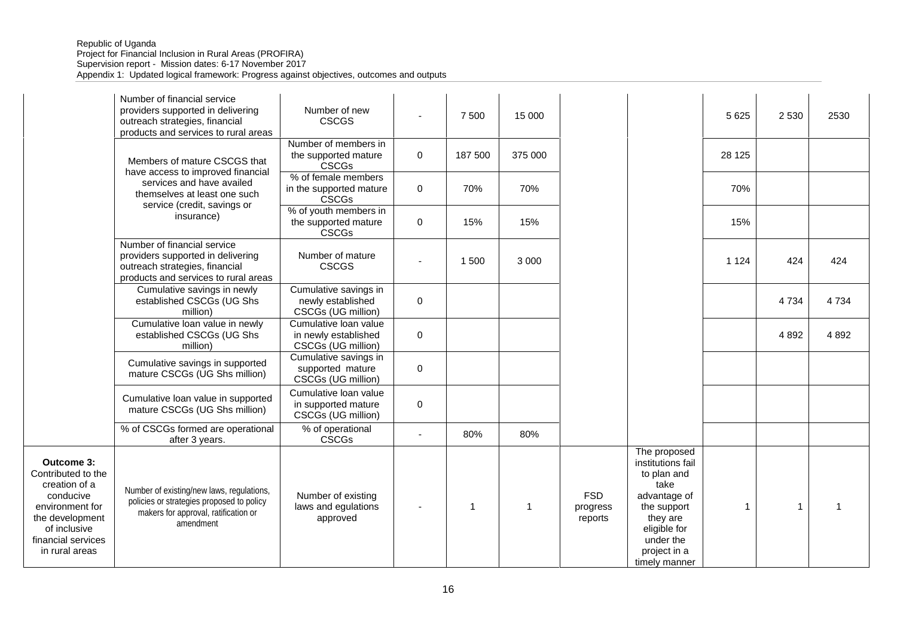#### Republic of Uganda Project for Financial Inclusion in Rural Areas (PROFIRA) Supervision report - Mission dates: 6-17 November 2017 Appendix 1: Updated logical framework: Progress against objectives, outcomes and outputs

|                                                                                                                                                              | Number of financial service<br>providers supported in delivering<br>outreach strategies, financial<br>products and services to rural areas  | Number of new<br><b>CSCGS</b>                                       |                          | 7 500        | 15 000       |                                   |                                                                                                                                                                   | 5 6 2 5      | 2 5 3 0 | 2530    |
|--------------------------------------------------------------------------------------------------------------------------------------------------------------|---------------------------------------------------------------------------------------------------------------------------------------------|---------------------------------------------------------------------|--------------------------|--------------|--------------|-----------------------------------|-------------------------------------------------------------------------------------------------------------------------------------------------------------------|--------------|---------|---------|
|                                                                                                                                                              | Members of mature CSCGS that                                                                                                                | Number of members in<br>the supported mature<br><b>CSCGs</b>        | 0                        | 187 500      | 375 000      |                                   |                                                                                                                                                                   | 28 1 25      |         |         |
|                                                                                                                                                              | have access to improved financial<br>services and have availed<br>themselves at least one such                                              | % of female members<br>in the supported mature<br><b>CSCGs</b>      | $\mathbf 0$              | 70%          | 70%          |                                   |                                                                                                                                                                   | 70%          |         |         |
|                                                                                                                                                              | service (credit, savings or<br>insurance)                                                                                                   | % of youth members in<br>the supported mature<br><b>CSCGs</b>       | $\mathbf 0$              | 15%          | 15%          |                                   |                                                                                                                                                                   | 15%          |         |         |
|                                                                                                                                                              | Number of financial service<br>providers supported in delivering<br>outreach strategies, financial<br>products and services to rural areas  | Number of mature<br><b>CSCGS</b>                                    |                          | 1 500        | 3 0 0 0      |                                   |                                                                                                                                                                   | 1 1 2 4      | 424     | 424     |
|                                                                                                                                                              | Cumulative savings in newly<br>established CSCGs (UG Shs<br>million)                                                                        | Cumulative savings in<br>newly established<br>CSCGs (UG million)    | $\mathbf 0$              |              |              |                                   |                                                                                                                                                                   |              | 4734    | 4734    |
|                                                                                                                                                              | Cumulative loan value in newly<br>established CSCGs (UG Shs<br>million)                                                                     | Cumulative loan value<br>in newly established<br>CSCGs (UG million) | $\mathbf 0$              |              |              |                                   |                                                                                                                                                                   |              | 4892    | 4 8 9 2 |
|                                                                                                                                                              | Cumulative savings in supported<br>mature CSCGs (UG Shs million)                                                                            | Cumulative savings in<br>supported mature<br>CSCGs (UG million)     | 0                        |              |              |                                   |                                                                                                                                                                   |              |         |         |
|                                                                                                                                                              | Cumulative loan value in supported<br>mature CSCGs (UG Shs million)                                                                         | Cumulative loan value<br>in supported mature<br>CSCGs (UG million)  | $\mathbf 0$              |              |              |                                   |                                                                                                                                                                   |              |         |         |
|                                                                                                                                                              | % of CSCGs formed are operational<br>after 3 years.                                                                                         | % of operational<br><b>CSCGs</b>                                    | $\overline{\phantom{a}}$ | 80%          | 80%          |                                   |                                                                                                                                                                   |              |         |         |
| Outcome 3:<br>Contributed to the<br>creation of a<br>conducive<br>environment for<br>the development<br>of inclusive<br>financial services<br>in rural areas | Number of existing/new laws, regulations,<br>policies or strategies proposed to policy<br>makers for approval, ratification or<br>amendment | Number of existing<br>laws and egulations<br>approved               |                          | $\mathbf{1}$ | $\mathbf{1}$ | <b>FSD</b><br>progress<br>reports | The proposed<br>institutions fail<br>to plan and<br>take<br>advantage of<br>the support<br>they are<br>eligible for<br>under the<br>project in a<br>timely manner | $\mathbf{1}$ | 1       | 1       |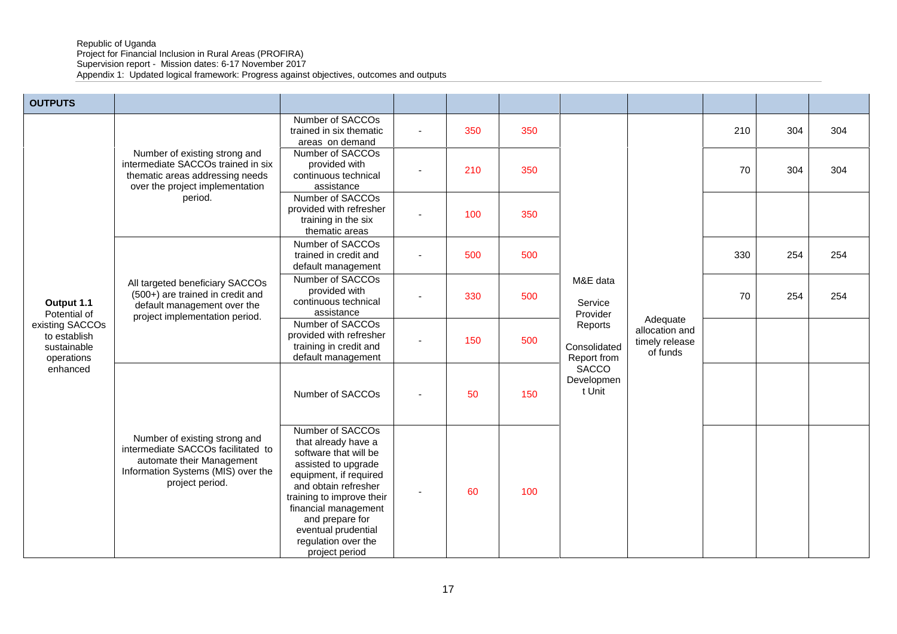Republic of Uganda

Project for Financial Inclusion in Rural Areas (PROFIRA)

Supervision report - Mission dates: 6-17 November 2017

Appendix 1: Updated logical framework: Progress against objectives, outcomes and outputs

| <b>OUTPUTS</b>                                               |                                                                                                                                                           |                                                                                                                                                                                                                                                                                   |     |     |                                        |                                              |     |     |     |
|--------------------------------------------------------------|-----------------------------------------------------------------------------------------------------------------------------------------------------------|-----------------------------------------------------------------------------------------------------------------------------------------------------------------------------------------------------------------------------------------------------------------------------------|-----|-----|----------------------------------------|----------------------------------------------|-----|-----|-----|
|                                                              |                                                                                                                                                           | Number of SACCOs<br>trained in six thematic<br>areas on demand                                                                                                                                                                                                                    | 350 | 350 |                                        |                                              | 210 | 304 | 304 |
|                                                              | Number of existing strong and<br>intermediate SACCOs trained in six<br>thematic areas addressing needs<br>over the project implementation                 | Number of SACCOs<br>provided with<br>continuous technical<br>assistance                                                                                                                                                                                                           | 210 | 350 |                                        |                                              | 70  | 304 | 304 |
|                                                              | period.                                                                                                                                                   | Number of SACCOs<br>provided with refresher<br>training in the six<br>thematic areas                                                                                                                                                                                              | 100 | 350 |                                        |                                              |     |     |     |
|                                                              |                                                                                                                                                           | Number of SACCOs<br>trained in credit and<br>default management                                                                                                                                                                                                                   | 500 | 500 |                                        |                                              | 330 | 254 | 254 |
| Output 1.1<br>Potential of                                   | All targeted beneficiary SACCOs<br>(500+) are trained in credit and<br>default management over the<br>project implementation period.                      | Number of SACCOs<br>provided with<br>continuous technical<br>assistance                                                                                                                                                                                                           | 330 | 500 | M&E data<br>Service<br>Provider        | Adequate                                     | 70  | 254 | 254 |
| existing SACCOs<br>to establish<br>sustainable<br>operations |                                                                                                                                                           | Number of SACCOs<br>provided with refresher<br>training in credit and<br>default management                                                                                                                                                                                       | 150 | 500 | Reports<br>Consolidated<br>Report from | allocation and<br>timely release<br>of funds |     |     |     |
| enhanced                                                     |                                                                                                                                                           | Number of SACCOs                                                                                                                                                                                                                                                                  | 50  | 150 | <b>SACCO</b><br>Developmen<br>t Unit   |                                              |     |     |     |
|                                                              | Number of existing strong and<br>intermediate SACCOs facilitated to<br>automate their Management<br>Information Systems (MIS) over the<br>project period. | Number of SACCOs<br>that already have a<br>software that will be<br>assisted to upgrade<br>equipment, if required<br>and obtain refresher<br>training to improve their<br>financial management<br>and prepare for<br>eventual prudential<br>regulation over the<br>project period | 60  | 100 |                                        |                                              |     |     |     |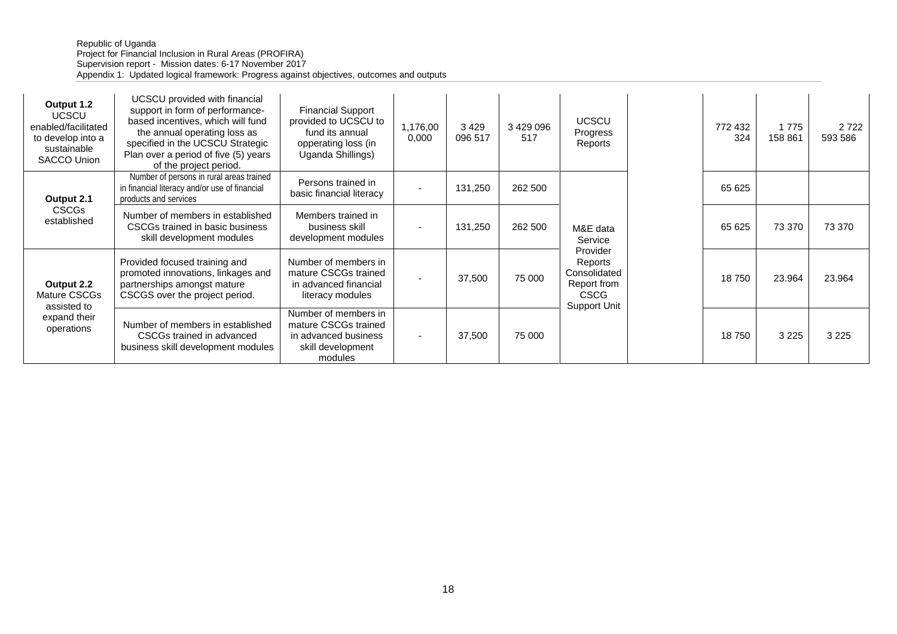#### Republic of Uganda Project for Financial Inclusion in Rural Areas (PROFIRA) Supervision report - Mission dates: 6-17 November 2017 Appendix 1: Updated logical framework: Progress against objectives, outcomes and outputs

| Output 1.2<br><b>UCSCU</b><br>enabled/facilitated<br>to develop into a<br>sustainable<br>SACCO Union | UCSCU provided with financial<br>support in form of performance-<br>based incentives, which will fund<br>the annual operating loss as<br>specified in the UCSCU Strategic<br>Plan over a period of five (5) years<br>of the project period. | <b>Financial Support</b><br>provided to UCSCU to<br>fund its annual<br>opperating loss (in<br>Uganda Shillings) | 1,176,00<br>0,000        | 3429<br>096 517 | 3 429 096<br>517 | <b>UCSCU</b><br>Progress<br>Reports                                               | 772 432<br>324 | 1 7 7 5<br>158 861 | 2 7 2 2<br>593 586 |
|------------------------------------------------------------------------------------------------------|---------------------------------------------------------------------------------------------------------------------------------------------------------------------------------------------------------------------------------------------|-----------------------------------------------------------------------------------------------------------------|--------------------------|-----------------|------------------|-----------------------------------------------------------------------------------|----------------|--------------------|--------------------|
| Output 2.1                                                                                           | Number of persons in rural areas trained<br>in financial literacy and/or use of financial<br>products and services                                                                                                                          | Persons trained in<br>basic financial literacy                                                                  | $\overline{\phantom{0}}$ | 131,250         | 262 500          |                                                                                   | 65 625         |                    |                    |
| CSCGs<br>established                                                                                 | Number of members in established<br>CSCGs trained in basic business<br>skill development modules                                                                                                                                            | Members trained in<br>business skill<br>development modules                                                     |                          | 131,250         | 262 500          | M&E data<br>Service                                                               | 65 625         | 73 370             | 73 370             |
| Output 2.2<br>Mature CSCGs<br>assisted to                                                            | Provided focused training and<br>promoted innovations, linkages and<br>partnerships amongst mature<br>CSCGS over the project period.                                                                                                        | Number of members in<br>mature CSCGs trained<br>in advanced financial<br>literacy modules                       |                          | 37,500          | 75 000           | Provider<br>Reports<br>Consolidated<br>Report from<br><b>CSCG</b><br>Support Unit | 18750          | 23.964             | 23.964             |
| expand their<br>operations                                                                           | Number of members in established<br>CSCGs trained in advanced<br>business skill development modules                                                                                                                                         | Number of members in<br>mature CSCGs trained<br>in advanced business<br>skill development<br>modules            |                          | 37,500          | 75 000           |                                                                                   | 18750          | 3 2 2 5            | 3 2 2 5            |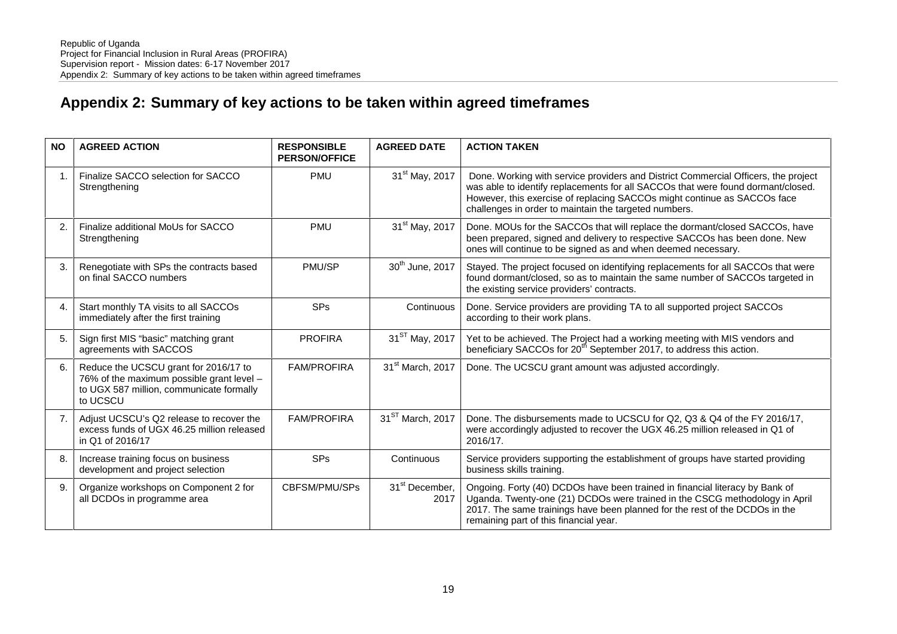# **Appendix 2: Summary of key actions to be taken within agreed timeframes**

| <b>NO</b> | <b>AGREED ACTION</b>                                                                                                                       | <b>RESPONSIBLE</b><br><b>PERSON/OFFICE</b> | <b>AGREED DATE</b>                 | <b>ACTION TAKEN</b>                                                                                                                                                                                                                                                                                         |
|-----------|--------------------------------------------------------------------------------------------------------------------------------------------|--------------------------------------------|------------------------------------|-------------------------------------------------------------------------------------------------------------------------------------------------------------------------------------------------------------------------------------------------------------------------------------------------------------|
| 1.        | Finalize SACCO selection for SACCO<br>Strengthening                                                                                        | <b>PMU</b>                                 | 31 <sup>st</sup> May, 2017         | Done. Working with service providers and District Commercial Officers, the project<br>was able to identify replacements for all SACCOs that were found dormant/closed.<br>However, this exercise of replacing SACCOs might continue as SACCOs face<br>challenges in order to maintain the targeted numbers. |
| 2.        | Finalize additional MoUs for SACCO<br>Strengthening                                                                                        | <b>PMU</b>                                 | 31 <sup>st</sup> May, 2017         | Done. MOUs for the SACCOs that will replace the dormant/closed SACCOs, have<br>been prepared, signed and delivery to respective SACCOs has been done. New<br>ones will continue to be signed as and when deemed necessary.                                                                                  |
| 3.        | Renegotiate with SPs the contracts based<br>on final SACCO numbers                                                                         | PMU/SP                                     | 30 <sup>th</sup> June, 2017        | Stayed. The project focused on identifying replacements for all SACCOs that were<br>found dormant/closed, so as to maintain the same number of SACCOs targeted in<br>the existing service providers' contracts.                                                                                             |
| 4.        | Start monthly TA visits to all SACCOs<br>immediately after the first training                                                              | <b>SPs</b>                                 | Continuous                         | Done. Service providers are providing TA to all supported project SACCOs<br>according to their work plans.                                                                                                                                                                                                  |
| 5.        | Sign first MIS "basic" matching grant<br>agreements with SACCOS                                                                            | <b>PROFIRA</b>                             | 31 <sup>ST</sup> May, 2017         | Yet to be achieved. The Project had a working meeting with MIS vendors and<br>beneficiary SACCOs for 20 <sup>th</sup> September 2017, to address this action.                                                                                                                                               |
| 6.        | Reduce the UCSCU grant for 2016/17 to<br>76% of the maximum possible grant level -<br>to UGX 587 million, communicate formally<br>to UCSCU | <b>FAM/PROFIRA</b>                         | 31 <sup>st</sup> March, 2017       | Done. The UCSCU grant amount was adjusted accordingly.                                                                                                                                                                                                                                                      |
| 7.        | Adjust UCSCU's Q2 release to recover the<br>excess funds of UGX 46.25 million released<br>in Q1 of 2016/17                                 | <b>FAM/PROFIRA</b>                         | 31 <sup>ST</sup> March, 2017       | Done. The disbursements made to UCSCU for Q2, Q3 & Q4 of the FY 2016/17,<br>were accordingly adjusted to recover the UGX 46.25 million released in Q1 of<br>2016/17.                                                                                                                                        |
| 8.        | Increase training focus on business<br>development and project selection                                                                   | <b>SPs</b>                                 | Continuous                         | Service providers supporting the establishment of groups have started providing<br>business skills training.                                                                                                                                                                                                |
| 9.        | Organize workshops on Component 2 for<br>all DCDOs in programme area                                                                       | CBFSM/PMU/SPs                              | 31 <sup>st</sup> December,<br>2017 | Ongoing. Forty (40) DCDOs have been trained in financial literacy by Bank of<br>Uganda. Twenty-one (21) DCDOs were trained in the CSCG methodology in April<br>2017. The same trainings have been planned for the rest of the DCDOs in the<br>remaining part of this financial year.                        |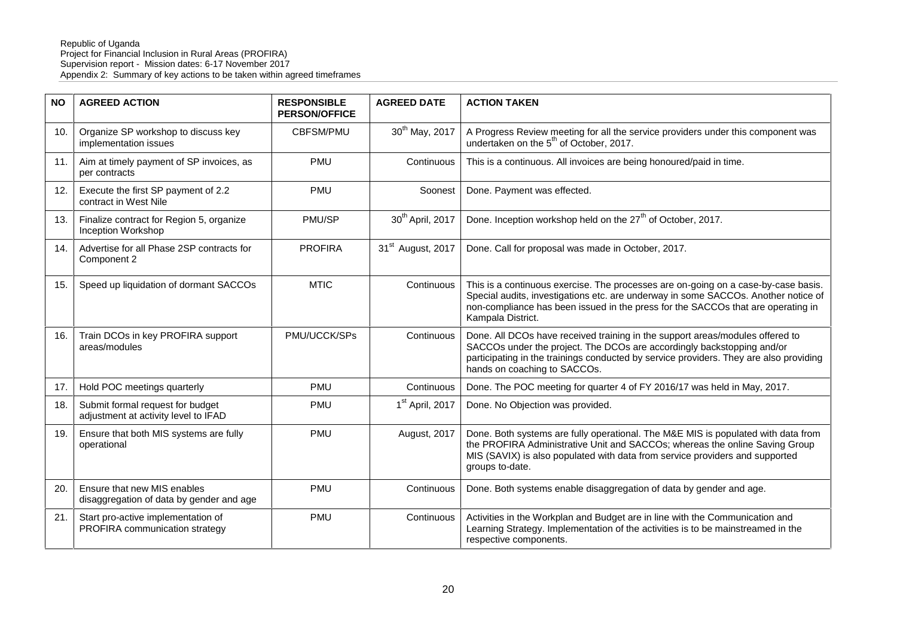| <b>NO</b> | <b>AGREED ACTION</b>                                                     | <b>RESPONSIBLE</b><br><b>PERSON/OFFICE</b> | <b>AGREED DATE</b>            | <b>ACTION TAKEN</b>                                                                                                                                                                                                                                                               |
|-----------|--------------------------------------------------------------------------|--------------------------------------------|-------------------------------|-----------------------------------------------------------------------------------------------------------------------------------------------------------------------------------------------------------------------------------------------------------------------------------|
| 10.       | Organize SP workshop to discuss key<br>implementation issues             | <b>CBFSM/PMU</b>                           | 30 <sup>th</sup> May, 2017    | A Progress Review meeting for all the service providers under this component was<br>undertaken on the 5 <sup>th</sup> of October, 2017.                                                                                                                                           |
| 11.       | Aim at timely payment of SP invoices, as<br>per contracts                | <b>PMU</b>                                 | Continuous                    | This is a continuous. All invoices are being honoured/paid in time.                                                                                                                                                                                                               |
| 12.       | Execute the first SP payment of 2.2<br>contract in West Nile             | <b>PMU</b>                                 | Soonest                       | Done. Payment was effected.                                                                                                                                                                                                                                                       |
| 13.       | Finalize contract for Region 5, organize<br><b>Inception Workshop</b>    | PMU/SP                                     | 30 <sup>th</sup> April, 2017  | Done. Inception workshop held on the 27 <sup>th</sup> of October, 2017.                                                                                                                                                                                                           |
| 14.       | Advertise for all Phase 2SP contracts for<br>Component 2                 | <b>PROFIRA</b>                             | 31 <sup>st</sup> August, 2017 | Done. Call for proposal was made in October, 2017.                                                                                                                                                                                                                                |
| 15.       | Speed up liquidation of dormant SACCOs                                   | <b>MTIC</b>                                | Continuous                    | This is a continuous exercise. The processes are on-going on a case-by-case basis.<br>Special audits, investigations etc. are underway in some SACCOs. Another notice of<br>non-compliance has been issued in the press for the SACCOs that are operating in<br>Kampala District. |
| 16.       | Train DCOs in key PROFIRA support<br>areas/modules                       | PMU/UCCK/SPs                               | Continuous                    | Done. All DCOs have received training in the support areas/modules offered to<br>SACCOs under the project. The DCOs are accordingly backstopping and/or<br>participating in the trainings conducted by service providers. They are also providing<br>hands on coaching to SACCOs. |
| 17.       | Hold POC meetings quarterly                                              | <b>PMU</b>                                 | Continuous                    | Done. The POC meeting for quarter 4 of FY 2016/17 was held in May, 2017.                                                                                                                                                                                                          |
| 18.       | Submit formal request for budget<br>adjustment at activity level to IFAD | <b>PMU</b>                                 | 1 <sup>st</sup> April, 2017   | Done. No Objection was provided.                                                                                                                                                                                                                                                  |
| 19.       | Ensure that both MIS systems are fully<br>operational                    | <b>PMU</b>                                 | August, 2017                  | Done. Both systems are fully operational. The M&E MIS is populated with data from<br>the PROFIRA Administrative Unit and SACCOs; whereas the online Saving Group<br>MIS (SAVIX) is also populated with data from service providers and supported<br>groups to-date.               |
| 20.       | Ensure that new MIS enables<br>disaggregation of data by gender and age  | <b>PMU</b>                                 | Continuous                    | Done. Both systems enable disaggregation of data by gender and age.                                                                                                                                                                                                               |
| 21.       | Start pro-active implementation of<br>PROFIRA communication strategy     | <b>PMU</b>                                 | Continuous                    | Activities in the Workplan and Budget are in line with the Communication and<br>Learning Strategy. Implementation of the activities is to be mainstreamed in the<br>respective components.                                                                                        |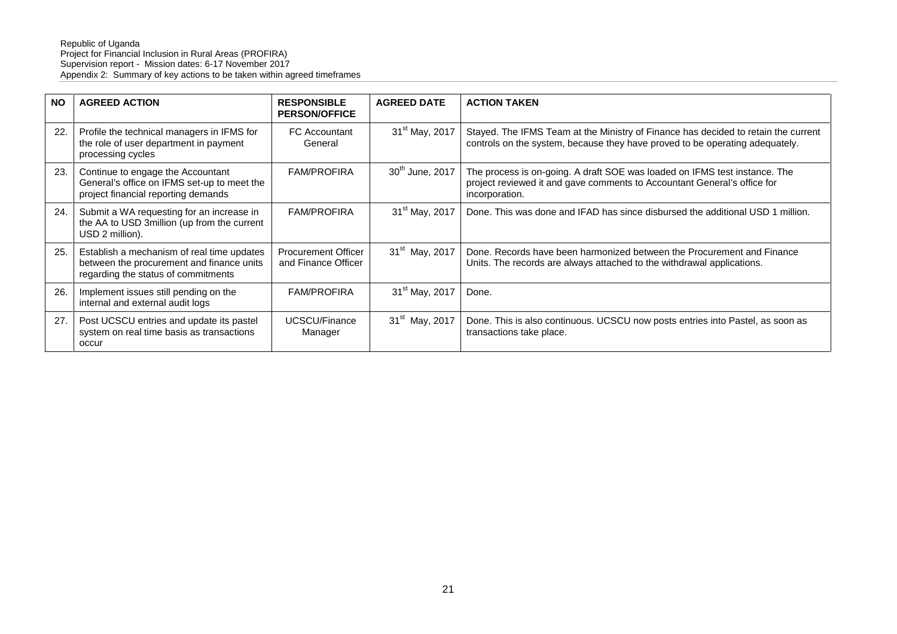| <b>NO</b> | <b>AGREED ACTION</b>                                                                                                           | <b>RESPONSIBLE</b><br><b>PERSON/OFFICE</b>        | <b>AGREED DATE</b>          | <b>ACTION TAKEN</b>                                                                                                                                                      |
|-----------|--------------------------------------------------------------------------------------------------------------------------------|---------------------------------------------------|-----------------------------|--------------------------------------------------------------------------------------------------------------------------------------------------------------------------|
| 22.       | Profile the technical managers in IFMS for<br>the role of user department in payment<br>processing cycles                      | FC Accountant<br>General                          | 31 <sup>st</sup> May, 2017  | Stayed. The IFMS Team at the Ministry of Finance has decided to retain the current<br>controls on the system, because they have proved to be operating adequately.       |
| 23.       | Continue to engage the Accountant<br>General's office on IFMS set-up to meet the<br>project financial reporting demands        | <b>FAM/PROFIRA</b>                                | 30 <sup>th</sup> June, 2017 | The process is on-going. A draft SOE was loaded on IFMS test instance. The<br>project reviewed it and gave comments to Accountant General's office for<br>incorporation. |
| 24.       | Submit a WA requesting for an increase in<br>the AA to USD 3million (up from the current<br>USD 2 million).                    | <b>FAM/PROFIRA</b>                                | 31 <sup>st</sup> May, 2017  | Done. This was done and IFAD has since disbursed the additional USD 1 million.                                                                                           |
| 25.       | Establish a mechanism of real time updates<br>between the procurement and finance units<br>regarding the status of commitments | <b>Procurement Officer</b><br>and Finance Officer | 31 <sup>st</sup> May, 2017  | Done. Records have been harmonized between the Procurement and Finance<br>Units. The records are always attached to the withdrawal applications.                         |
| 26.       | Implement issues still pending on the<br>internal and external audit logs                                                      | <b>FAM/PROFIRA</b>                                | 31 <sup>st</sup> May, 2017  | Done.                                                                                                                                                                    |
| 27.       | Post UCSCU entries and update its pastel<br>system on real time basis as transactions<br>occur                                 | UCSCU/Finance<br>Manager                          | 31 <sup>st</sup> May, 2017  | Done. This is also continuous. UCSCU now posts entries into Pastel, as soon as<br>transactions take place.                                                               |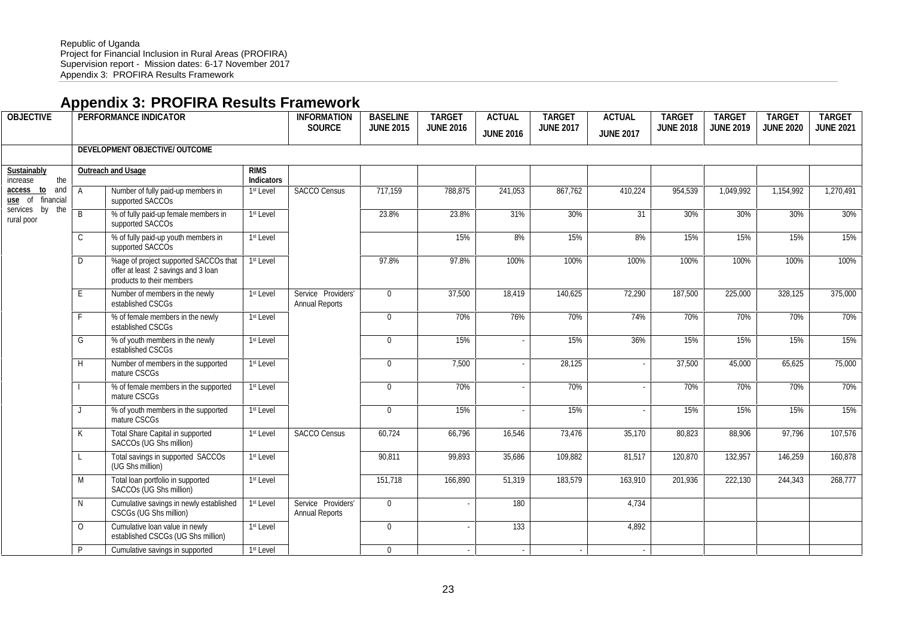## **Appendix 3: PROFIRA Results Framework**

| <b>OBJECTIVE</b>                  |              | PERFORMANCE INDICATOR                                                                                     |                           | <b>INFORMATION</b><br>SOURCE                | <b>BASELINE</b><br><b>JUNE 2015</b> | <b>TARGET</b><br><b>JUNE 2016</b> | <b>ACTUAL</b><br><b>JUNE 2016</b> | <b>TARGET</b><br><b>JUNE 2017</b> | <b>ACTUAL</b><br><b>JUNE 2017</b> | <b>TARGET</b><br><b>JUNE 2018</b> | <b>TARGET</b><br><b>JUNE 2019</b> | <b>TARGET</b><br><b>JUNE 2020</b> | <b>TARGET</b><br><b>JUNE 2021</b> |
|-----------------------------------|--------------|-----------------------------------------------------------------------------------------------------------|---------------------------|---------------------------------------------|-------------------------------------|-----------------------------------|-----------------------------------|-----------------------------------|-----------------------------------|-----------------------------------|-----------------------------------|-----------------------------------|-----------------------------------|
|                                   |              | DEVELOPMENT OBJECTIVE/ OUTCOME                                                                            |                           |                                             |                                     |                                   |                                   |                                   |                                   |                                   |                                   |                                   |                                   |
| Sustainably<br>the<br>increase    |              | Outreach and Usage                                                                                        | <b>RIMS</b><br>Indicators |                                             |                                     |                                   |                                   |                                   |                                   |                                   |                                   |                                   |                                   |
| access to and<br>use of financial | $\mathsf{A}$ | Number of fully paid-up members in<br>supported SACCOs                                                    | 1 <sup>st</sup> Level     | <b>SACCO Census</b>                         | 717,159                             | 788,875                           | 241,053                           | 867,762                           | 410,224                           | 954,539                           | 1,049,992                         | 1,154,992                         | 1,270,491                         |
| services by the<br>rural poor     | B            | % of fully paid-up female members in<br>supported SACCOs                                                  | 1 <sup>st</sup> Level     |                                             | 23.8%                               | 23.8%                             | 31%                               | 30%                               | 31                                | 30%                               | 30%                               | 30%                               | 30%                               |
|                                   | $\mathsf{C}$ | % of fully paid-up youth members in<br>supported SACCOs                                                   | 1 <sup>st</sup> Level     |                                             |                                     | 15%                               | 8%                                | 15%                               | 8%                                | 15%                               | 15%                               | 15%                               | 15%                               |
|                                   | D            | %age of project supported SACCOs that<br>offer at least 2 savings and 3 loan<br>products to their members | 1 <sup>st</sup> Level     |                                             | 97.8%                               | 97.8%                             | 100%                              | 100%                              | 100%                              | 100%                              | 100%                              | 100%                              | 100%                              |
|                                   | E            | Number of members in the newly<br>established CSCGs                                                       | 1 <sup>st</sup> Level     | Service Providers'<br><b>Annual Reports</b> | $\overline{0}$                      | 37,500                            | 18,419                            | 140,625                           | 72,290                            | 187.500                           | 225,000                           | 328,125                           | 375,000                           |
|                                   | F            | % of female members in the newly<br>established CSCGs                                                     | 1 <sup>st</sup> Level     |                                             | $\mathbf{0}$                        | 70%                               | 76%                               | 70%                               | 74%                               | 70%                               | 70%                               | 70%                               | 70%                               |
|                                   | G            | % of youth members in the newly<br>established CSCGs                                                      | 1 <sup>st</sup> Level     |                                             | $\mathbf{0}$                        | 15%                               |                                   | 15%                               | 36%                               | 15%                               | 15%                               | 15%                               | 15%                               |
|                                   | H            | Number of members in the supported<br>mature CSCGs                                                        | 1 <sup>st</sup> Level     |                                             | $\mathbf{0}$                        | 7,500                             |                                   | 28,125                            |                                   | 37,500                            | 45,000                            | 65,625                            | 75,000                            |
|                                   | $\mathbf{I}$ | % of female members in the supported<br>mature CSCGs                                                      | 1 <sup>st</sup> Level     |                                             | $\overline{0}$                      | 70%                               |                                   | 70%                               |                                   | 70%                               | 70%                               | 70%                               | 70%                               |
|                                   | $\perp$      | % of youth members in the supported<br>mature CSCGs                                                       | 1 <sup>st</sup> Level     |                                             | $\mathbf{0}$                        | 15%                               |                                   | 15%                               |                                   | 15%                               | 15%                               | 15%                               | 15%                               |
|                                   | K            | <b>Total Share Capital in supported</b><br>SACCOs (UG Shs million)                                        | 1 <sup>st</sup> Level     | <b>SACCO Census</b>                         | 60,724                              | 66,796                            | 16,546                            | 73,476                            | 35,170                            | 80,823                            | 88,906                            | 97,796                            | 107,576                           |
|                                   | L            | Total savings in supported SACCOs<br>(UG Shs million)                                                     | 1st Level                 |                                             | 90,811                              | 99,893                            | 35,686                            | 109,882                           | 81,517                            | 120,870                           | 132,957                           | 146,259                           | 160,878                           |
| M<br>N<br>$\Omega$<br>P           |              | Total loan portfolio in supported<br>SACCOs (UG Shs million)                                              | 1 <sup>st</sup> Level     |                                             | 151,718                             | 166,890                           | 51,319                            | 183,579                           | 163,910                           | 201,936                           | 222,130                           | 244,343                           | 268,777                           |
|                                   |              | Cumulative savings in newly established<br>CSCGs (UG Shs million)                                         | 1 <sup>st</sup> Level     | Service Providers'<br><b>Annual Reports</b> | $\mathbf{0}$                        |                                   | 180                               |                                   | 4,734                             |                                   |                                   |                                   |                                   |
|                                   |              | Cumulative loan value in newly<br>established CSCGs (UG Shs million)                                      | 1 <sup>st</sup> Level     |                                             | $\mathbf{0}$                        |                                   | 133                               |                                   | 4,892                             |                                   |                                   |                                   |                                   |
|                                   |              | Cumulative savings in supported                                                                           | 1 <sup>st</sup> Level     |                                             | $\overline{0}$                      | $\sim$                            | $\sim$                            | $\sim$                            | $\sim$                            |                                   |                                   |                                   |                                   |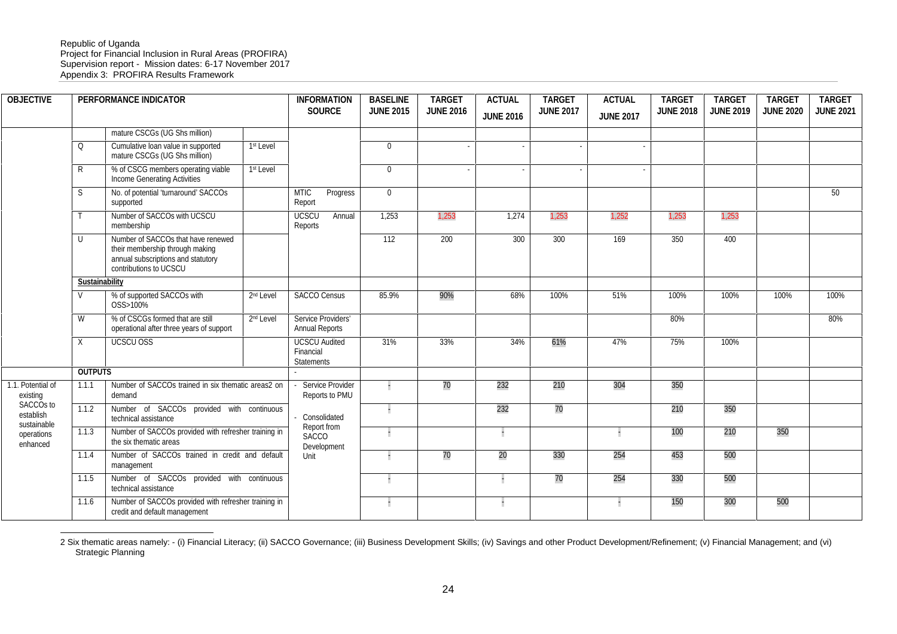#### Republic of Uganda Project for Financial Inclusion in Rural Areas (PROFIRA) Supervision report - Mission dates: 6-17 November 2017 Appendix 3: PROFIRA Results Framework

| <b>OBJECTIVE</b>                                  |                | PERFORMANCE INDICATOR                                                                                                                 |                       | <b>INFORMATION</b><br>SOURCE                    | <b>BASELINE</b><br><b>JUNE 2015</b> | <b>TARGET</b><br><b>JUNE 2016</b> | <b>ACTUAL</b><br><b>JUNE 2016</b> | <b>TARGET</b><br><b>JUNE 2017</b> | <b>ACTUAL</b><br><b>JUNE 2017</b> | <b>TARGET</b><br><b>JUNE 2018</b> | <b>TARGET</b><br><b>JUNE 2019</b> | <b>TARGET</b><br><b>JUNE 2020</b> | <b>TARGET</b><br><b>JUNE 2021</b> |
|---------------------------------------------------|----------------|---------------------------------------------------------------------------------------------------------------------------------------|-----------------------|-------------------------------------------------|-------------------------------------|-----------------------------------|-----------------------------------|-----------------------------------|-----------------------------------|-----------------------------------|-----------------------------------|-----------------------------------|-----------------------------------|
|                                                   |                | mature CSCGs (UG Shs million)                                                                                                         |                       |                                                 |                                     |                                   |                                   |                                   |                                   |                                   |                                   |                                   |                                   |
|                                                   | Q              | Cumulative loan value in supported<br>mature CSCGs (UG Shs million)                                                                   | 1 <sup>st</sup> Level |                                                 | $\overline{0}$                      |                                   |                                   |                                   |                                   |                                   |                                   |                                   |                                   |
|                                                   | $\mathsf{R}$   | % of CSCG members operating viable<br>Income Generating Activities                                                                    | 1st Level             |                                                 | $\overline{0}$                      |                                   |                                   |                                   |                                   |                                   |                                   |                                   |                                   |
|                                                   | S              | No. of potential 'turnaround' SACCOs<br>supported                                                                                     |                       | <b>MTIC</b><br>Progress<br>Report               | $\overline{0}$                      |                                   |                                   |                                   |                                   |                                   |                                   |                                   | 50                                |
|                                                   |                | Number of SACCOs with UCSCU<br>membership                                                                                             |                       | UCSCU<br>Annual<br>Reports                      | 1,253                               | 1,253                             | 1,274                             | 1,253                             | 1,252                             | 1,253                             | 1,253                             |                                   |                                   |
|                                                   | U              | Number of SACCOs that have renewed<br>their membership through making<br>annual subscriptions and statutory<br>contributions to UCSCU |                       |                                                 | 112                                 | 200                               | 300                               | 300                               | 169                               | 350                               | 400                               |                                   |                                   |
|                                                   | Sustainability |                                                                                                                                       |                       |                                                 |                                     |                                   |                                   |                                   |                                   |                                   |                                   |                                   |                                   |
|                                                   | $\mathsf{V}$   | % of supported SACCOs with<br>OSS>100%                                                                                                | 2 <sup>nd</sup> Level | <b>SACCO Census</b>                             | 85.9%                               | 90%                               | 68%                               | 100%                              | 51%                               | 100%                              | 100%                              | 100%                              | 100%                              |
|                                                   | W              | % of CSCGs formed that are still<br>operational after three years of support                                                          | 2 <sup>nd</sup> Level | Service Providers'<br><b>Annual Reports</b>     |                                     |                                   |                                   |                                   |                                   | 80%                               |                                   |                                   | 80%                               |
|                                                   | $\times$       | UCSCU OSS                                                                                                                             |                       | <b>UCSCU Audited</b><br>Financial<br>Statements | 31%                                 | 33%                               | 34%                               | 61%                               | 47%                               | 75%                               | 100%                              |                                   |                                   |
|                                                   | <b>OUTPUTS</b> |                                                                                                                                       |                       |                                                 |                                     |                                   |                                   |                                   |                                   |                                   |                                   |                                   |                                   |
| 1.1. Potential of<br>existing                     | 1.1.1          | Number of SACCOs trained in six thematic areas2 on<br>demand                                                                          |                       | Service Provider<br>Reports to PMU              |                                     | 70                                | 232                               | 210                               | 304                               | 350                               |                                   |                                   |                                   |
| SACCO <sub>s</sub> to<br>establish<br>sustainable | 1.1.2          | Number of SACCOs provided with continuous<br>technical assistance                                                                     |                       | - Consolidated                                  | H                                   |                                   | 232                               | 70                                |                                   | 210                               | 350                               |                                   |                                   |
| operations<br>enhanced                            | 1.1.3          | Number of SACCOs provided with refresher training in<br>the six thematic areas                                                        |                       | Report from<br><b>SACCO</b><br>Development      | H                                   |                                   | H                                 |                                   |                                   | 100                               | 210                               | 350                               |                                   |
|                                                   | 1.1.4          | Number of SACCOs trained in credit and default<br>management                                                                          |                       | Unit                                            |                                     | 70                                | 20                                | 330                               | 254                               | 453                               | 500                               |                                   |                                   |
|                                                   | 1.1.5          | Number of SACCOs provided with continuous<br>technical assistance                                                                     |                       |                                                 |                                     |                                   |                                   | 70                                | 254                               | 330                               | 500                               |                                   |                                   |
|                                                   | 1.1.6          | Number of SACCOs provided with refresher training in<br>credit and default management                                                 |                       |                                                 |                                     |                                   |                                   |                                   |                                   | 150                               | 300                               | 500                               |                                   |

<sup>2</sup> Six thematic areas namely: - (i) Financial Literacy; (ii) SACCO Governance; (iii) Business Development Skills; (iv) Savings and other Product Development/Refinement; (v) Financial Management; and (vi) Strategic Planning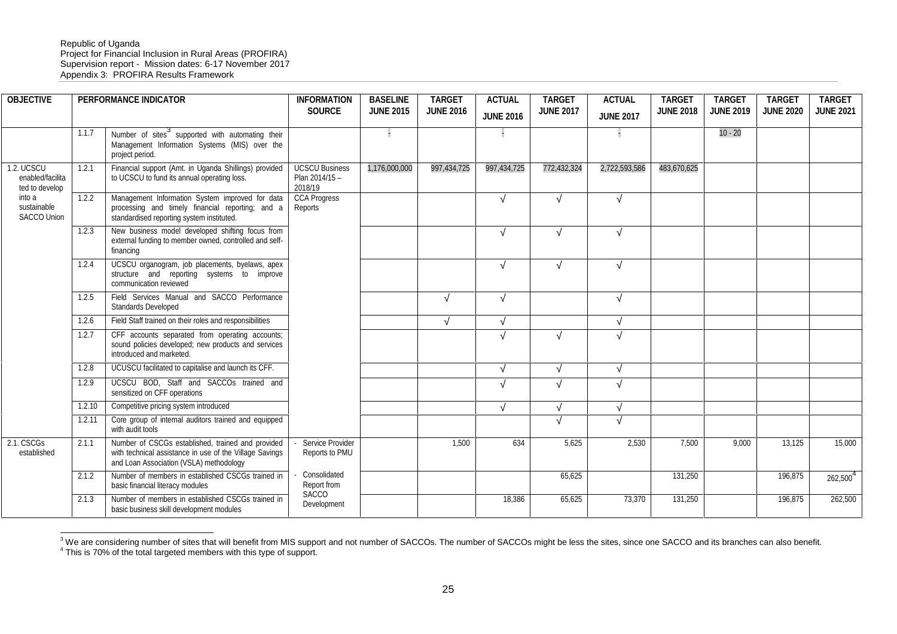#### Republic of Uganda Project for Financial Inclusion in Rural Areas (PROFIRA) Supervision report - Mission dates: 6-17 November 2017 Appendix 3: PROFIRA Results Framework

| <b>OBJECTIVE</b>                                 |        | PERFORMANCE INDICATOR                                                                                                                                   | <b>INFORMATION</b><br>SOURCE                       | <b>BASELINE</b><br><b>JUNE 2015</b> | <b>TARGET</b><br><b>JUNE 2016</b> | <b>ACTUAL</b><br><b>JUNE 2016</b> | <b>TARGET</b><br><b>JUNE 2017</b> | <b>ACTUAL</b><br><b>JUNE 2017</b> | <b>TARGET</b><br><b>JUNE 2018</b> | <b>TARGET</b><br><b>JUNE 2019</b> | <b>TARGET</b><br><b>JUNE 2020</b> | <b>TARGET</b><br><b>JUNE 2021</b> |
|--------------------------------------------------|--------|---------------------------------------------------------------------------------------------------------------------------------------------------------|----------------------------------------------------|-------------------------------------|-----------------------------------|-----------------------------------|-----------------------------------|-----------------------------------|-----------------------------------|-----------------------------------|-----------------------------------|-----------------------------------|
|                                                  | 1.1.7  | Number of sites <sup>3</sup> supported with automating their<br>Management Information Systems (MIS) over the<br>project period.                        |                                                    |                                     |                                   |                                   |                                   |                                   |                                   | $10 - 20$                         |                                   |                                   |
| 1.2. UCSCU<br>enabled/facilita<br>ted to develop | 1.2.1  | Financial support (Amt. in Uganda Shillings) provided<br>to UCSCU to fund its annual operating loss.                                                    | <b>UCSCU Business</b><br>Plan 2014/15 -<br>2018/19 | 1,176,000,000                       | 997,434,725                       | 997,434,725                       | 772,432,324                       | 2,722,593,586                     | 483,670,625                       |                                   |                                   |                                   |
| into a<br>sustainable<br><b>SACCO Union</b>      | 1.2.2  | Management Information System improved for data<br>processing and timely financial reporting; and a<br>standardised reporting system instituted.        | <b>CCA Progress</b><br>Reports                     |                                     |                                   |                                   |                                   |                                   |                                   |                                   |                                   |                                   |
|                                                  | 1.2.3  | New business model developed shifting focus from<br>external funding to member owned, controlled and self-<br>financing                                 |                                                    |                                     |                                   |                                   |                                   |                                   |                                   |                                   |                                   |                                   |
|                                                  | 1.2.4  | UCSCU organogram, job placements, byelaws, apex<br>structure and reporting systems to improve<br>communication reviewed                                 |                                                    |                                     |                                   |                                   |                                   |                                   |                                   |                                   |                                   |                                   |
|                                                  | 1.2.5  | Field Services Manual and SACCO Performance<br>Standards Developed                                                                                      |                                                    |                                     |                                   |                                   |                                   |                                   |                                   |                                   |                                   |                                   |
|                                                  | 1.2.6  | Field Staff trained on their roles and responsibilities                                                                                                 |                                                    |                                     |                                   |                                   |                                   |                                   |                                   |                                   |                                   |                                   |
|                                                  | 1.2.7  | CFF accounts separated from operating accounts;<br>sound policies developed; new products and services<br>introduced and marketed.                      |                                                    |                                     |                                   |                                   |                                   |                                   |                                   |                                   |                                   |                                   |
|                                                  | 1.2.8  | UCUSCU facilitated to capitalise and launch its CFF.                                                                                                    |                                                    |                                     |                                   |                                   |                                   |                                   |                                   |                                   |                                   |                                   |
|                                                  | 1.2.9  | UCSCU BOD, Staff and SACCOs trained and<br>sensitized on CFF operations                                                                                 |                                                    |                                     |                                   |                                   |                                   |                                   |                                   |                                   |                                   |                                   |
|                                                  | 1.2.10 | Competitive pricing system introduced                                                                                                                   |                                                    |                                     |                                   |                                   |                                   |                                   |                                   |                                   |                                   |                                   |
|                                                  | 1.2.11 | Core group of internal auditors trained and equipped<br>with audit tools                                                                                |                                                    |                                     |                                   |                                   |                                   |                                   |                                   |                                   |                                   |                                   |
| 2.1. CSCGs<br>established                        | 2.1.1  | Number of CSCGs established, trained and provided<br>with technical assistance in use of the Village Savings<br>and Loan Association (VSLA) methodology | Service Provider<br>Reports to PMU                 |                                     | 1,500                             | 634                               | 5,625                             | 2,530                             | 7,500                             | 9,000                             | 13,125                            | 15,000                            |
|                                                  | 2.1.2  | Number of members in established CSCGs trained in<br>basic financial literacy modules                                                                   | Consolidated<br>Report from<br><b>SACCO</b>        |                                     |                                   |                                   | 65,625                            |                                   | 131,250                           |                                   | 196,875                           | 262,500 <sup>4</sup>              |
|                                                  | 2.1.3  | Number of members in established CSCGs trained in<br>basic business skill development modules                                                           | Development                                        |                                     |                                   | 18,386                            | 65,625                            | 73,370                            | 131,250                           |                                   | 196,875                           | 262,500                           |

<sup>3</sup> We are considering number of sites that will benefit from MIS support and not number of SACCOs. The number of SACCOs might be less the sites, since one SACCO and its branches can also benefit.<br><sup>4</sup> This is 70% of the to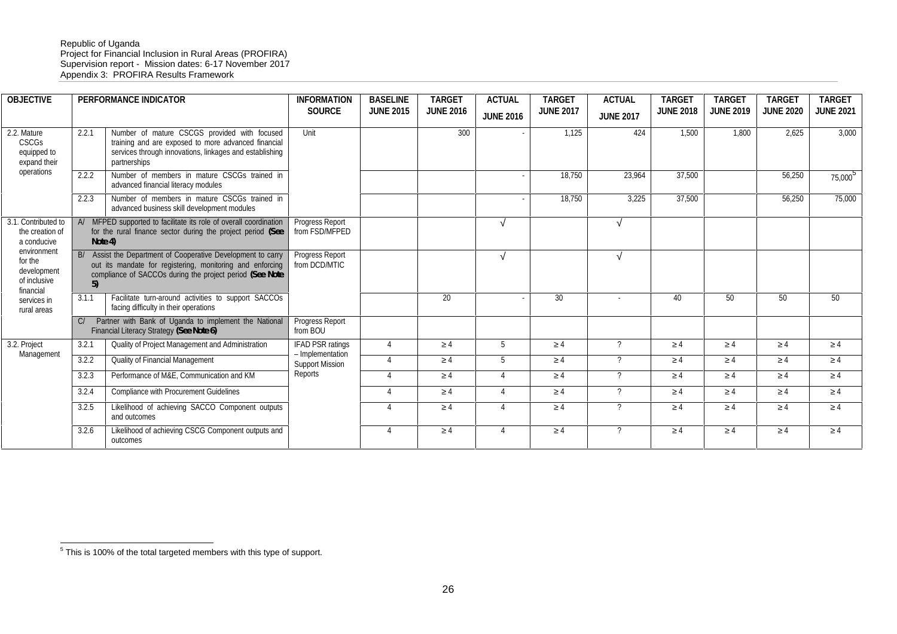#### Republic of Uganda Project for Financial Inclusion in Rural Areas (PROFIRA) Supervision report - Mission dates: 6-17 November 2017 Appendix 3: PROFIRA Results Framework

| <b>OBJECTIVE</b>                                                   |         | PERFORMANCE INDICATOR                                                                                                                                                                 | <b>INFORMATION</b><br><b>SOURCE</b>        | <b>BASELINE</b><br><b>JUNE 2015</b> | <b>TARGET</b><br><b>JUNE 2016</b> | <b>ACTUAL</b><br><b>JUNE 2016</b> | <b>TARGET</b><br><b>JUNE 2017</b> | <b>ACTUAL</b><br><b>JUNE 2017</b> | <b>TARGET</b><br><b>JUNE 2018</b> | <b>TARGE1</b><br><b>JUNE 2019</b> | <b>TARGET</b><br><b>JUNE 2020</b> | <b>TARGET</b><br><b>JUNE 2021</b> |
|--------------------------------------------------------------------|---------|---------------------------------------------------------------------------------------------------------------------------------------------------------------------------------------|--------------------------------------------|-------------------------------------|-----------------------------------|-----------------------------------|-----------------------------------|-----------------------------------|-----------------------------------|-----------------------------------|-----------------------------------|-----------------------------------|
| 2.2. Mature<br>CSCGs<br>equipped to<br>expand their                | 2.2.1   | Number of mature CSCGS provided with focused<br>training and are exposed to more advanced financial<br>services through innovations, linkages and establishing<br>partnerships        | Unit                                       |                                     | 300                               |                                   | 1,125                             | 424                               | 1,500                             | 1,800                             | 2.625                             | 3.000                             |
| operations                                                         | 2.2.2   | Number of members in mature CSCGs trained in<br>advanced financial literacy modules                                                                                                   |                                            |                                     |                                   |                                   | 18,750                            | 23,964                            | 37.500                            |                                   | 56,250                            | 75,000 <sup>5</sup>               |
|                                                                    | 2.2.3   | Number of members in mature CSCGs trained in<br>advanced business skill development modules                                                                                           |                                            |                                     |                                   |                                   | 18.750                            | 3.225                             | 37.500                            |                                   | 56.250                            | 75,000                            |
| 3.1. Contributed to<br>the creation of<br>a conducive              | Note 4) | A/ MFPED supported to facilitate its role of overall coordination<br>for the rural finance sector during the project period (See                                                      | Progress Report<br>from FSD/MFPED          |                                     |                                   |                                   |                                   |                                   |                                   |                                   |                                   |                                   |
| environment<br>for the<br>development<br>of inclusive<br>financial | 5)      | B/ Assist the Department of Cooperative Development to carry<br>out its mandate for registering, monitoring and enforcing<br>compliance of SACCOs during the project period (See Note | Progress Report<br>from DCD/MTIC           |                                     |                                   |                                   |                                   |                                   |                                   |                                   |                                   |                                   |
| services in<br>rural areas                                         | 3.1.1   | Facilitate turn-around activities to support SACCOs<br>facing difficulty in their operations                                                                                          |                                            |                                     | 20                                |                                   | 30                                | $\overline{\phantom{a}}$          | 40                                | 50                                | 50                                | 50                                |
|                                                                    | Cl      | Partner with Bank of Uganda to implement the National<br>Financial Literacy Strategy (See Note 6)                                                                                     | Progress Report<br>from BOU                |                                     |                                   |                                   |                                   |                                   |                                   |                                   |                                   |                                   |
| 3.2. Project                                                       | 3.2.1   | Quality of Project Management and Administration                                                                                                                                      | <b>IFAD PSR ratings</b>                    | $\overline{\Lambda}$                |                                   |                                   |                                   | $\mathcal{P}$                     |                                   |                                   | $\overline{A}$                    |                                   |
| Management                                                         | 3.2.2   | <b>Quality of Financial Management</b>                                                                                                                                                | - Implementation<br><b>Support Mission</b> | $\overline{A}$                      |                                   |                                   |                                   | $\mathcal{P}$                     |                                   |                                   | $\overline{4}$                    |                                   |
|                                                                    | 3.2.3   | Performance of M&E, Communication and KM                                                                                                                                              | Reports                                    | $\overline{\Lambda}$                |                                   |                                   |                                   | $\mathcal{P}$                     |                                   |                                   | $\overline{4}$                    | $\Lambda$                         |
|                                                                    | 3.2.4   | Compliance with Procurement Guidelines                                                                                                                                                |                                            | $\boldsymbol{\Lambda}$              |                                   | $\Delta$                          |                                   | $\gamma$                          | $\Lambda$                         |                                   | $\overline{4}$                    | $\Lambda$                         |
|                                                                    | 3.2.5   | Likelihood of achieving SACCO Component outputs<br>and outcomes                                                                                                                       |                                            | $\Lambda$                           |                                   |                                   |                                   | $\gamma$                          |                                   |                                   | $\overline{4}$                    |                                   |
|                                                                    | 3.2.6   | Likelihood of achieving CSCG Component outputs and<br>outcomes                                                                                                                        |                                            | $\overline{4}$                      |                                   |                                   |                                   | $\gamma$                          |                                   |                                   | $\overline{4}$                    |                                   |

 $5$  This is 100% of the total targeted members with this type of support.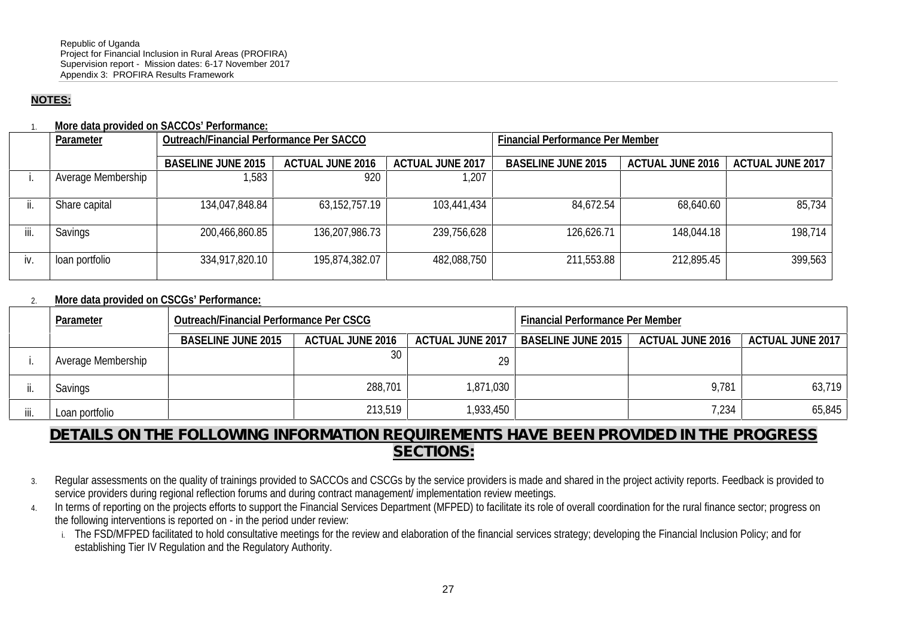### **NOTES:**

1. **More data provided on SACCOs' Performance:**

| Financial Performance Per Member |  |  |  |  |  |
|----------------------------------|--|--|--|--|--|
| <b>ACTUAL JUNE 2017</b>          |  |  |  |  |  |
|                                  |  |  |  |  |  |
|                                  |  |  |  |  |  |
| 85,734                           |  |  |  |  |  |
| 198,714                          |  |  |  |  |  |
|                                  |  |  |  |  |  |
| 399,563                          |  |  |  |  |  |
|                                  |  |  |  |  |  |

### 2. **More data provided on CSCGs' Performance:**

|      | Outreach/Financial Performance Per CSCG<br>Parameter |                           |                  | Financial Performance Per Member |                    |                  |                         |  |
|------|------------------------------------------------------|---------------------------|------------------|----------------------------------|--------------------|------------------|-------------------------|--|
|      |                                                      | <b>BASELINE JUNE 2015</b> | ACTUAL JUNE 2016 | ACTUAL JUNE 2017                 | BASELINE JUNE 2015 | ACTUAL JUNE 2016 | <b>ACTUAL JUNE 2017</b> |  |
|      | Average Membership                                   |                           |                  | 29                               |                    |                  |                         |  |
|      | Savings                                              |                           | 288,701          | 1,871,030                        |                    | 9,781            | 63,719                  |  |
| iii. | Loan portfolio                                       |                           | 213,519          | 1,933,450                        |                    | 7,234            | 65,845                  |  |

### *DETAILS ON THE FOLLOWING INFORMATION REQUIREMENTS HAVE BEEN PROVIDED IN THE PROGRESS SECTIONS:*

- 3. Regular assessments on the quality of trainings provided to SACCOs and CSCGs by the service providers is made and shared in the project activity reports. Feedback is provided to service providers during regional reflection forums and during contract management/ implementation review meetings.
- 4. In terms of reporting on the projects efforts to support the Financial Services Department (MFPED) to facilitate its role of overall coordination for the rural finance sector; progress on the following interventions is reported on - in the period under review:
	- i. The FSD/MFPED facilitated to hold consultative meetings for the review and elaboration of the financial services strategy; developing the Financial Inclusion Policy; and for establishing Tier IV Regulation and the Regulatory Authority.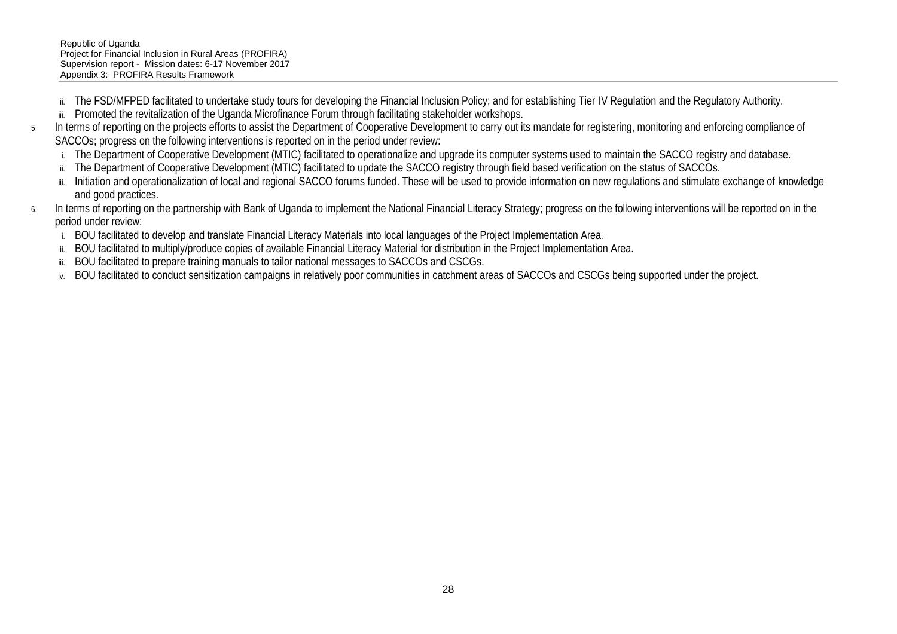- ii. The FSD/MFPED facilitated to undertake study tours for developing the Financial Inclusion Policy; and for establishing Tier IV Regulation and the Regulatory Authority.
- iii. Promoted the revitalization of the Uganda Microfinance Forum through facilitating stakeholder workshops.
- 5. In terms of reporting on the projects efforts to assist the Department of Cooperative Development to carry out its mandate for registering, monitoring and enforcing compliance of SACCOs; progress on the following interventions is reported on in the period under review:
	- i. The Department of Cooperative Development (MTIC) facilitated to operationalize and upgrade its computer systems used to maintain the SACCO registry and database.
	- ii. The Department of Cooperative Development (MTIC) facilitated to update the SACCO registry through field based verification on the status of SACCOs.
	- iii. Initiation and operationalization of local and regional SACCO forums funded. These will be used to provide information on new regulations and stimulate exchange of knowledge and good practices.
- 6. In terms of reporting on the partnership with Bank of Uganda to implement the National Financial Literacy Strategy; progress on the following interventions will be reported on in the period under review:
	- i. BOU facilitated to develop and translate Financial Literacy Materials into local languages of the Project Implementation Area.
	- ii. BOU facilitated to multiply/produce copies of available Financial Literacy Material for distribution in the Project Implementation Area.
	- iii. BOU facilitated to prepare training manuals to tailor national messages to SACCOs and CSCGs.
	- iv. BOU facilitated to conduct sensitization campaigns in relatively poor communities in catchment areas of SACCOs and CSCGs being supported under the project.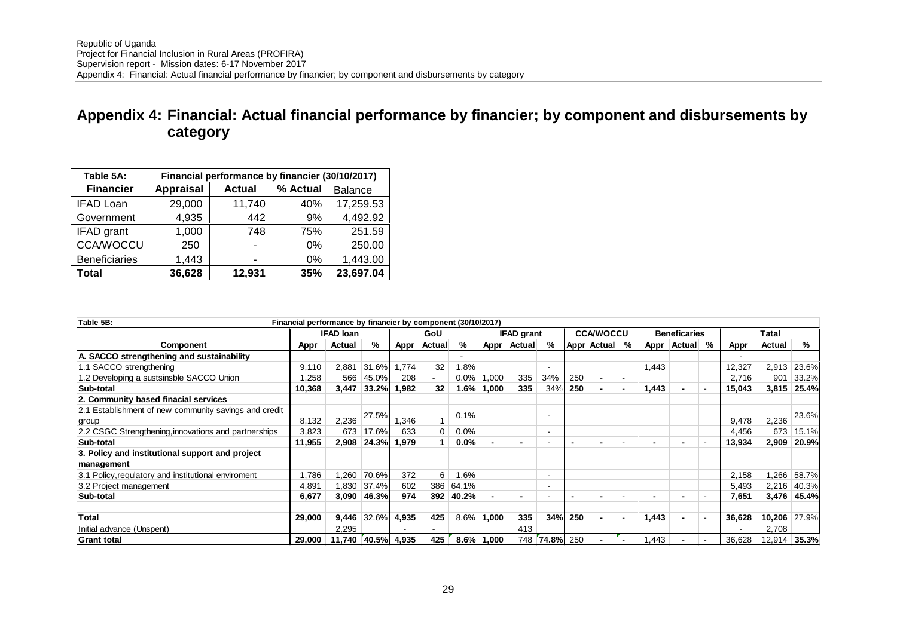# **Appendix 4: Financial: Actual financial performance by financier; by component and disbursements by category**

| Table 5A:<br>Financial performance by financier (30/10/2017) |                  |               |          |                |  |  |  |  |
|--------------------------------------------------------------|------------------|---------------|----------|----------------|--|--|--|--|
| <b>Financier</b>                                             | <b>Appraisal</b> | <b>Actual</b> | % Actual | <b>Balance</b> |  |  |  |  |
| <b>IFAD Loan</b>                                             | 29,000           | 11,740        | 40%      | 17,259.53      |  |  |  |  |
| Government                                                   | 4,935            | 442           | 9%       | 4,492.92       |  |  |  |  |
| IFAD grant                                                   | 1,000            | 748           | 75%      | 251.59         |  |  |  |  |
| <b>CCA/WOCCU</b>                                             | 250              |               | 0%       | 250.00         |  |  |  |  |
| <b>Beneficiaries</b>                                         | 1,443            |               | 0%       | 1,443.00       |  |  |  |  |
| Total                                                        | 36,628           | 12,931        | 35%      | 23,697.04      |  |  |  |  |

| Table 5B:                                             | Financial performance by financier by component (30/10/2017) |                  |       |       |        |           |        |                          |          |     |                          |                          |       |                     |                          |        |        |              |
|-------------------------------------------------------|--------------------------------------------------------------|------------------|-------|-------|--------|-----------|--------|--------------------------|----------|-----|--------------------------|--------------------------|-------|---------------------|--------------------------|--------|--------|--------------|
|                                                       |                                                              | <b>IFAD loan</b> |       |       | GoU    |           |        | <b>IFAD grant</b>        |          |     | <b>CCA/WOCCU</b>         |                          |       | <b>Beneficaries</b> |                          |        | Tatal  |              |
| Component                                             | Appr                                                         | Actual           | %     | Appr  | Actual | %         | Appr   | Actual                   | ℅        |     | Appr Actual              | %                        | Appr  | <b>Actual</b>       | %                        | Appr   | Actual | %            |
| A. SACCO strengthening and sustainability             |                                                              |                  |       |       |        |           |        |                          |          |     |                          |                          |       |                     |                          |        |        |              |
| 1.1 SACCO strengthening                               | 9.110                                                        | 2,881            | 31.6% | 1.774 | 32     | 1.8%      |        |                          |          |     |                          |                          | 1.443 |                     |                          | 12,327 | 2,913  | 23.6%        |
| 1.2 Developing a sustsinsble SACCO Union              | .258                                                         | 566              | 45.0% | 208   |        | 0.0%      | ,000   | 335                      | 34%      | 250 | ۰                        | $\overline{\phantom{a}}$ |       |                     |                          | 2,716  | 901    | 33.2%        |
| Sub-total                                             | 10,368                                                       | 3,447            | 33.2% | 1,982 | 32     | 1.6%      | 000, ا | 335                      | 34%      | 250 | $\overline{\phantom{0}}$ | $\overline{\phantom{a}}$ | 1,443 |                     | $\overline{\phantom{a}}$ | 15,043 |        | 3,815 25.4%  |
| 2. Community based finacial services                  |                                                              |                  |       |       |        |           |        |                          |          |     |                          |                          |       |                     |                          |        |        |              |
| 2.1 Establishment of new community savings and credit |                                                              |                  |       |       |        |           |        |                          |          |     |                          |                          |       |                     |                          |        |        |              |
| group                                                 | 8,132                                                        | 2,236            | 27.5% | 1,346 |        | 0.1%      |        |                          |          |     |                          |                          |       |                     |                          | 9.478  | 2,236  | 23.6%        |
| 2.2 CSGC Strengthening, innovations and partnerships  | 3,823                                                        | 673              | 17.6% | 633   | 0      | 0.0%      |        |                          |          |     |                          |                          |       |                     |                          | 4,456  | 673    | 15.1%        |
| Sub-total                                             | 11,955                                                       | 2,908            | 24.3% | 1,979 |        | 0.0%      |        | $\overline{\phantom{0}}$ |          |     |                          |                          |       |                     |                          | 13,934 | 2,909  | 20.9%        |
| 3. Policy and institutional support and project       |                                                              |                  |       |       |        |           |        |                          |          |     |                          |                          |       |                     |                          |        |        |              |
| management                                            |                                                              |                  |       |       |        |           |        |                          |          |     |                          |                          |       |                     |                          |        |        |              |
| 3.1 Policy, regulatory and institutional enviroment   | .786                                                         | 260. ا           | 70.6% | 372   | 6      | 1.6%      |        |                          | ۰.       |     |                          |                          |       |                     |                          | 2,158  |        | 1,266 58.7%  |
| 3.2 Project management                                | 4,891                                                        | 1.830            | 37.4% | 602   |        | 386 64.1% |        |                          | ۰        |     |                          |                          |       |                     |                          | 5,493  |        | 2,216 40.3%  |
| Sub-total                                             | 6,677                                                        | 3,090            | 46.3% | 974   | 392    | 40.2%     |        | $\blacksquare$           |          |     |                          |                          |       |                     |                          | 7,651  |        | 3,476 45.4%  |
| Total                                                 | 29,000                                                       | 9,446            | 32.6% | 4,935 | 425    | 8.6%      | 1,000  | 335                      | 34%      | 250 | $\overline{\phantom{0}}$ | $\overline{\phantom{a}}$ | 1,443 |                     | $\overline{\phantom{a}}$ | 36,628 |        | 10,206 27.9% |
| Initial advance (Unspent)                             |                                                              | 2,295            |       |       |        |           |        | 413                      |          |     |                          |                          |       |                     |                          |        | 2,708  |              |
| Grant total                                           | 29,000                                                       | 11,740           | 40.5% | 4,935 | 425    | 8.6%      | 1.000  | 748                      | $74.8\%$ | 250 |                          | $\blacksquare$           | ,443  |                     | $\overline{\phantom{a}}$ | 36,628 | 12,914 | 35.3%        |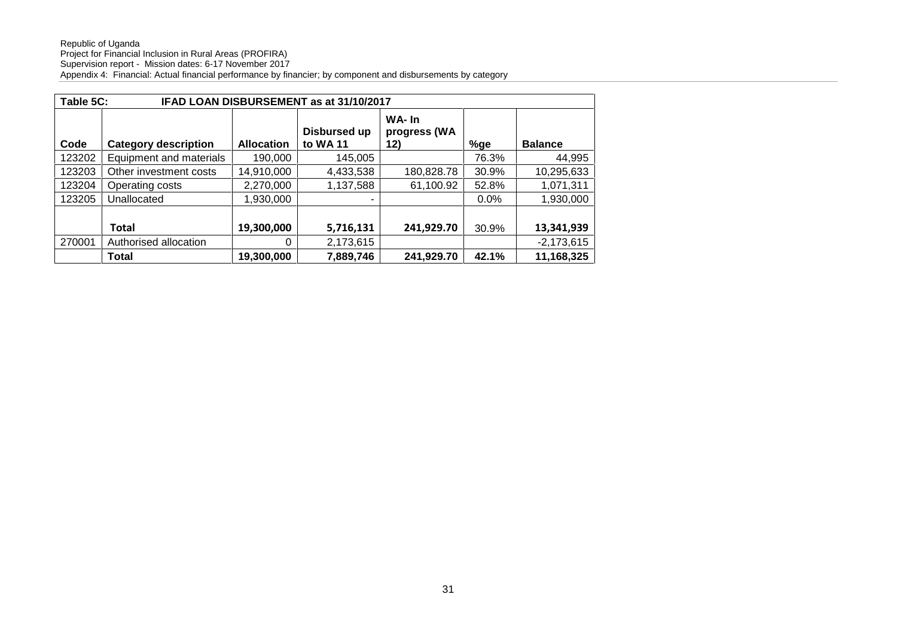|        | Table 5C:<br>IFAD LOAN DISBURSEMENT as at 31/10/2017 |                   |                          |                              |         |                |  |  |
|--------|------------------------------------------------------|-------------------|--------------------------|------------------------------|---------|----------------|--|--|
| Code   | <b>Category description</b>                          | <b>Allocation</b> | Disbursed up<br>to WA 11 | WA-In<br>progress (WA<br>12) | %ge     | <b>Balance</b> |  |  |
| 123202 | Equipment and materials                              | 190,000           | 145,005                  |                              | 76.3%   | 44,995         |  |  |
| 123203 | Other investment costs                               | 14,910,000        | 4,433,538                | 180,828.78                   | 30.9%   | 10,295,633     |  |  |
| 123204 | Operating costs                                      | 2,270,000         | 1,137,588                | 61,100.92                    | 52.8%   | 1,071,311      |  |  |
| 123205 | Unallocated                                          | 1,930,000         |                          |                              | $0.0\%$ | 1,930,000      |  |  |
|        | <b>Total</b>                                         | 19,300,000        | 5,716,131                | 241,929.70                   | 30.9%   | 13,341,939     |  |  |
| 270001 | Authorised allocation                                | 0                 | 2,173,615                |                              |         | $-2,173,615$   |  |  |
|        | Total                                                | 19,300,000        | 7,889,746                | 241,929.70                   | 42.1%   | 11,168,325     |  |  |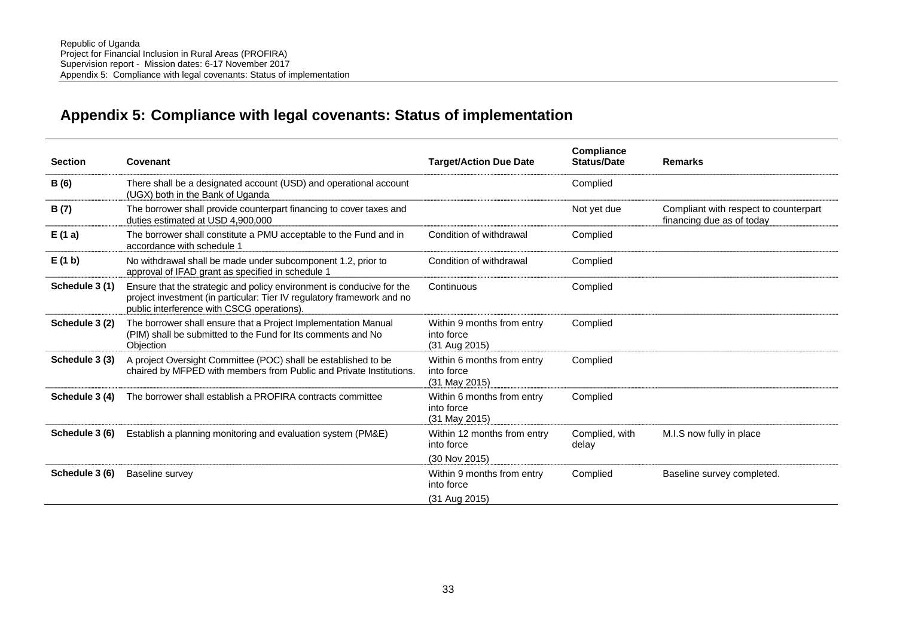# **Appendix 5: Compliance with legal covenants: Status of implementation**

| <b>Section</b> | Covenant                                                                                                                                                                                      | <b>Target/Action Due Date</b>                               | Compliance<br><b>Status/Date</b> | <b>Remarks</b>                                                     |
|----------------|-----------------------------------------------------------------------------------------------------------------------------------------------------------------------------------------------|-------------------------------------------------------------|----------------------------------|--------------------------------------------------------------------|
| <b>B</b> (6)   | There shall be a designated account (USD) and operational account<br>(UGX) both in the Bank of Uganda                                                                                         |                                                             | Complied                         |                                                                    |
| B(7)           | The borrower shall provide counterpart financing to cover taxes and<br>duties estimated at USD 4,900,000                                                                                      |                                                             | Not yet due                      | Compliant with respect to counterpart<br>financing due as of today |
| E(1a)          | The borrower shall constitute a PMU acceptable to the Fund and in<br>accordance with schedule 1                                                                                               | Condition of withdrawal                                     | Complied                         |                                                                    |
| E(1 b)         | No withdrawal shall be made under subcomponent 1.2, prior to<br>approval of IFAD grant as specified in schedule 1                                                                             | Condition of withdrawal                                     | Complied                         |                                                                    |
| Schedule 3 (1) | Ensure that the strategic and policy environment is conducive for the<br>project investment (in particular: Tier IV regulatory framework and no<br>public interference with CSCG operations). | Continuous                                                  | Complied                         |                                                                    |
| Schedule 3 (2) | The borrower shall ensure that a Project Implementation Manual<br>(PIM) shall be submitted to the Fund for Its comments and No<br><b>Objection</b>                                            | Within 9 months from entry<br>into force<br>(31 Aug 2015)   | Complied                         |                                                                    |
| Schedule 3 (3) | A project Oversight Committee (POC) shall be established to be<br>chaired by MFPED with members from Public and Private Institutions.                                                         | Within 6 months from entry<br>into force<br>(31 May 2015)   | Complied                         |                                                                    |
| Schedule 3 (4) | The borrower shall establish a PROFIRA contracts committee                                                                                                                                    | Within 6 months from entry<br>into force<br>$(31$ May 2015) | Complied                         |                                                                    |
| Schedule 3 (6) | Establish a planning monitoring and evaluation system (PM&E)                                                                                                                                  | Within 12 months from entry<br>into force<br>(30 Nov 2015)  | Complied, with<br>delay          | M.I.S now fully in place                                           |
| Schedule 3 (6) | Baseline survey                                                                                                                                                                               | Within 9 months from entry<br>into force<br>(31 Aug 2015)   | Complied                         | Baseline survey completed.                                         |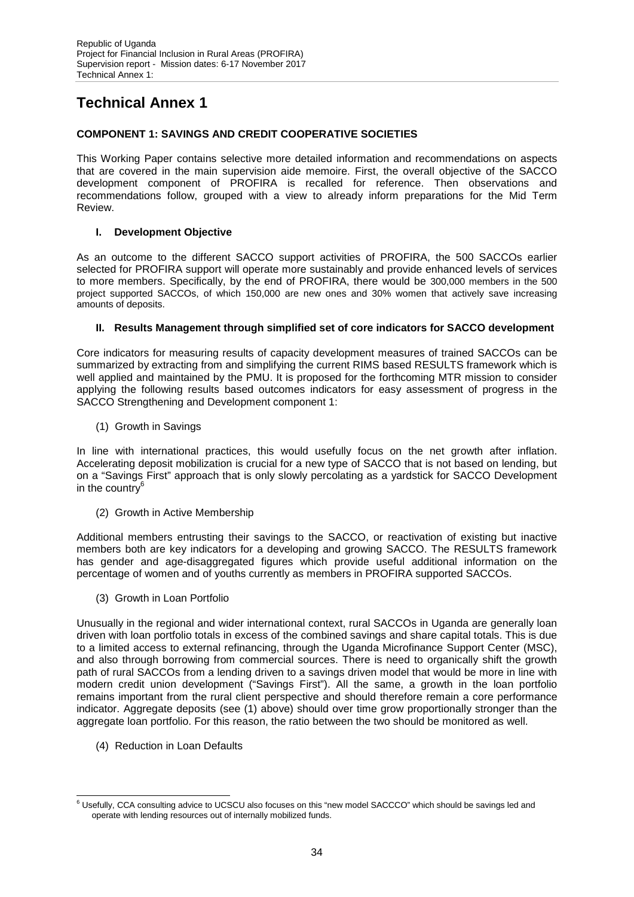# **Technical Annex 1**

### **COMPONENT 1: SAVINGS AND CREDIT COOPERATIVE SOCIETIES**

This Working Paper contains selective more detailed information and recommendations on aspects that are covered in the main supervision aide memoire. First, the overall objective of the SACCO development component of PROFIRA is recalled for reference. Then observations and recommendations follow, grouped with a view to already inform preparations for the Mid Term Review.

### **I. Development Objective**

As an outcome to the different SACCO support activities of PROFIRA, the 500 SACCOs earlier selected for PROFIRA support will operate more sustainably and provide enhanced levels of services to more members. Specifically, by the end of PROFIRA, there would be 300,000 members in the 500 project supported SACCOs, of which 150,000 are new ones and 30% women that actively save increasing amounts of deposits.

### **II. Results Management through simplified set of core indicators for SACCO development**

Core indicators for measuring results of capacity development measures of trained SACCOs can be summarized by extracting from and simplifying the current RIMS based RESULTS framework which is well applied and maintained by the PMU. It is proposed for the forthcoming MTR mission to consider applying the following results based outcomes indicators for easy assessment of progress in the SACCO Strengthening and Development component 1:

(1) Growth in Savings

In line with international practices, this would usefully focus on the net growth after inflation. Accelerating deposit mobilization is crucial for a new type of SACCO that is not based on lending, but on a "Savings First" approach that is only slowly percolating as a yardstick for SACCO Development in the country $6$ 

(2) Growth in Active Membership

Additional members entrusting their savings to the SACCO, or reactivation of existing but inactive members both are key indicators for a developing and growing SACCO. The RESULTS framework has gender and age-disaggregated figures which provide useful additional information on the percentage of women and of youths currently as members in PROFIRA supported SACCOs.

(3) Growth in Loan Portfolio

Unusually in the regional and wider international context, rural SACCOs in Uganda are generally loan driven with loan portfolio totals in excess of the combined savings and share capital totals. This is due to a limited access to external refinancing, through the Uganda Microfinance Support Center (MSC), and also through borrowing from commercial sources. There is need to organically shift the growth path of rural SACCOs from a lending driven to a savings driven model that would be more in line with modern credit union development ("Savings First"). All the same, a growth in the loan portfolio remains important from the rural client perspective and should therefore remain a core performance indicator. Aggregate deposits (see (1) above) should over time grow proportionally stronger than the aggregate loan portfolio. For this reason, the ratio between the two should be monitored as well.

(4) Reduction in Loan Defaults

<sup>&</sup>lt;sup>6</sup> Usefullv. CCA consulting advice to UCSCU also focuses on this "new model SACCCO" which should be savings led and operate with lending resources out of internally mobilized funds.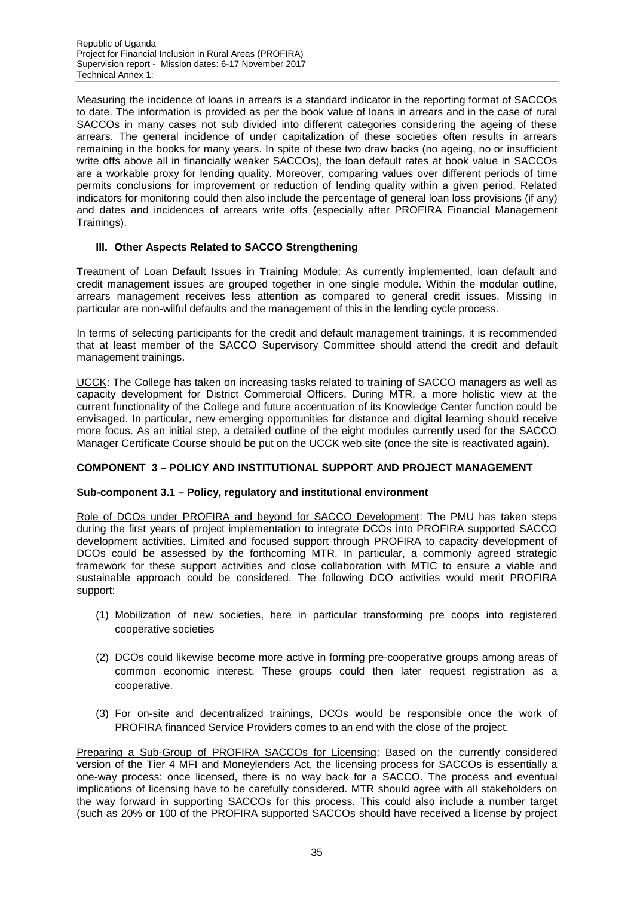Measuring the incidence of loans in arrears is a standard indicator in the reporting format of SACCOs to date. The information is provided as per the book value of loans in arrears and in the case of rural SACCOs in many cases not sub divided into different categories considering the ageing of these arrears. The general incidence of under capitalization of these societies often results in arrears remaining in the books for many years. In spite of these two draw backs (no ageing, no or insufficient write offs above all in financially weaker SACCOs), the loan default rates at book value in SACCOs are a workable proxy for lending quality. Moreover, comparing values over different periods of time permits conclusions for improvement or reduction of lending quality within a given period. Related indicators for monitoring could then also include the percentage of general loan loss provisions (if any) and dates and incidences of arrears write offs (especially after PROFIRA Financial Management Trainings).

### **III. Other Aspects Related to SACCO Strengthening**

Treatment of Loan Default Issues in Training Module: As currently implemented, loan default and credit management issues are grouped together in one single module. Within the modular outline, arrears management receives less attention as compared to general credit issues. Missing in particular are non-wilful defaults and the management of this in the lending cycle process.

In terms of selecting participants for the credit and default management trainings, it is recommended that at least member of the SACCO Supervisory Committee should attend the credit and default management trainings.

UCCK: The College has taken on increasing tasks related to training of SACCO managers as well as capacity development for District Commercial Officers. During MTR, a more holistic view at the current functionality of the College and future accentuation of its Knowledge Center function could be envisaged. In particular, new emerging opportunities for distance and digital learning should receive more focus. As an initial step, a detailed outline of the eight modules currently used for the SACCO Manager Certificate Course should be put on the UCCK web site (once the site is reactivated again).

### **COMPONENT 3 – POLICY AND INSTITUTIONAL SUPPORT AND PROJECT MANAGEMENT**

### **Sub-component 3.1 – Policy, regulatory and institutional environment**

Role of DCOs under PROFIRA and beyond for SACCO Development: The PMU has taken steps during the first years of project implementation to integrate DCOs into PROFIRA supported SACCO development activities. Limited and focused support through PROFIRA to capacity development of DCOs could be assessed by the forthcoming MTR. In particular, a commonly agreed strategic framework for these support activities and close collaboration with MTIC to ensure a viable and sustainable approach could be considered. The following DCO activities would merit PROFIRA support:

- (1) Mobilization of new societies, here in particular transforming pre coops into registered cooperative societies
- (2) DCOs could likewise become more active in forming pre-cooperative groups among areas of common economic interest. These groups could then later request registration as a cooperative.
- (3) For on-site and decentralized trainings, DCOs would be responsible once the work of PROFIRA financed Service Providers comes to an end with the close of the project.

Preparing a Sub-Group of PROFIRA SACCOs for Licensing: Based on the currently considered version of the Tier 4 MFI and Moneylenders Act, the licensing process for SACCOs is essentially a one-way process: once licensed, there is no way back for a SACCO. The process and eventual implications of licensing have to be carefully considered. MTR should agree with all stakeholders on the way forward in supporting SACCOs for this process. This could also include a number target (such as 20% or 100 of the PROFIRA supported SACCOs should have received a license by project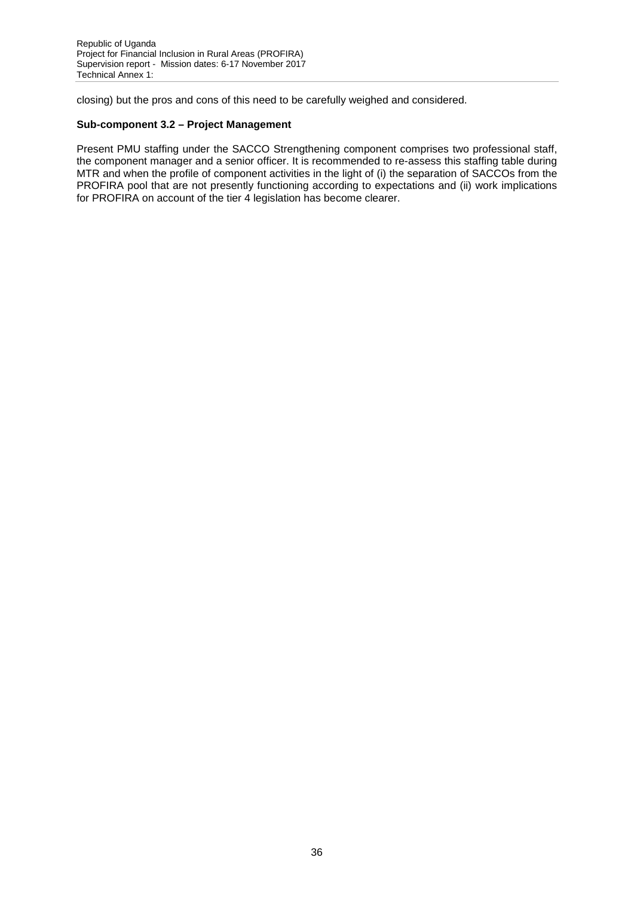closing) but the pros and cons of this need to be carefully weighed and considered.

### **Sub-component 3.2 – Project Management**

Present PMU staffing under the SACCO Strengthening component comprises two professional staff, the component manager and a senior officer. It is recommended to re-assess this staffing table during MTR and when the profile of component activities in the light of (i) the separation of SACCOs from the PROFIRA pool that are not presently functioning according to expectations and (ii) work implications for PROFIRA on account of the tier 4 legislation has become clearer.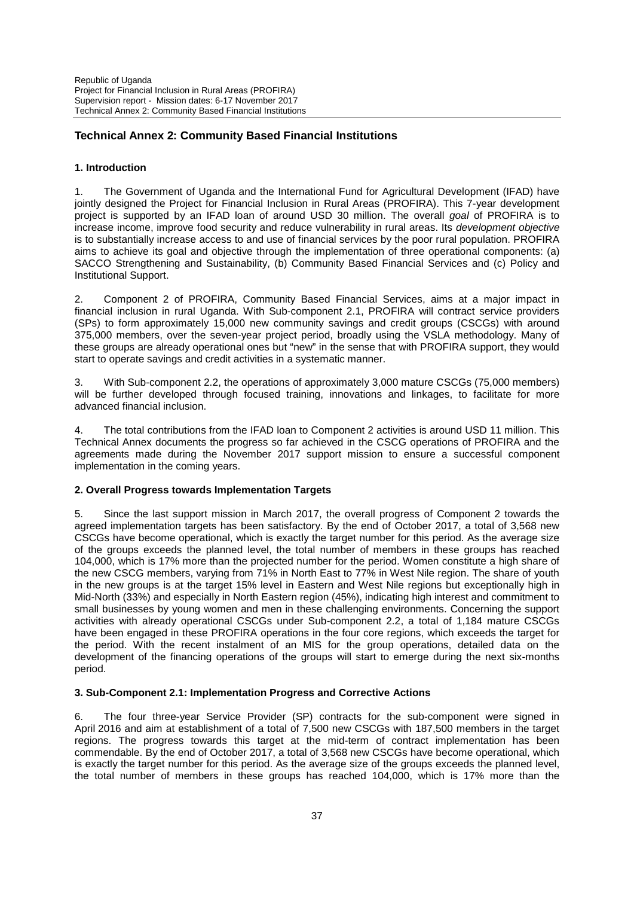### **Technical Annex 2: Community Based Financial Institutions**

#### **1. Introduction**

1. The Government of Uganda and the International Fund for Agricultural Development (IFAD) have jointly designed the Project for Financial Inclusion in Rural Areas (PROFIRA). This 7-year development project is supported by an IFAD loan of around USD 30 million. The overall *goal* of PROFIRA is to increase income, improve food security and reduce vulnerability in rural areas. Its *development objective* is to substantially increase access to and use of financial services by the poor rural population. PROFIRA aims to achieve its goal and objective through the implementation of three operational components: (a) SACCO Strengthening and Sustainability, (b) Community Based Financial Services and (c) Policy and Institutional Support.

2. Component 2 of PROFIRA, Community Based Financial Services, aims at a major impact in financial inclusion in rural Uganda. With Sub-component 2.1, PROFIRA will contract service providers (SPs) to form approximately 15,000 new community savings and credit groups (CSCGs) with around 375,000 members, over the seven-year project period, broadly using the VSLA methodology. Many of these groups are already operational ones but "new" in the sense that with PROFIRA support, they would start to operate savings and credit activities in a systematic manner.

3. With Sub-component 2.2, the operations of approximately 3,000 mature CSCGs (75,000 members) will be further developed through focused training, innovations and linkages, to facilitate for more advanced financial inclusion.

The total contributions from the IFAD loan to Component 2 activities is around USD 11 million. This Technical Annex documents the progress so far achieved in the CSCG operations of PROFIRA and the agreements made during the November 2017 support mission to ensure a successful component implementation in the coming years.

#### **2. Overall Progress towards Implementation Targets**

Since the last support mission in March 2017, the overall progress of Component 2 towards the agreed implementation targets has been satisfactory. By the end of October 2017, a total of 3,568 new CSCGs have become operational, which is exactly the target number for this period. As the average size of the groups exceeds the planned level, the total number of members in these groups has reached 104,000, which is 17% more than the projected number for the period. Women constitute a high share of the new CSCG members, varying from 71% in North East to 77% in West Nile region. The share of youth in the new groups is at the target 15% level in Eastern and West Nile regions but exceptionally high in Mid-North (33%) and especially in North Eastern region (45%), indicating high interest and commitment to small businesses by young women and men in these challenging environments. Concerning the support activities with already operational CSCGs under Sub-component 2.2, a total of 1,184 mature CSCGs have been engaged in these PROFIRA operations in the four core regions, which exceeds the target for the period. With the recent instalment of an MIS for the group operations, detailed data on the development of the financing operations of the groups will start to emerge during the next six-months period.

#### **3. Sub-Component 2.1: Implementation Progress and Corrective Actions**

6. The four three-year Service Provider (SP) contracts for the sub-component were signed in April 2016 and aim at establishment of a total of 7,500 new CSCGs with 187,500 members in the target regions. The progress towards this target at the mid-term of contract implementation has been commendable. By the end of October 2017, a total of 3,568 new CSCGs have become operational, which is exactly the target number for this period. As the average size of the groups exceeds the planned level, the total number of members in these groups has reached 104,000, which is 17% more than the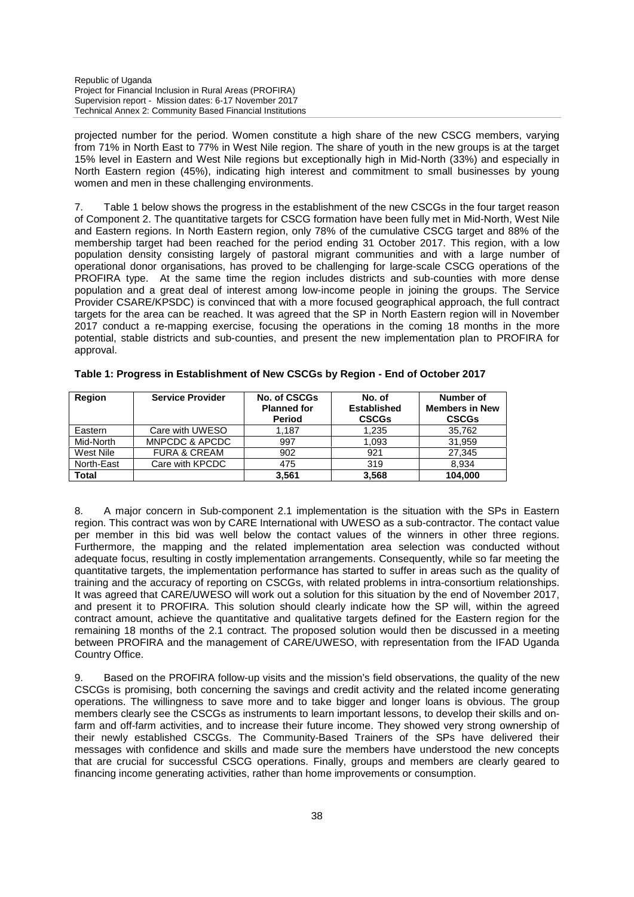projected number for the period. Women constitute a high share of the new CSCG members, varying from 71% in North East to 77% in West Nile region. The share of youth in the new groups is at the target 15% level in Eastern and West Nile regions but exceptionally high in Mid-North (33%) and especially in North Eastern region (45%), indicating high interest and commitment to small businesses by young women and men in these challenging environments.

7. Table 1 below shows the progress in the establishment of the new CSCGs in the four target reason of Component 2. The quantitative targets for CSCG formation have been fully met in Mid-North, West Nile and Eastern regions. In North Eastern region, only 78% of the cumulative CSCG target and 88% of the membership target had been reached for the period ending 31 October 2017. This region, with a low population density consisting largely of pastoral migrant communities and with a large number of operational donor organisations, has proved to be challenging for large-scale CSCG operations of the PROFIRA type. At the same time the region includes districts and sub-counties with more dense population and a great deal of interest among low-income people in joining the groups. The Service Provider CSARE/KPSDC) is convinced that with a more focused geographical approach, the full contract targets for the area can be reached. It was agreed that the SP in North Eastern region will in November 2017 conduct a re-mapping exercise, focusing the operations in the coming 18 months in the more potential, stable districts and sub-counties, and present the new implementation plan to PROFIRA for approval.

| <b>Region</b> | <b>Service Provider</b> | No. of CSCGs<br><b>Planned for</b><br><b>Period</b> | No. of<br><b>Established</b><br><b>CSCGs</b> | Number of<br><b>Members in New</b><br><b>CSCGs</b> |
|---------------|-------------------------|-----------------------------------------------------|----------------------------------------------|----------------------------------------------------|
| Eastern       | Care with UWESO         | 1.187                                               | 1.235                                        | 35,762                                             |
| Mid-North     | MNPCDC & APCDC          | 997                                                 | 1,093                                        | 31,959                                             |
| West Nile     | <b>FURA &amp; CREAM</b> | 902                                                 | 921                                          | 27,345                                             |
| North-East    | Care with KPCDC         | 475                                                 | 319                                          | 8.934                                              |
| <b>Total</b>  |                         | 3.561                                               | 3,568                                        | 104.000                                            |

**Table 1: Progress in Establishment of New CSCGs by Region - End of October 2017**

8. A major concern in Sub-component 2.1 implementation is the situation with the SPs in Eastern region. This contract was won by CARE International with UWESO as a sub-contractor. The contact value per member in this bid was well below the contact values of the winners in other three regions. Furthermore, the mapping and the related implementation area selection was conducted without adequate focus, resulting in costly implementation arrangements. Consequently, while so far meeting the quantitative targets, the implementation performance has started to suffer in areas such as the quality of training and the accuracy of reporting on CSCGs, with related problems in intra-consortium relationships. It was agreed that CARE/UWESO will work out a solution for this situation by the end of November 2017, and present it to PROFIRA. This solution should clearly indicate how the SP will, within the agreed contract amount, achieve the quantitative and qualitative targets defined for the Eastern region for the remaining 18 months of the 2.1 contract. The proposed solution would then be discussed in a meeting between PROFIRA and the management of CARE/UWESO, with representation from the IFAD Uganda Country Office.

9. Based on the PROFIRA follow-up visits and the mission's field observations, the quality of the new CSCGs is promising, both concerning the savings and credit activity and the related income generating operations. The willingness to save more and to take bigger and longer loans is obvious. The group members clearly see the CSCGs as instruments to learn important lessons, to develop their skills and onfarm and off-farm activities, and to increase their future income. They showed very strong ownership of their newly established CSCGs. The Community-Based Trainers of the SPs have delivered their messages with confidence and skills and made sure the members have understood the new concepts that are crucial for successful CSCG operations. Finally, groups and members are clearly geared to financing income generating activities, rather than home improvements or consumption.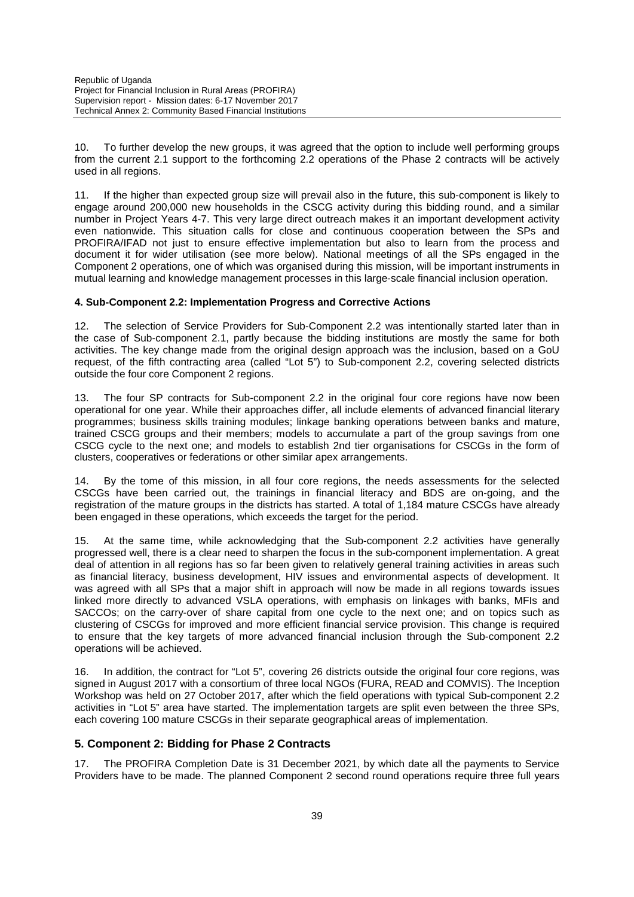10. To further develop the new groups, it was agreed that the option to include well performing groups from the current 2.1 support to the forthcoming 2.2 operations of the Phase 2 contracts will be actively used in all regions.

11. If the higher than expected group size will prevail also in the future, this sub-component is likely to engage around 200,000 new households in the CSCG activity during this bidding round, and a similar number in Project Years 4-7. This very large direct outreach makes it an important development activity even nationwide. This situation calls for close and continuous cooperation between the SPs and PROFIRA/IFAD not just to ensure effective implementation but also to learn from the process and document it for wider utilisation (see more below). National meetings of all the SPs engaged in the Component 2 operations, one of which was organised during this mission, will be important instruments in mutual learning and knowledge management processes in this large-scale financial inclusion operation.

### **4. Sub-Component 2.2: Implementation Progress and Corrective Actions**

12. The selection of Service Providers for Sub-Component 2.2 was intentionally started later than in the case of Sub-component 2.1, partly because the bidding institutions are mostly the same for both activities. The key change made from the original design approach was the inclusion, based on a GoU request, of the fifth contracting area (called "Lot 5") to Sub-component 2.2, covering selected districts outside the four core Component 2 regions.

13. The four SP contracts for Sub-component 2.2 in the original four core regions have now been operational for one year. While their approaches differ, all include elements of advanced financial literary programmes; business skills training modules; linkage banking operations between banks and mature, trained CSCG groups and their members; models to accumulate a part of the group savings from one CSCG cycle to the next one; and models to establish 2nd tier organisations for CSCGs in the form of clusters, cooperatives or federations or other similar apex arrangements.

14. By the tome of this mission, in all four core regions, the needs assessments for the selected CSCGs have been carried out, the trainings in financial literacy and BDS are on-going, and the registration of the mature groups in the districts has started. A total of 1,184 mature CSCGs have already been engaged in these operations, which exceeds the target for the period.

At the same time, while acknowledging that the Sub-component 2.2 activities have generally progressed well, there is a clear need to sharpen the focus in the sub-component implementation. A great deal of attention in all regions has so far been given to relatively general training activities in areas such as financial literacy, business development, HIV issues and environmental aspects of development. It was agreed with all SPs that a major shift in approach will now be made in all regions towards issues linked more directly to advanced VSLA operations, with emphasis on linkages with banks, MFIs and SACCOs; on the carry-over of share capital from one cycle to the next one; and on topics such as clustering of CSCGs for improved and more efficient financial service provision. This change is required to ensure that the key targets of more advanced financial inclusion through the Sub-component 2.2 operations will be achieved.

16. In addition, the contract for "Lot 5", covering 26 districts outside the original four core regions, was signed in August 2017 with a consortium of three local NGOs (FURA, READ and COMVIS). The Inception Workshop was held on 27 October 2017, after which the field operations with typical Sub-component 2.2 activities in "Lot 5" area have started. The implementation targets are split even between the three SPs, each covering 100 mature CSCGs in their separate geographical areas of implementation.

### **5. Component 2: Bidding for Phase 2 Contracts**

17. The PROFIRA Completion Date is 31 December 2021, by which date all the payments to Service Providers have to be made. The planned Component 2 second round operations require three full years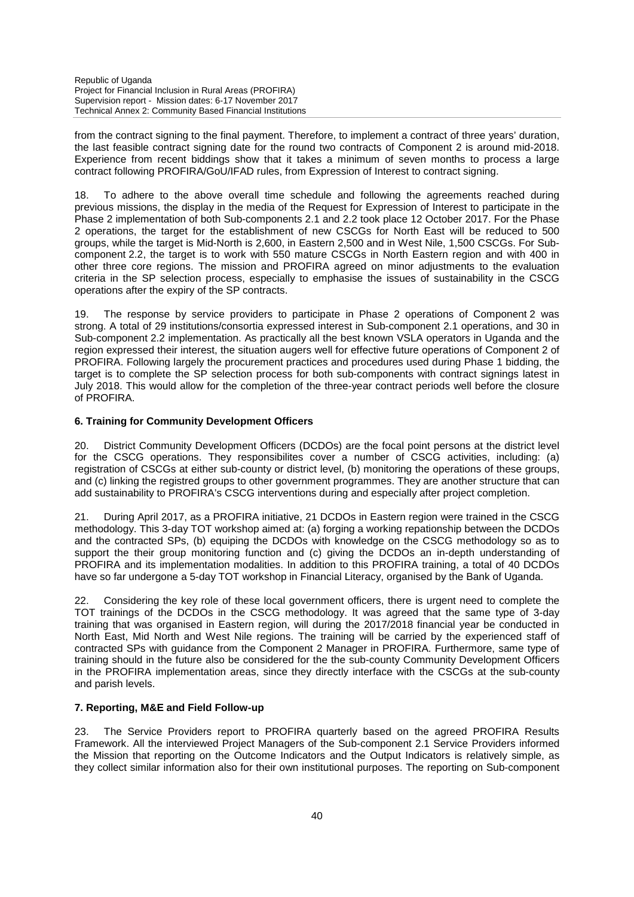from the contract signing to the final payment. Therefore, to implement a contract of three years' duration, the last feasible contract signing date for the round two contracts of Component 2 is around mid-2018. Experience from recent biddings show that it takes a minimum of seven months to process a large contract following PROFIRA/GoU/IFAD rules, from Expression of Interest to contract signing.

18. To adhere to the above overall time schedule and following the agreements reached during previous missions, the display in the media of the Request for Expression of Interest to participate in the Phase 2 implementation of both Sub-components 2.1 and 2.2 took place 12 October 2017. For the Phase 2 operations, the target for the establishment of new CSCGs for North East will be reduced to 500 groups, while the target is Mid-North is 2,600, in Eastern 2,500 and in West Nile, 1,500 CSCGs. For Sub component 2.2, the target is to work with 550 mature CSCGs in North Eastern region and with 400 in other three core regions. The mission and PROFIRA agreed on minor adjustments to the evaluation criteria in the SP selection process, especially to emphasise the issues of sustainability in the CSCG operations after the expiry of the SP contracts.

19. The response by service providers to participate in Phase 2 operations of Component 2 was strong. A total of 29 institutions/consortia expressed interest in Sub-component 2.1 operations, and 30 in Sub-component 2.2 implementation. As practically all the best known VSLA operators in Uganda and the region expressed their interest, the situation augers well for effective future operations of Component 2 of PROFIRA. Following largely the procurement practices and procedures used during Phase 1 bidding, the target is to complete the SP selection process for both sub-components with contract signings latest in July 2018. This would allow for the completion of the three-year contract periods well before the closure of PROFIRA.

### **6. Training for Community Development Officers**

20. District Community Development Officers (DCDOs) are the focal point persons at the district level for the CSCG operations. They responsibilites cover a number of CSCG activities, including: (a) registration of CSCGs at either sub-county or district level, (b) monitoring the operations of these groups, and (c) linking the registred groups to other government programmes. They are another structure that can add sustainability to PROFIRA's CSCG interventions during and especially after project completion.

21. During April 2017, as a PROFIRA initiative, 21 DCDOs in Eastern region were trained in the CSCG methodology. This 3-day TOT workshop aimed at: (a) forging a working repationship between the DCDOs and the contracted SPs, (b) equiping the DCDOs with knowledge on the CSCG methodology so as to support the their group monitoring function and (c) giving the DCDOs an in-depth understanding of PROFIRA and its implementation modalities. In addition to this PROFIRA training, a total of 40 DCDOs have so far undergone a 5-day TOT workshop in Financial Literacy, organised by the Bank of Uganda.

22. Considering the key role of these local government officers, there is urgent need to complete the TOT trainings of the DCDOs in the CSCG methodology. It was agreed that the same type of 3-day training that was organised in Eastern region, will during the 2017/2018 financial year be conducted in North East, Mid North and West Nile regions. The training will be carried by the experienced staff of contracted SPs with guidance from the Component 2 Manager in PROFIRA. Furthermore, same type of training should in the future also be considered for the the sub-county Community Development Officers in the PROFIRA implementation areas, since they directly interface with the CSCGs at the sub-county and parish levels.

### **7. Reporting, M&E and Field Follow-up**

23. The Service Providers report to PROFIRA quarterly based on the agreed PROFIRA Results Framework. All the interviewed Project Managers of the Sub-component 2.1 Service Providers informed the Mission that reporting on the Outcome Indicators and the Output Indicators is relatively simple, as they collect similar information also for their own institutional purposes. The reporting on Sub-component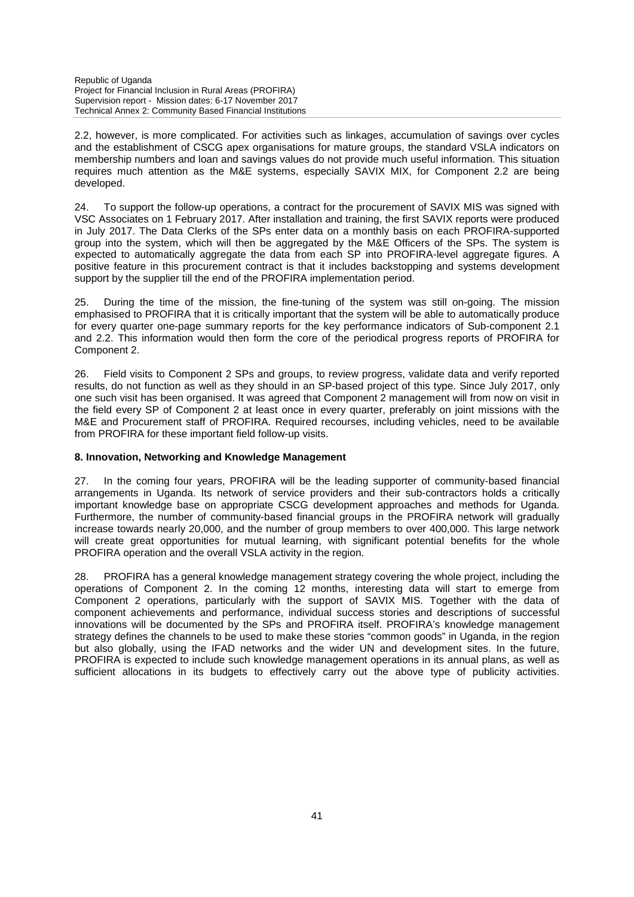2.2, however, is more complicated. For activities such as linkages, accumulation of savings over cycles and the establishment of CSCG apex organisations for mature groups, the standard VSLA indicators on membership numbers and loan and savings values do not provide much useful information. This situation requires much attention as the M&E systems, especially SAVIX MIX, for Component 2.2 are being developed.

24. To support the follow-up operations, a contract for the procurement of SAVIX MIS was signed with VSC Associates on 1 February 2017. After installation and training, the first SAVIX reports were produced in July 2017. The Data Clerks of the SPs enter data on a monthly basis on each PROFIRA-supported group into the system, which will then be aggregated by the M&E Officers of the SPs. The system is expected to automatically aggregate the data from each SP into PROFIRA-level aggregate figures. A positive feature in this procurement contract is that it includes backstopping and systems development support by the supplier till the end of the PROFIRA implementation period.

25. During the time of the mission, the fine-tuning of the system was still on-going. The mission emphasised to PROFIRA that it is critically important that the system will be able to automatically produce for every quarter one-page summary reports for the key performance indicators of Sub-component 2.1 and 2.2. This information would then form the core of the periodical progress reports of PROFIRA for Component 2.

26. Field visits to Component 2 SPs and groups, to review progress, validate data and verify reported results, do not function as well as they should in an SP-based project of this type. Since July 2017, only one such visit has been organised. It was agreed that Component 2 management will from now on visit in the field every SP of Component 2 at least once in every quarter, preferably on joint missions with the M&E and Procurement staff of PROFIRA. Required recourses, including vehicles, need to be available from PROFIRA for these important field follow-up visits.

#### **8. Innovation, Networking and Knowledge Management**

27. In the coming four years, PROFIRA will be the leading supporter of community-based financial arrangements in Uganda. Its network of service providers and their sub-contractors holds a critically important knowledge base on appropriate CSCG development approaches and methods for Uganda. Furthermore, the number of community-based financial groups in the PROFIRA network will gradually increase towards nearly 20,000, and the number of group members to over 400,000. This large network will create great opportunities for mutual learning, with significant potential benefits for the whole PROFIRA operation and the overall VSLA activity in the region.

28. PROFIRA has a general knowledge management strategy covering the whole project, including the operations of Component 2. In the coming 12 months, interesting data will start to emerge from Component 2 operations, particularly with the support of SAVIX MIS. Together with the data of component achievements and performance, individual success stories and descriptions of successful innovations will be documented by the SPs and PROFIRA itself. PROFIRA's knowledge management strategy defines the channels to be used to make these stories "common goods" in Uganda, in the region but also globally, using the IFAD networks and the wider UN and development sites. In the future, PROFIRA is expected to include such knowledge management operations in its annual plans, as well as sufficient allocations in its budgets to effectively carry out the above type of publicity activities.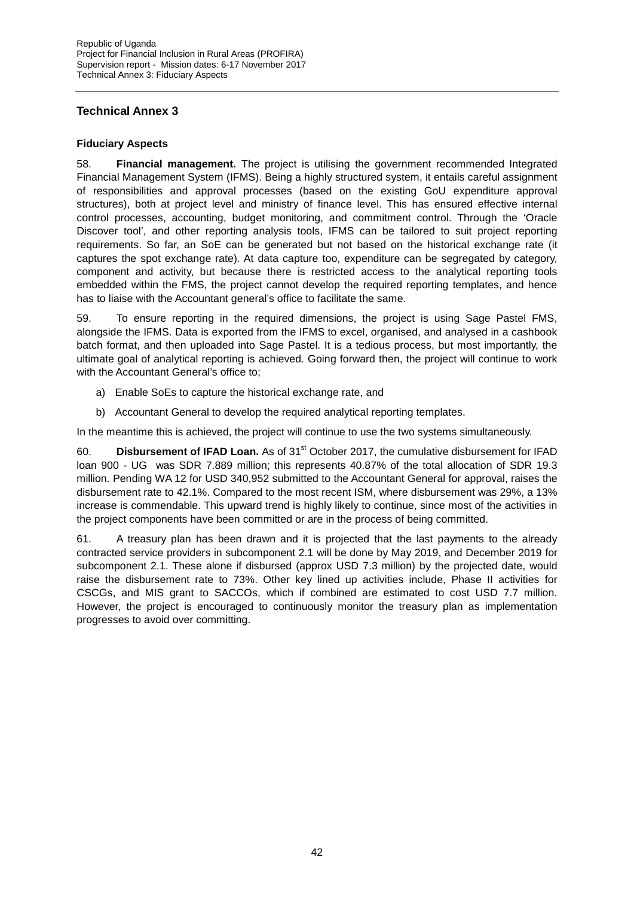### **Technical Annex 3**

### **Fiduciary Aspects**

58. **Financial management.** The project is utilising the government recommended Integrated Financial Management System (IFMS). Being a highly structured system, it entails careful assignment of responsibilities and approval processes (based on the existing GoU expenditure approval structures), both at project level and ministry of finance level. This has ensured effective internal control processes, accounting, budget monitoring, and commitment control. Through the 'Oracle Discover tool', and other reporting analysis tools, IFMS can be tailored to suit project reporting requirements. So far, an SoE can be generated but not based on the historical exchange rate (it captures the spot exchange rate). At data capture too, expenditure can be segregated by category, component and activity, but because there is restricted access to the analytical reporting tools embedded within the FMS, the project cannot develop the required reporting templates, and hence has to liaise with the Accountant general's office to facilitate the same.

59. To ensure reporting in the required dimensions, the project is using Sage Pastel FMS, alongside the IFMS. Data is exported from the IFMS to excel, organised, and analysed in a cashbook batch format, and then uploaded into Sage Pastel. It is a tedious process, but most importantly, the ultimate goal of analytical reporting is achieved. Going forward then, the project will continue to work with the Accountant General's office to;

- a) Enable SoEs to capture the historical exchange rate, and
- b) Accountant General to develop the required analytical reporting templates.

In the meantime this is achieved, the project will continue to use the two systems simultaneously.

60. **Disbursement of IFAD Loan.** As of 31<sup>st</sup> October 2017, the cumulative disbursement for IFAD loan 900 - UG was SDR 7.889 million; this represents 40.87% of the total allocation of SDR 19.3 million. Pending WA 12 for USD 340,952 submitted to the Accountant General for approval, raises the disbursement rate to 42.1%. Compared to the most recent ISM, where disbursement was 29%, a 13% increase is commendable. This upward trend is highly likely to continue, since most of the activities in the project components have been committed or are in the process of being committed.

61. A treasury plan has been drawn and it is projected that the last payments to the already contracted service providers in subcomponent 2.1 will be done by May 2019, and December 2019 for subcomponent 2.1. These alone if disbursed (approx USD 7.3 million) by the projected date, would raise the disbursement rate to 73%. Other key lined up activities include, Phase II activities for CSCGs, and MIS grant to SACCOs, which if combined are estimated to cost USD 7.7 million. However, the project is encouraged to continuously monitor the treasury plan as implementation progresses to avoid over committing.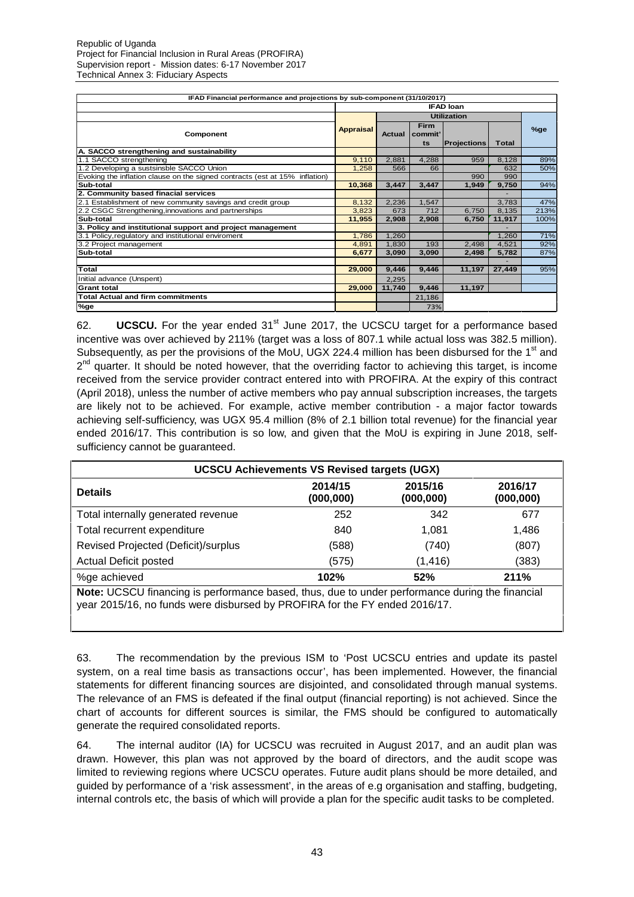| IFAD Financial performance and projections by sub-component (31/10/2017)    |                  |        |                       |                    |              |      |
|-----------------------------------------------------------------------------|------------------|--------|-----------------------|--------------------|--------------|------|
|                                                                             |                  |        |                       | <b>IFAD loan</b>   |              |      |
|                                                                             |                  |        |                       | <b>Utilization</b> |              |      |
| Component                                                                   | <b>Appraisal</b> | Actual | Firm<br>commit'<br>ts | <b>Projections</b> | <b>Total</b> | %ge  |
| A. SACCO strengthening and sustainability                                   |                  |        |                       |                    |              |      |
| 1.1 SACCO strengthening                                                     | 9.110            | 2,881  | 4.288                 | 959                | 8,128        | 89%  |
| 1.2 Developing a sustsinsble SACCO Union                                    | 1.258            | 566    | 66                    |                    | 632          | 50%  |
| Evoking the inflation clause on the signed contracts (est at 15% inflation) |                  |        |                       | 990                | 990          |      |
| Sub-total                                                                   | 10,368           | 3,447  | 3,447                 | 1,949              | 9,750        | 94%  |
| 2. Community based finacial services                                        |                  |        |                       |                    |              |      |
| 2.1 Establishment of new community savings and credit group                 | 8,132            | 2,236  | 1.547                 |                    | 3,783        | 47%  |
| 2.2 CSGC Strengthening, innovations and partnerships                        | 3,823            | 673    | 712                   | 6,750              | 8,135        | 213% |
| Sub-total                                                                   | 11,955           | 2,908  | 2,908                 | 6,750              | 11,917       | 100% |
| 3. Policy and institutional support and project management                  |                  |        |                       |                    |              |      |
| 3.1 Policy, regulatory and institutional enviroment                         | 1,786            | 1,260  |                       |                    | 1,260        | 71%  |
| 3.2 Project management                                                      | 4,891            | 1,830  | 193                   | 2,498              | 4,521        | 92%  |
| Sub-total                                                                   | 6,677            | 3,090  | 3,090                 | 2,498              | 5,782        | 87%  |
|                                                                             |                  |        |                       |                    |              |      |
| Total                                                                       | 29,000           | 9,446  | 9,446                 | 11,197             | 27,449       | 95%  |
| Initial advance (Unspent)                                                   |                  | 2,295  |                       |                    |              |      |
| <b>Grant total</b>                                                          | 29.000           | 11.740 | 9,446                 | 11,197             |              |      |
| <b>Total Actual and firm commitments</b>                                    |                  |        | 21,186                |                    |              |      |
| %ge                                                                         |                  |        | 73%                   |                    |              |      |

62. **UCSCU.** For the year ended 31<sup>st</sup> June 2017, the UCSCU target for a performance based incentive was over achieved by 211% (target was a loss of 807.1 while actual loss was 382.5 million). Subsequently, as per the provisions of the MoU, UGX 224.4 million has been disbursed for the 1<sup>st</sup> and 2<sup>nd</sup> quarter. It should be noted however, that the overriding factor to achieving this target, is income received from the service provider contract entered into with PROFIRA. At the expiry of this contract (April 2018), unless the number of active members who pay annual subscription increases, the targets are likely not to be achieved. For example, active member contribution - a major factor towards achieving self-sufficiency, was UGX 95.4 million (8% of 2.1 billion total revenue) for the financial year ended 2016/17. This contribution is so low, and given that the MoU is expiring in June 2018, self sufficiency cannot be guaranteed.

| <b>UCSCU Achievements VS Revised targets (UGX)</b>                                                                                                                            |                       |                       |                       |  |  |  |  |
|-------------------------------------------------------------------------------------------------------------------------------------------------------------------------------|-----------------------|-----------------------|-----------------------|--|--|--|--|
| <b>Details</b>                                                                                                                                                                | 2014/15<br>(000, 000) | 2015/16<br>(000, 000) | 2016/17<br>(000, 000) |  |  |  |  |
| Total internally generated revenue                                                                                                                                            | 252                   | 342                   | 677                   |  |  |  |  |
| Total recurrent expenditure                                                                                                                                                   | 840                   | 1.081                 | 1,486                 |  |  |  |  |
| Revised Projected (Deficit)/surplus                                                                                                                                           | (588)                 | (740)                 | (807)                 |  |  |  |  |
| <b>Actual Deficit posted</b>                                                                                                                                                  | (575)                 | (1, 416)              | (383)                 |  |  |  |  |
| %ge achieved                                                                                                                                                                  | 102%                  | 52%                   | 211%                  |  |  |  |  |
| Note: UCSCU financing is performance based, thus, due to under performance during the financial<br>year 2015/16, no funds were disbursed by PROFIRA for the FY ended 2016/17. |                       |                       |                       |  |  |  |  |

63. The recommendation by the previous ISM to 'Post UCSCU entries and update its pastel system, on a real time basis as transactions occur', has been implemented. However, the financial statements for different financing sources are disjointed, and consolidated through manual systems. The relevance of an FMS is defeated if the final output (financial reporting) is not achieved. Since the chart of accounts for different sources is similar, the FMS should be configured to automatically generate the required consolidated reports.

64. The internal auditor (IA) for UCSCU was recruited in August 2017, and an audit plan was drawn. However, this plan was not approved by the board of directors, and the audit scope was limited to reviewing regions where UCSCU operates. Future audit plans should be more detailed, and guided by performance of a 'risk assessment', in the areas of e.g organisation and staffing, budgeting, internal controls etc, the basis of which will provide a plan for the specific audit tasks to be completed.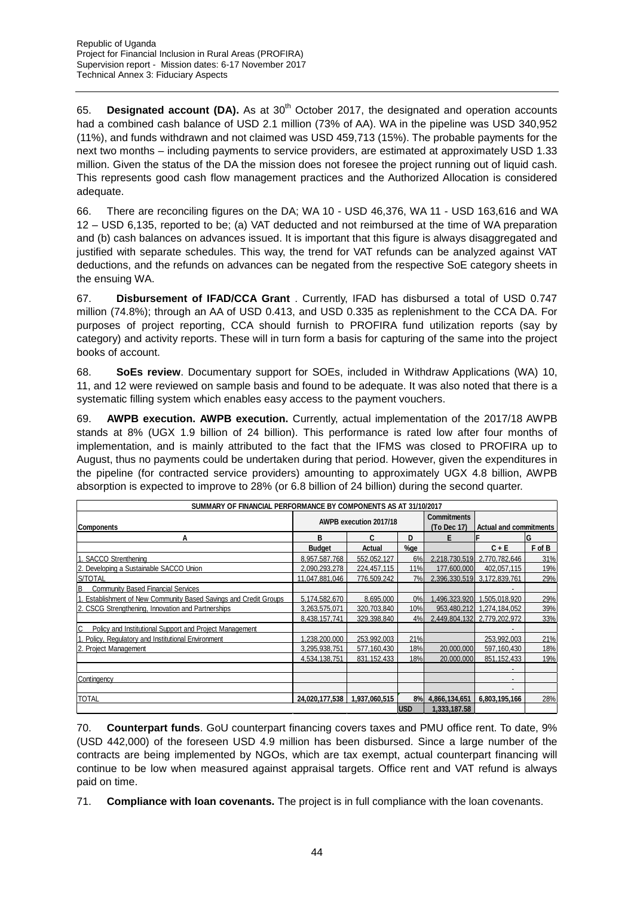65. **Designated account (DA).** As at 30<sup>th</sup> October 2017, the designated and operation accounts had a combined cash balance of USD 2.1 million (73% of AA). WA in the pipeline was USD 340,952 (11%), and funds withdrawn and not claimed was USD 459,713 (15%). The probable payments for the next two months – including payments to service providers, are estimated at approximately USD 1.33 million. Given the status of the DA the mission does not foresee the project running out of liquid cash. This represents good cash flow management practices and the Authorized Allocation is considered adequate.

66. There are reconciling figures on the DA; WA 10 - USD 46,376, WA 11 - USD 163,616 and WA 12 – USD 6,135, reported to be; (a) VAT deducted and not reimbursed at the time of WA preparation and (b) cash balances on advances issued. It is important that this figure is always disaggregated and justified with separate schedules. This way, the trend for VAT refunds can be analyzed against VAT deductions, and the refunds on advances can be negated from the respective SoE category sheets in the ensuing WA.

67. **Disbursement of IFAD/CCA Grant** . Currently, IFAD has disbursed a total of USD 0.747 million (74.8%); through an AA of USD 0.413, and USD 0.335 as replenishment to the CCA DA. For purposes of project reporting, CCA should furnish to PROFIRA fund utilization reports (say by category) and activity reports. These will in turn form a basis for capturing of the same into the project books of account.

68. **SoEs review**. Documentary support for SOEs, included in Withdraw Applications (WA) 10, 11, and 12 were reviewed on sample basis and found to be adequate. It was also noted that there is a systematic filling system which enables easy access to the payment vouchers.

69. **AWPB execution. AWPB execution.** Currently, actual implementation of the 2017/18 AWPB stands at 8% (UGX 1.9 billion of 24 billion). This performance is rated low after four months of implementation, and is mainly attributed to the fact that the IFMS was closed to PROFIRA up to August, thus no payments could be undertaken during that period. However, given the expenditures in the pipeline (for contracted service providers) amounting to approximately UGX 4.8 billion, AWPB absorption is expected to improve to 28% (or 6.8 billion of 24 billion) during the second quarter.

| SUMMARY OF FINANCIAL PERFORMANCE BY COMPONENTS AS AT 31/10/2017   |                |                        |            |                                   |                               |        |
|-------------------------------------------------------------------|----------------|------------------------|------------|-----------------------------------|-------------------------------|--------|
| <b>Components</b>                                                 |                | AWPB execution 2017/18 |            | <b>Commitments</b><br>(To Dec 17) | <b>Actual and commitments</b> |        |
| А                                                                 | в              | C                      | D          |                                   |                               | lG     |
|                                                                   | <b>Budget</b>  | Actual                 | %ge        |                                   | $C + E$                       | F of B |
| . SACCO Strenthening                                              | 8.957.587.768  | 552.052.127            | 6%         |                                   | 2.218.730.519 2.770.782.646   | 31%    |
| 2. Developing a Sustainable SACCO Union                           | 2.090.293.278  | 224.457.115            | 11%        | 177.600.000                       | 402.057.115                   | 19%    |
| S/TOTAL                                                           | 11.047.881.046 | 776.509.242            | 7%         |                                   | 2.396.330.519 3.172.839.761   | 29%    |
| В<br><b>Community Based Financial Services</b>                    |                |                        |            |                                   |                               |        |
| 1. Establishment of New Community Based Savings and Credit Groups | 5,174,582,670  | 8,695,000              | 0%         |                                   | 496,323,920 1,505,018,920     | 29%    |
| 2. CSCG Strengthening, Innovation and Partnerships                | 3,263,575,071  | 320.703.840            | 10%        |                                   | 953.480.212 1.274.184.052     | 39%    |
|                                                                   | 8.438.157.741  | 329.398.840            | 4%         |                                   | 2.449.804.132 2.779.202.972   | 33%    |
| C<br>Policy and Institutional Support and Project Management      |                |                        |            |                                   |                               |        |
| 1. Policy, Regulatory and Institutional Environment               | .238.200.000   | 253.992.003            | 21%        |                                   | 253.992.003                   | 21%    |
| 2. Project Management                                             | 3.295.938.751  | 577.160.430            | 18%        | 20,000,000                        | 597.160.430                   | 18%    |
|                                                                   | 4,534,138,751  | 831, 152, 433          | 18%        | 20,000,000                        | 851, 152, 433                 | 19%    |
|                                                                   |                |                        |            |                                   |                               |        |
| Contingency                                                       |                |                        |            |                                   |                               |        |
|                                                                   |                |                        |            |                                   | -                             |        |
| TOTAL                                                             | 24,020,177,538 | 1,937,060,515          | 8%         | 4,866,134,651                     | 6,803,195,166                 | 28%    |
|                                                                   |                |                        | <b>USD</b> | 1.333.187.58                      |                               |        |

70. **Counterpart funds**. GoU counterpart financing covers taxes and PMU office rent. To date, 9% (USD 442,000) of the foreseen USD 4.9 million has been disbursed. Since a large number of the contracts are being implemented by NGOs, which are tax exempt, actual counterpart financing will continue to be low when measured against appraisal targets. Office rent and VAT refund is always paid on time.

71. **Compliance with loan covenants.** The project is in full compliance with the loan covenants.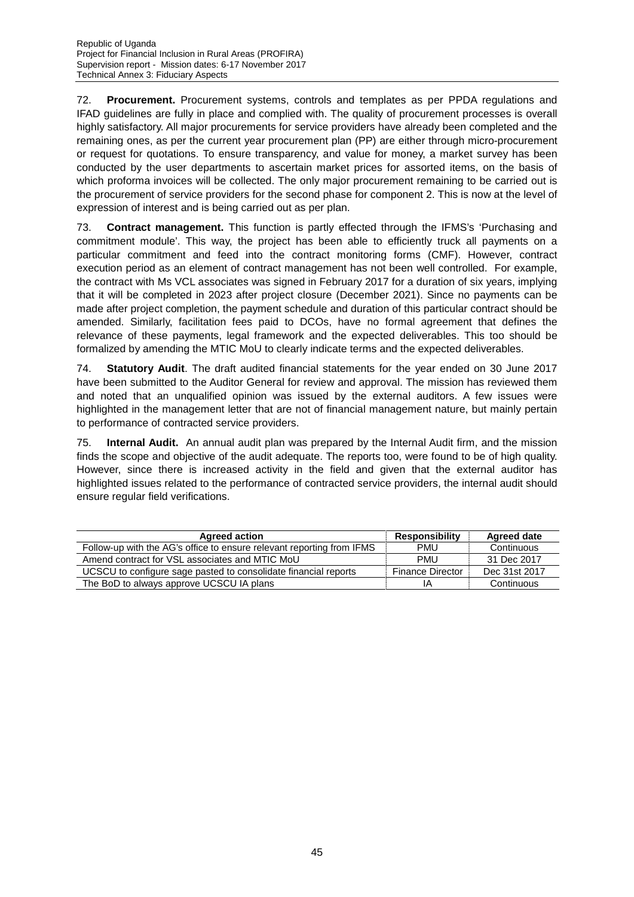72. **Procurement.** Procurement systems, controls and templates as per PPDA regulations and IFAD guidelines are fully in place and complied with. The quality of procurement processes is overall highly satisfactory. All major procurements for service providers have already been completed and the remaining ones, as per the current year procurement plan (PP) are either through micro-procurement or request for quotations. To ensure transparency, and value for money, a market survey has been conducted by the user departments to ascertain market prices for assorted items, on the basis of which proforma invoices will be collected. The only major procurement remaining to be carried out is the procurement of service providers for the second phase for component 2. This is now at the level of expression of interest and is being carried out as per plan.

73. **Contract management.** This function is partly effected through the IFMS's 'Purchasing and commitment module'. This way, the project has been able to efficiently truck all payments on a particular commitment and feed into the contract monitoring forms (CMF). However, contract execution period as an element of contract management has not been well controlled. For example, the contract with Ms VCL associates was signed in February 2017 for a duration of six years, implying that it will be completed in 2023 after project closure (December 2021). Since no payments can be made after project completion, the payment schedule and duration of this particular contract should be amended. Similarly, facilitation fees paid to DCOs, have no formal agreement that defines the relevance of these payments, legal framework and the expected deliverables. This too should be formalized by amending the MTIC MoU to clearly indicate terms and the expected deliverables.

74. **Statutory Audit**. The draft audited financial statements for the year ended on 30 June 2017 have been submitted to the Auditor General for review and approval. The mission has reviewed them and noted that an unqualified opinion was issued by the external auditors. A few issues were highlighted in the management letter that are not of financial management nature, but mainly pertain to performance of contracted service providers.

75. **Internal Audit.** An annual audit plan was prepared by the Internal Audit firm, and the mission finds the scope and objective of the audit adequate. The reports too, were found to be of high quality. However, since there is increased activity in the field and given that the external auditor has highlighted issues related to the performance of contracted service providers, the internal audit should ensure regular field verifications.

| <b>Agreed action</b>                                                  | <b>Responsibility</b>   | <b>Agreed date</b> |
|-----------------------------------------------------------------------|-------------------------|--------------------|
| Follow-up with the AG's office to ensure relevant reporting from IFMS | PMU                     | Continuous         |
| Amend contract for VSL associates and MTIC MoU                        | <b>PMU</b>              | 31 Dec 2017        |
| UCSCU to configure sage pasted to consolidate financial reports       | <b>Finance Director</b> | Dec 31st 2017      |
| The BoD to always approve UCSCU IA plans                              | ΙA                      | Continuous         |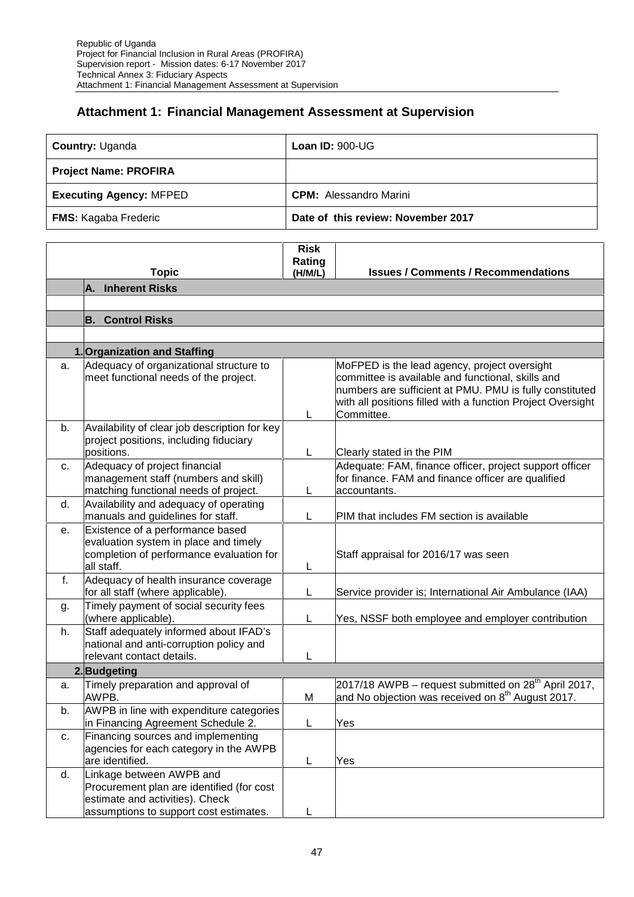### **Attachment 1: Financial Management Assessment at Supervision**

|    | Country: Uganda                                                                                                       | <b>Loan ID: 900-UG</b>             |                                                                                                                                                                                                                                           |  |  |  |  |
|----|-----------------------------------------------------------------------------------------------------------------------|------------------------------------|-------------------------------------------------------------------------------------------------------------------------------------------------------------------------------------------------------------------------------------------|--|--|--|--|
|    | <b>Project Name: PROFIRA</b>                                                                                          |                                    |                                                                                                                                                                                                                                           |  |  |  |  |
|    | <b>Executing Agency: MFPED</b>                                                                                        |                                    | <b>CPM:</b> Alessandro Marini                                                                                                                                                                                                             |  |  |  |  |
|    | <b>FMS:</b> Kagaba Frederic                                                                                           | Date of this review: November 2017 |                                                                                                                                                                                                                                           |  |  |  |  |
|    | <b>Topic</b>                                                                                                          | <b>Risk</b><br>Rating<br>(H/M/L)   | <b>Issues / Comments / Recommendations</b>                                                                                                                                                                                                |  |  |  |  |
|    | A. Inherent Risks                                                                                                     |                                    |                                                                                                                                                                                                                                           |  |  |  |  |
|    |                                                                                                                       |                                    |                                                                                                                                                                                                                                           |  |  |  |  |
|    | <b>B. Control Risks</b>                                                                                               |                                    |                                                                                                                                                                                                                                           |  |  |  |  |
|    |                                                                                                                       |                                    |                                                                                                                                                                                                                                           |  |  |  |  |
|    | 1. Organization and Staffing                                                                                          |                                    |                                                                                                                                                                                                                                           |  |  |  |  |
| a. | Adequacy of organizational structure to<br>meet functional needs of the project.                                      | L                                  | MoFPED is the lead agency, project oversight<br>committee is available and functional, skills and<br>numbers are sufficient at PMU. PMU is fully constituted<br>with all positions filled with a function Project Oversight<br>Committee. |  |  |  |  |
| b. | Availability of clear job description for key<br>project positions, including fiduciary<br>positions.                 | L                                  | Clearly stated in the PIM                                                                                                                                                                                                                 |  |  |  |  |
| C. | Adequacy of project financial<br>management staff (numbers and skill)<br>matching functional needs of project.        | L                                  | Adequate: FAM, finance officer, project support officer<br>for finance. FAM and finance officer are qualified<br>accountants.                                                                                                             |  |  |  |  |
| d. | Availability and adequacy of operating<br>manuals and guidelines for staff.                                           | L                                  | PIM that includes FM section is available                                                                                                                                                                                                 |  |  |  |  |
| е. | Existence of a performance based<br>evaluation system in place and timely<br>completion of performance evaluation for |                                    | Staff appraisal for 2016/17 was seen                                                                                                                                                                                                      |  |  |  |  |

|    | completion of performance evaluation for<br>all staff.                                                         |   | Staff appraisal for 2016/17 was seen                                                                            |
|----|----------------------------------------------------------------------------------------------------------------|---|-----------------------------------------------------------------------------------------------------------------|
| f. | Adequacy of health insurance coverage<br>for all staff (where applicable).                                     |   | Service provider is; International Air Ambulance (IAA)                                                          |
| g. | Timely payment of social security fees<br>(where applicable).                                                  |   | Yes, NSSF both employee and employer contribution                                                               |
| h. | Staff adequately informed about IFAD's<br>national and anti-corruption policy and<br>relevant contact details. |   |                                                                                                                 |
|    | 2. Budgeting                                                                                                   |   |                                                                                                                 |
| a. | Timely preparation and approval of<br>AWPB.                                                                    | M | $2017/18$ AWPB – request submitted on $28th$ April 2017,<br>and No objection was received on $8th$ August 2017. |
| b. | AWPB in line with expenditure categories<br>in Financing Agreement Schedule 2.                                 |   | Yes                                                                                                             |
| c. | Financing sources and implementing<br>agencies for each category in the AWPB<br>are identified.                |   | Yes                                                                                                             |
| d. | Linkage between AWPB and<br>Procurement plan are identified (for cost<br>estimate and activities). Check       |   |                                                                                                                 |
|    | assumptions to support cost estimates.                                                                         |   |                                                                                                                 |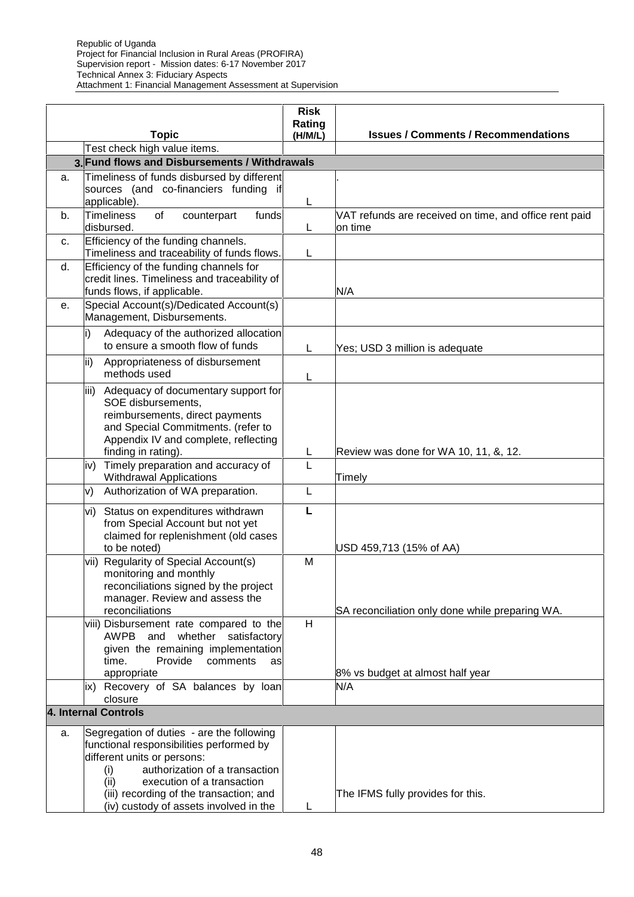|    | <b>Topic</b>                                                                     | <b>Risk</b><br>Rating<br>(H/M/L) | <b>Issues / Comments / Recommendations</b>             |  |  |  |  |
|----|----------------------------------------------------------------------------------|----------------------------------|--------------------------------------------------------|--|--|--|--|
|    | Test check high value items.                                                     |                                  |                                                        |  |  |  |  |
|    | 3. Fund flows and Disbursements / Withdrawals                                    |                                  |                                                        |  |  |  |  |
| a. | Timeliness of funds disbursed by different                                       |                                  |                                                        |  |  |  |  |
|    | sources (and co-financiers funding if                                            |                                  |                                                        |  |  |  |  |
| b. | applicable).<br><b>Timeliness</b><br>of<br>counterpart<br>funds                  | L                                | VAT refunds are received on time, and office rent paid |  |  |  |  |
|    | disbursed.                                                                       | L                                | lon time                                               |  |  |  |  |
| c. | Efficiency of the funding channels.                                              |                                  |                                                        |  |  |  |  |
|    | Timeliness and traceability of funds flows.                                      | L                                |                                                        |  |  |  |  |
| d. | Efficiency of the funding channels for                                           |                                  |                                                        |  |  |  |  |
|    | credit lines. Timeliness and traceability of                                     |                                  |                                                        |  |  |  |  |
| е. | funds flows, if applicable.<br>Special Account(s)/Dedicated Account(s)           |                                  | N/A                                                    |  |  |  |  |
|    | Management, Disbursements.                                                       |                                  |                                                        |  |  |  |  |
|    | Adequacy of the authorized allocation<br>i)                                      |                                  |                                                        |  |  |  |  |
|    | to ensure a smooth flow of funds                                                 | L                                | Yes; USD 3 million is adequate                         |  |  |  |  |
|    | ii)<br>Appropriateness of disbursement                                           |                                  |                                                        |  |  |  |  |
|    | methods used                                                                     | L                                |                                                        |  |  |  |  |
|    | Adequacy of documentary support for<br>iii)                                      |                                  |                                                        |  |  |  |  |
|    | SOE disbursements,                                                               |                                  |                                                        |  |  |  |  |
|    | reimbursements, direct payments                                                  |                                  |                                                        |  |  |  |  |
|    | and Special Commitments. (refer to                                               |                                  |                                                        |  |  |  |  |
|    | Appendix IV and complete, reflecting<br>finding in rating).                      | L                                | Review was done for WA 10, 11, &, 12.                  |  |  |  |  |
|    | Timely preparation and accuracy of<br>iv)                                        | L                                |                                                        |  |  |  |  |
|    | <b>Withdrawal Applications</b>                                                   |                                  | Timely                                                 |  |  |  |  |
|    | Authorization of WA preparation.<br>V)                                           | L                                |                                                        |  |  |  |  |
|    | Status on expenditures withdrawn<br>vi)                                          | L                                |                                                        |  |  |  |  |
|    | from Special Account but not yet                                                 |                                  |                                                        |  |  |  |  |
|    | claimed for replenishment (old cases                                             |                                  |                                                        |  |  |  |  |
|    | to be noted)                                                                     |                                  | USD 459,713 (15% of AA)                                |  |  |  |  |
|    | vii) Regularity of Special Account(s)<br>monitoring and monthly                  | M                                |                                                        |  |  |  |  |
|    | reconciliations signed by the project                                            |                                  |                                                        |  |  |  |  |
|    | manager. Review and assess the                                                   |                                  |                                                        |  |  |  |  |
|    | reconciliations                                                                  |                                  | SA reconciliation only done while preparing WA.        |  |  |  |  |
|    | viii) Disbursement rate compared to the                                          | H                                |                                                        |  |  |  |  |
|    | and<br><b>AWPB</b><br>whether satisfactory<br>given the remaining implementation |                                  |                                                        |  |  |  |  |
|    | Provide<br>comments<br>time.<br>as                                               |                                  |                                                        |  |  |  |  |
|    | appropriate                                                                      |                                  | 8% vs budget at almost half year                       |  |  |  |  |
|    | ix) Recovery of SA balances by loan                                              |                                  | N/A                                                    |  |  |  |  |
|    | closure                                                                          |                                  |                                                        |  |  |  |  |
|    | 4. Internal Controls                                                             |                                  |                                                        |  |  |  |  |
| a. | Segregation of duties - are the following                                        |                                  |                                                        |  |  |  |  |
|    | functional responsibilities performed by                                         |                                  |                                                        |  |  |  |  |
|    | different units or persons:<br>authorization of a transaction                    |                                  |                                                        |  |  |  |  |
|    | (i)<br>execution of a transaction<br>(ii)                                        |                                  |                                                        |  |  |  |  |
|    | (iii) recording of the transaction; and                                          |                                  | The IFMS fully provides for this.                      |  |  |  |  |
|    | (iv) custody of assets involved in the                                           | L                                |                                                        |  |  |  |  |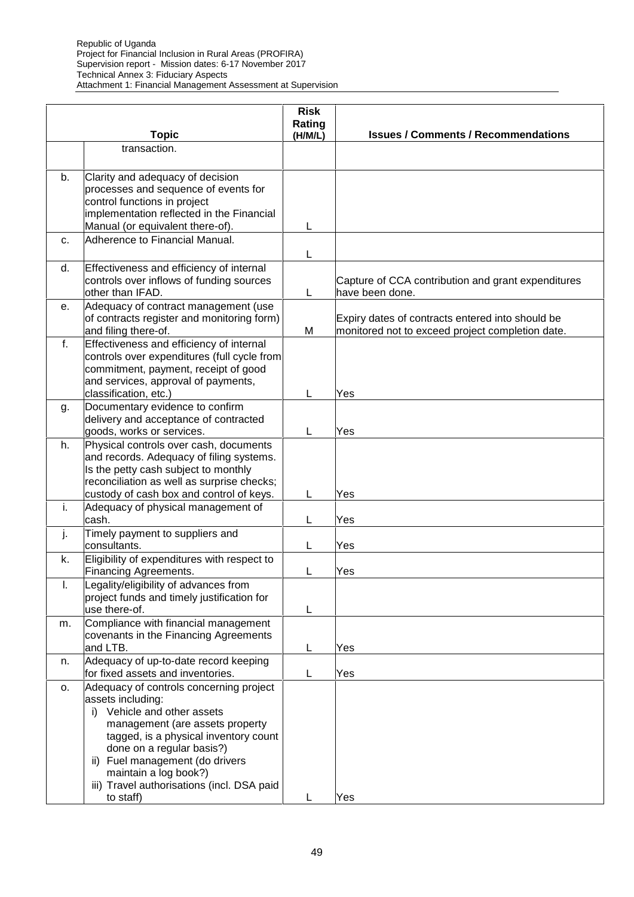|          | <b>Topic</b>                                                                                                                                                                                                                                                                                                                   | <b>Risk</b><br>Rating<br>(H/M/L) | <b>Issues / Comments / Recommendations</b>                                                           |
|----------|--------------------------------------------------------------------------------------------------------------------------------------------------------------------------------------------------------------------------------------------------------------------------------------------------------------------------------|----------------------------------|------------------------------------------------------------------------------------------------------|
|          | transaction.                                                                                                                                                                                                                                                                                                                   |                                  |                                                                                                      |
| b.       | Clarity and adequacy of decision<br>processes and sequence of events for<br>control functions in project<br>implementation reflected in the Financial<br>Manual (or equivalent there-of).                                                                                                                                      | L                                |                                                                                                      |
| c.       | Adherence to Financial Manual.                                                                                                                                                                                                                                                                                                 | L                                |                                                                                                      |
| d.       | Effectiveness and efficiency of internal<br>controls over inflows of funding sources<br>other than IFAD.                                                                                                                                                                                                                       | L                                | Capture of CCA contribution and grant expenditures<br>have been done.                                |
| е.       | Adequacy of contract management (use<br>of contracts register and monitoring form)<br>and filing there-of.                                                                                                                                                                                                                     | M                                | Expiry dates of contracts entered into should be<br>monitored not to exceed project completion date. |
| f.<br>g. | Effectiveness and efficiency of internal<br>controls over expenditures (full cycle from<br>commitment, payment, receipt of good<br>and services, approval of payments,<br>classification, etc.)<br>Documentary evidence to confirm                                                                                             | L                                | Yes                                                                                                  |
|          | delivery and acceptance of contracted<br>goods, works or services.                                                                                                                                                                                                                                                             | L                                | Yes                                                                                                  |
| h.       | Physical controls over cash, documents<br>and records. Adequacy of filing systems.<br>Is the petty cash subject to monthly<br>reconciliation as well as surprise checks;                                                                                                                                                       |                                  |                                                                                                      |
| i.       | custody of cash box and control of keys.<br>Adequacy of physical management of                                                                                                                                                                                                                                                 | L                                | Yes                                                                                                  |
| j.       | cash.<br>Timely payment to suppliers and                                                                                                                                                                                                                                                                                       | L                                | Yes                                                                                                  |
| k.       | consultants.<br>Eligibility of expenditures with respect to<br>Financing Agreements.                                                                                                                                                                                                                                           | L<br>L                           | Yes<br>Yes                                                                                           |
| I.       | Legality/eligibility of advances from<br>project funds and timely justification for<br>use there-of.                                                                                                                                                                                                                           | L                                |                                                                                                      |
| m.       | Compliance with financial management<br>covenants in the Financing Agreements<br>and LTB.                                                                                                                                                                                                                                      | L                                | Yes                                                                                                  |
| n.       | Adequacy of up-to-date record keeping<br>for fixed assets and inventories.                                                                                                                                                                                                                                                     | L                                | Yes                                                                                                  |
| о.       | Adequacy of controls concerning project<br>assets including:<br>Vehicle and other assets<br>i)<br>management (are assets property<br>tagged, is a physical inventory count<br>done on a regular basis?)<br>ii) Fuel management (do drivers<br>maintain a log book?)<br>iii) Travel authorisations (incl. DSA paid<br>to staff) | L                                | Yes                                                                                                  |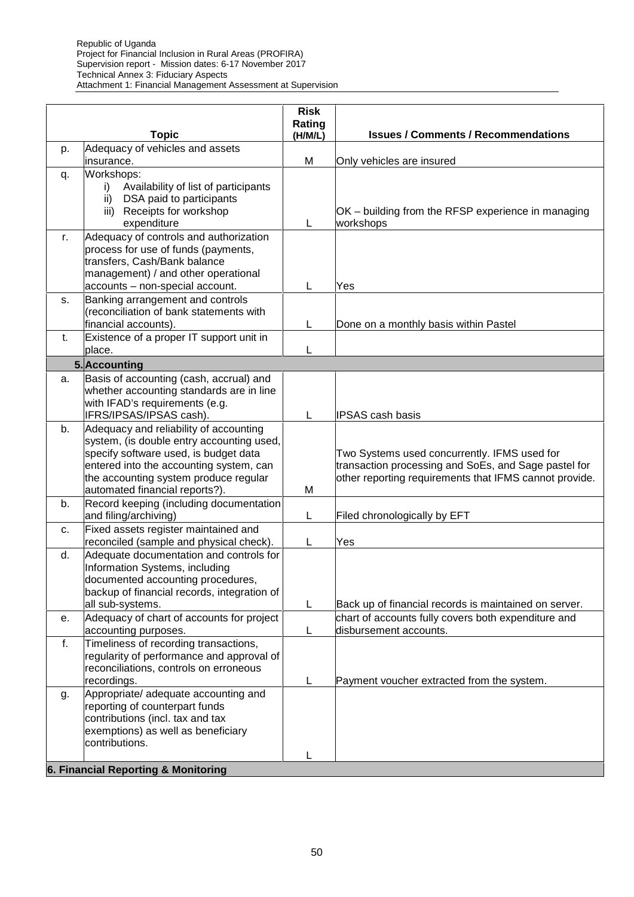| Adequacy of vehicles and assets<br>p.<br>M<br>insurance.<br>Only vehicles are insured<br>Workshops:<br>q.<br>Availability of list of participants<br>İ).<br>DSA paid to participants<br>ii)<br>iii) Receipts for workshop<br>OK - building from the RFSP experience in managing<br>expenditure<br>L<br>workshops<br>Adequacy of controls and authorization<br>r.<br>process for use of funds (payments,<br>transfers, Cash/Bank balance<br>management) / and other operational<br>accounts - non-special account.<br>L<br>Yes<br>Banking arrangement and controls<br>S.<br>(reconciliation of bank statements with<br>financial accounts).<br>L<br>Done on a monthly basis within Pastel<br>Existence of a proper IT support unit in<br>t.<br>place.<br>L<br>5. Accounting<br>Basis of accounting (cash, accrual) and<br>a.<br>whether accounting standards are in line<br>with IFAD's requirements (e.g.<br>IFRS/IPSAS/IPSAS cash).<br>L<br><b>IPSAS cash basis</b><br>Adequacy and reliability of accounting<br>b.<br>system, (is double entry accounting used,<br>specify software used, is budget data<br>Two Systems used concurrently. IFMS used for<br>transaction processing and SoEs, and Sage pastel for<br>entered into the accounting system, can<br>other reporting requirements that IFMS cannot provide.<br>the accounting system produce regular<br>automated financial reports?).<br>M<br>Record keeping (including documentation<br>b.<br>and filing/archiving)<br>L<br>Filed chronologically by EFT<br>Fixed assets register maintained and<br>C.<br>reconciled (sample and physical check).<br>Yes<br>L<br>Adequate documentation and controls for<br>d.<br>Information Systems, including<br>documented accounting procedures,<br>backup of financial records, integration of<br>all sub-systems.<br>Back up of financial records is maintained on server.<br>L.<br>Adequacy of chart of accounts for project<br>chart of accounts fully covers both expenditure and<br>е.<br>disbursement accounts.<br>accounting purposes.<br>L<br>Timeliness of recording transactions,<br>f.<br>regularity of performance and approval of<br>reconciliations, controls on erroneous<br>Payment voucher extracted from the system.<br>recordings.<br>L<br>Appropriate/ adequate accounting and<br>g.<br>reporting of counterpart funds<br>contributions (incl. tax and tax<br>exemptions) as well as beneficiary<br>contributions.<br>L | <b>Topic</b>                        | <b>Risk</b><br>Rating<br>(H/M/L) | <b>Issues / Comments / Recommendations</b> |
|-------------------------------------------------------------------------------------------------------------------------------------------------------------------------------------------------------------------------------------------------------------------------------------------------------------------------------------------------------------------------------------------------------------------------------------------------------------------------------------------------------------------------------------------------------------------------------------------------------------------------------------------------------------------------------------------------------------------------------------------------------------------------------------------------------------------------------------------------------------------------------------------------------------------------------------------------------------------------------------------------------------------------------------------------------------------------------------------------------------------------------------------------------------------------------------------------------------------------------------------------------------------------------------------------------------------------------------------------------------------------------------------------------------------------------------------------------------------------------------------------------------------------------------------------------------------------------------------------------------------------------------------------------------------------------------------------------------------------------------------------------------------------------------------------------------------------------------------------------------------------------------------------------------------------------------------------------------------------------------------------------------------------------------------------------------------------------------------------------------------------------------------------------------------------------------------------------------------------------------------------------------------------------------------------------------------------------------------------------------------------------------------------------------------------------------------------|-------------------------------------|----------------------------------|--------------------------------------------|
|                                                                                                                                                                                                                                                                                                                                                                                                                                                                                                                                                                                                                                                                                                                                                                                                                                                                                                                                                                                                                                                                                                                                                                                                                                                                                                                                                                                                                                                                                                                                                                                                                                                                                                                                                                                                                                                                                                                                                                                                                                                                                                                                                                                                                                                                                                                                                                                                                                                 |                                     |                                  |                                            |
|                                                                                                                                                                                                                                                                                                                                                                                                                                                                                                                                                                                                                                                                                                                                                                                                                                                                                                                                                                                                                                                                                                                                                                                                                                                                                                                                                                                                                                                                                                                                                                                                                                                                                                                                                                                                                                                                                                                                                                                                                                                                                                                                                                                                                                                                                                                                                                                                                                                 |                                     |                                  |                                            |
|                                                                                                                                                                                                                                                                                                                                                                                                                                                                                                                                                                                                                                                                                                                                                                                                                                                                                                                                                                                                                                                                                                                                                                                                                                                                                                                                                                                                                                                                                                                                                                                                                                                                                                                                                                                                                                                                                                                                                                                                                                                                                                                                                                                                                                                                                                                                                                                                                                                 |                                     |                                  |                                            |
|                                                                                                                                                                                                                                                                                                                                                                                                                                                                                                                                                                                                                                                                                                                                                                                                                                                                                                                                                                                                                                                                                                                                                                                                                                                                                                                                                                                                                                                                                                                                                                                                                                                                                                                                                                                                                                                                                                                                                                                                                                                                                                                                                                                                                                                                                                                                                                                                                                                 |                                     |                                  |                                            |
|                                                                                                                                                                                                                                                                                                                                                                                                                                                                                                                                                                                                                                                                                                                                                                                                                                                                                                                                                                                                                                                                                                                                                                                                                                                                                                                                                                                                                                                                                                                                                                                                                                                                                                                                                                                                                                                                                                                                                                                                                                                                                                                                                                                                                                                                                                                                                                                                                                                 |                                     |                                  |                                            |
|                                                                                                                                                                                                                                                                                                                                                                                                                                                                                                                                                                                                                                                                                                                                                                                                                                                                                                                                                                                                                                                                                                                                                                                                                                                                                                                                                                                                                                                                                                                                                                                                                                                                                                                                                                                                                                                                                                                                                                                                                                                                                                                                                                                                                                                                                                                                                                                                                                                 |                                     |                                  |                                            |
|                                                                                                                                                                                                                                                                                                                                                                                                                                                                                                                                                                                                                                                                                                                                                                                                                                                                                                                                                                                                                                                                                                                                                                                                                                                                                                                                                                                                                                                                                                                                                                                                                                                                                                                                                                                                                                                                                                                                                                                                                                                                                                                                                                                                                                                                                                                                                                                                                                                 |                                     |                                  |                                            |
|                                                                                                                                                                                                                                                                                                                                                                                                                                                                                                                                                                                                                                                                                                                                                                                                                                                                                                                                                                                                                                                                                                                                                                                                                                                                                                                                                                                                                                                                                                                                                                                                                                                                                                                                                                                                                                                                                                                                                                                                                                                                                                                                                                                                                                                                                                                                                                                                                                                 |                                     |                                  |                                            |
|                                                                                                                                                                                                                                                                                                                                                                                                                                                                                                                                                                                                                                                                                                                                                                                                                                                                                                                                                                                                                                                                                                                                                                                                                                                                                                                                                                                                                                                                                                                                                                                                                                                                                                                                                                                                                                                                                                                                                                                                                                                                                                                                                                                                                                                                                                                                                                                                                                                 |                                     |                                  |                                            |
|                                                                                                                                                                                                                                                                                                                                                                                                                                                                                                                                                                                                                                                                                                                                                                                                                                                                                                                                                                                                                                                                                                                                                                                                                                                                                                                                                                                                                                                                                                                                                                                                                                                                                                                                                                                                                                                                                                                                                                                                                                                                                                                                                                                                                                                                                                                                                                                                                                                 |                                     |                                  |                                            |
|                                                                                                                                                                                                                                                                                                                                                                                                                                                                                                                                                                                                                                                                                                                                                                                                                                                                                                                                                                                                                                                                                                                                                                                                                                                                                                                                                                                                                                                                                                                                                                                                                                                                                                                                                                                                                                                                                                                                                                                                                                                                                                                                                                                                                                                                                                                                                                                                                                                 |                                     |                                  |                                            |
|                                                                                                                                                                                                                                                                                                                                                                                                                                                                                                                                                                                                                                                                                                                                                                                                                                                                                                                                                                                                                                                                                                                                                                                                                                                                                                                                                                                                                                                                                                                                                                                                                                                                                                                                                                                                                                                                                                                                                                                                                                                                                                                                                                                                                                                                                                                                                                                                                                                 |                                     |                                  |                                            |
|                                                                                                                                                                                                                                                                                                                                                                                                                                                                                                                                                                                                                                                                                                                                                                                                                                                                                                                                                                                                                                                                                                                                                                                                                                                                                                                                                                                                                                                                                                                                                                                                                                                                                                                                                                                                                                                                                                                                                                                                                                                                                                                                                                                                                                                                                                                                                                                                                                                 |                                     |                                  |                                            |
|                                                                                                                                                                                                                                                                                                                                                                                                                                                                                                                                                                                                                                                                                                                                                                                                                                                                                                                                                                                                                                                                                                                                                                                                                                                                                                                                                                                                                                                                                                                                                                                                                                                                                                                                                                                                                                                                                                                                                                                                                                                                                                                                                                                                                                                                                                                                                                                                                                                 |                                     |                                  |                                            |
|                                                                                                                                                                                                                                                                                                                                                                                                                                                                                                                                                                                                                                                                                                                                                                                                                                                                                                                                                                                                                                                                                                                                                                                                                                                                                                                                                                                                                                                                                                                                                                                                                                                                                                                                                                                                                                                                                                                                                                                                                                                                                                                                                                                                                                                                                                                                                                                                                                                 |                                     |                                  |                                            |
|                                                                                                                                                                                                                                                                                                                                                                                                                                                                                                                                                                                                                                                                                                                                                                                                                                                                                                                                                                                                                                                                                                                                                                                                                                                                                                                                                                                                                                                                                                                                                                                                                                                                                                                                                                                                                                                                                                                                                                                                                                                                                                                                                                                                                                                                                                                                                                                                                                                 | 6. Financial Reporting & Monitoring |                                  |                                            |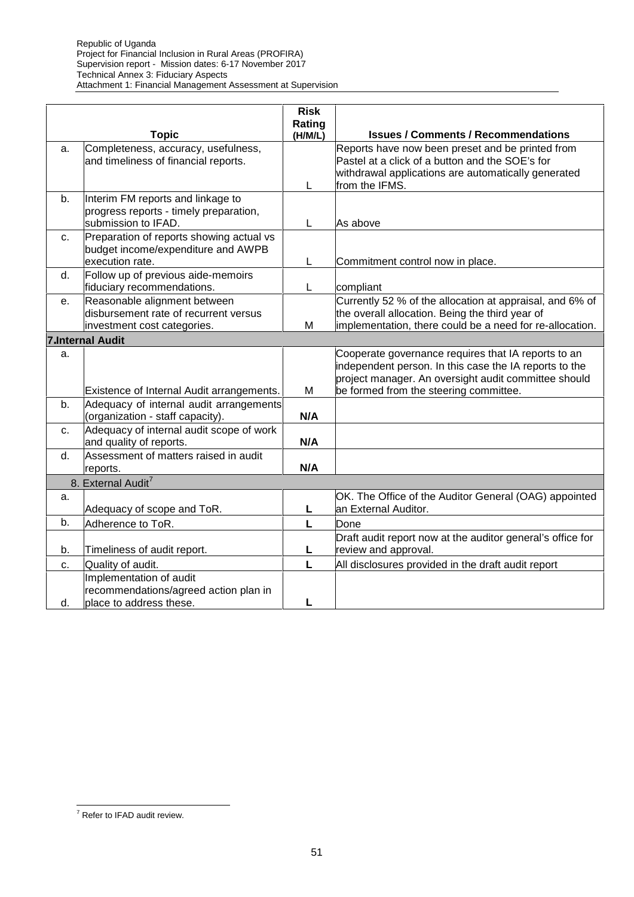|    | <b>Topic</b>                                                                                         | <b>Risk</b><br>Rating<br>(H/M/L) | <b>Issues / Comments / Recommendations</b>                                                                                                                                                                      |
|----|------------------------------------------------------------------------------------------------------|----------------------------------|-----------------------------------------------------------------------------------------------------------------------------------------------------------------------------------------------------------------|
| a. | Completeness, accuracy, usefulness,<br>and timeliness of financial reports.                          | L                                | Reports have now been preset and be printed from<br>Pastel at a click of a button and the SOE's for<br>withdrawal applications are automatically generated<br>from the IFMS.                                    |
| b. | Interim FM reports and linkage to<br>progress reports - timely preparation,<br>submission to IFAD.   | L                                | As above                                                                                                                                                                                                        |
| c. | Preparation of reports showing actual vs<br>budget income/expenditure and AWPB<br>execution rate.    | L                                | Commitment control now in place.                                                                                                                                                                                |
| d. | Follow up of previous aide-memoirs<br>fiduciary recommendations.                                     | L                                | compliant                                                                                                                                                                                                       |
| е. | Reasonable alignment between<br>disbursement rate of recurrent versus<br>investment cost categories. | M                                | Currently 52 % of the allocation at appraisal, and 6% of<br>the overall allocation. Being the third year of<br>implementation, there could be a need for re-allocation.                                         |
|    | <b>7.Internal Audit</b>                                                                              |                                  |                                                                                                                                                                                                                 |
| a. | Existence of Internal Audit arrangements.                                                            | M                                | Cooperate governance requires that IA reports to an<br>independent person. In this case the IA reports to the<br>project manager. An oversight audit committee should<br>be formed from the steering committee. |
| b. | Adequacy of internal audit arrangements<br>(organization - staff capacity).                          | N/A                              |                                                                                                                                                                                                                 |
| c. | Adequacy of internal audit scope of work<br>and quality of reports.                                  | N/A                              |                                                                                                                                                                                                                 |
| d. | Assessment of matters raised in audit<br>reports.                                                    | N/A                              |                                                                                                                                                                                                                 |
|    | 8. External Audit <sup>7</sup>                                                                       |                                  |                                                                                                                                                                                                                 |
| a. | Adequacy of scope and ToR.                                                                           | L                                | OK. The Office of the Auditor General (OAG) appointed<br>an External Auditor.                                                                                                                                   |
| b. | Adherence to ToR.                                                                                    | L                                | Done                                                                                                                                                                                                            |
| b. | Timeliness of audit report.                                                                          | L                                | Draft audit report now at the auditor general's office for<br>review and approval.                                                                                                                              |
| c. | Quality of audit.                                                                                    | L                                | All disclosures provided in the draft audit report                                                                                                                                                              |
| d. | Implementation of audit<br>recommendations/agreed action plan in<br>place to address these.          | L                                |                                                                                                                                                                                                                 |

 $\overline{7}$  Refer to IFAD audit review.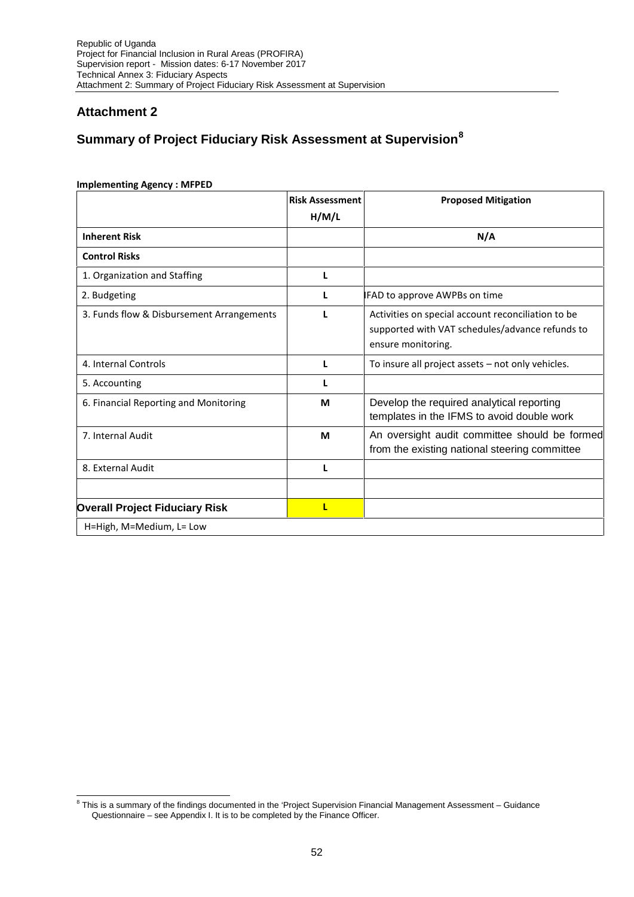### **Attachment 2**

# **Summary of Project Fiduciary Risk Assessment at Supervision<sup>8</sup>**

|                                           | <b>Risk Assessment</b> | <b>Proposed Mitigation</b>                                                                                                  |  |  |  |  |
|-------------------------------------------|------------------------|-----------------------------------------------------------------------------------------------------------------------------|--|--|--|--|
|                                           | H/M/L                  |                                                                                                                             |  |  |  |  |
| <b>Inherent Risk</b>                      |                        | N/A                                                                                                                         |  |  |  |  |
| <b>Control Risks</b>                      |                        |                                                                                                                             |  |  |  |  |
| 1. Organization and Staffing              | L                      |                                                                                                                             |  |  |  |  |
| 2. Budgeting                              |                        | <b>IFAD to approve AWPBs on time</b>                                                                                        |  |  |  |  |
| 3. Funds flow & Disbursement Arrangements |                        | Activities on special account reconciliation to be<br>supported with VAT schedules/advance refunds to<br>ensure monitoring. |  |  |  |  |
| 4. Internal Controls                      | L                      | To insure all project assets - not only vehicles.                                                                           |  |  |  |  |
| 5. Accounting                             | L                      |                                                                                                                             |  |  |  |  |
| 6. Financial Reporting and Monitoring     | M                      | Develop the required analytical reporting<br>templates in the IFMS to avoid double work                                     |  |  |  |  |
| 7. Internal Audit                         | M                      | An oversight audit committee should be formed<br>from the existing national steering committee                              |  |  |  |  |
| 8. External Audit                         | L                      |                                                                                                                             |  |  |  |  |
| <b>Overall Project Fiduciary Risk</b>     | τ                      |                                                                                                                             |  |  |  |  |
| H=High, M=Medium, L= Low                  |                        |                                                                                                                             |  |  |  |  |

### **Implementing Agency : MFPED**

 $^8$  This is a summary of the findings documented in the 'Project Supervision Financial Management Assessment – Guidance Questionnaire – see Appendix I. It is to be completed by the Finance Officer.